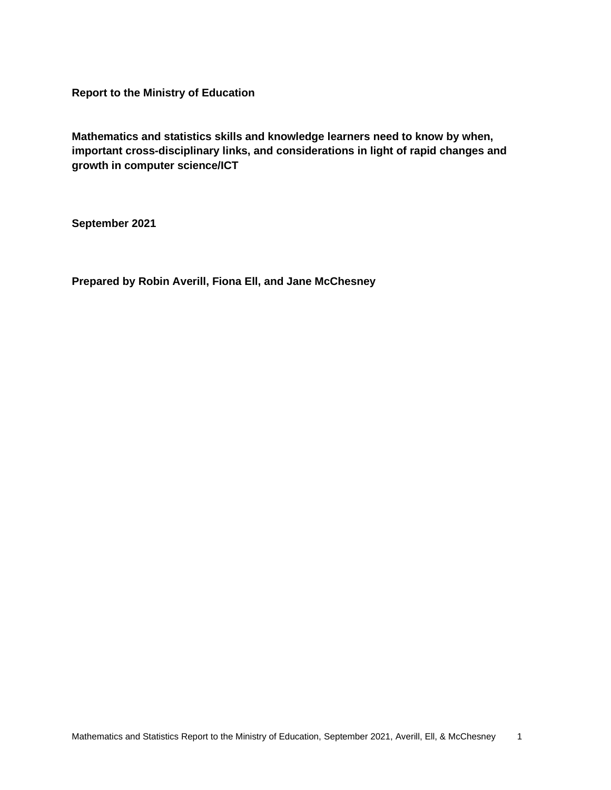**Report to the Ministry of Education**

**Mathematics and statistics skills and knowledge learners need to know by when, important cross-disciplinary links, and considerations in light of rapid changes and growth in computer science/ICT**

**September 2021**

**Prepared by Robin Averill, Fiona Ell, and Jane McChesney**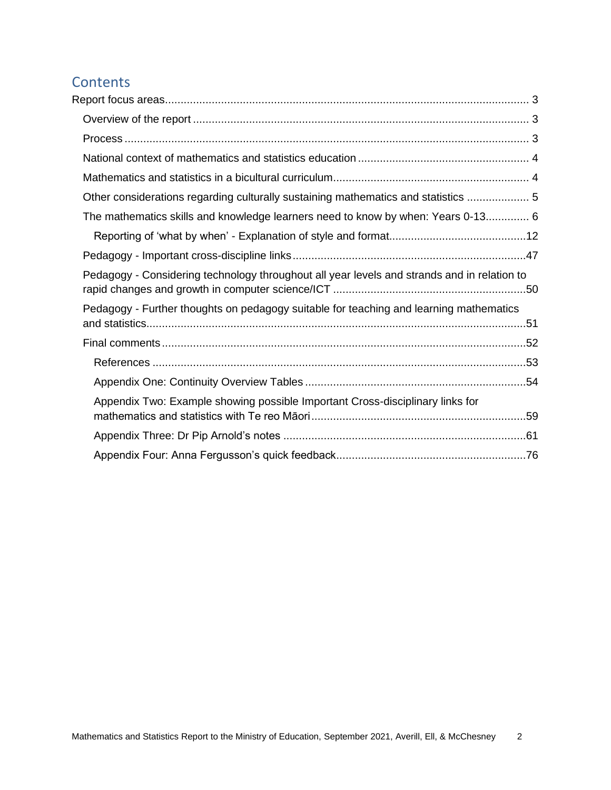# Contents<br>Report focus

| Other considerations regarding culturally sustaining mathematics and statistics  5          |  |
|---------------------------------------------------------------------------------------------|--|
| The mathematics skills and knowledge learners need to know by when: Years 0-13 6            |  |
|                                                                                             |  |
|                                                                                             |  |
| Pedagogy - Considering technology throughout all year levels and strands and in relation to |  |
| Pedagogy - Further thoughts on pedagogy suitable for teaching and learning mathematics      |  |
|                                                                                             |  |
|                                                                                             |  |
|                                                                                             |  |
| Appendix Two: Example showing possible Important Cross-disciplinary links for               |  |
|                                                                                             |  |
|                                                                                             |  |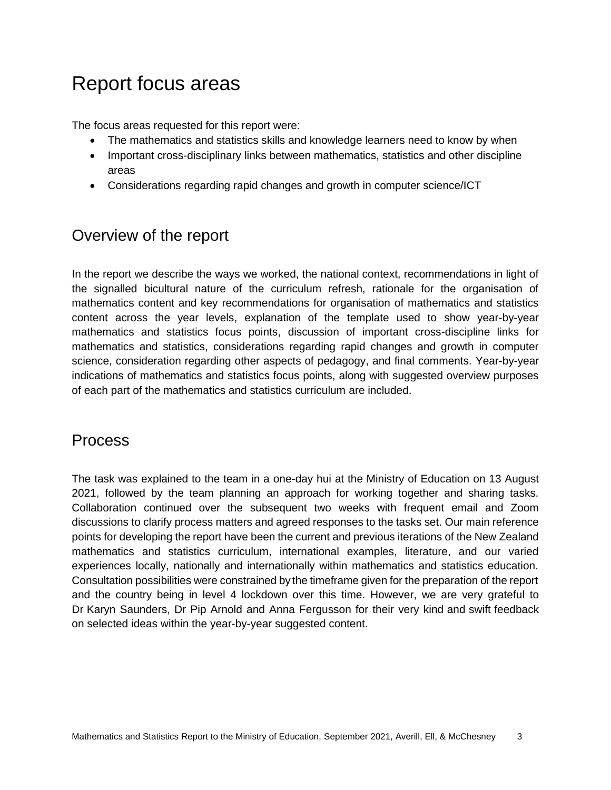## <span id="page-2-0"></span>Report focus areas

The focus areas requested for this report were:

- The mathematics and statistics skills and knowledge learners need to know by when
- Important cross-disciplinary links between mathematics, statistics and other discipline areas
- Considerations regarding rapid changes and growth in computer science/ICT

## <span id="page-2-1"></span>Overview of the report

In the report we describe the ways we worked, the national context, recommendations in light of the signalled bicultural nature of the curriculum refresh, rationale for the organisation of mathematics content and key recommendations for organisation of mathematics and statistics content across the year levels, explanation of the template used to show year-by-year mathematics and statistics focus points, discussion of important cross-discipline links for mathematics and statistics, considerations regarding rapid changes and growth in computer science, consideration regarding other aspects of pedagogy, and final comments. Year-by-year indications of mathematics and statistics focus points, along with suggested overview purposes of each part of the mathematics and statistics curriculum are included.

## <span id="page-2-2"></span>**Process**

The task was explained to the team in a one-day hui at the Ministry of Education on 13 August 2021, followed by the team planning an approach for working together and sharing tasks. Collaboration continued over the subsequent two weeks with frequent email and Zoom discussions to clarify process matters and agreed responses to the tasks set. Our main reference points for developing the report have been the current and previous iterations of the New Zealand mathematics and statistics curriculum, international examples, literature, and our varied experiences locally, nationally and internationally within mathematics and statistics education. Consultation possibilities were constrained by the timeframe given for the preparation of the report and the country being in level 4 lockdown over this time. However, we are very grateful to Dr Karyn Saunders, Dr Pip Arnold and Anna Fergusson for their very kind and swift feedback on selected ideas within the year-by-year suggested content.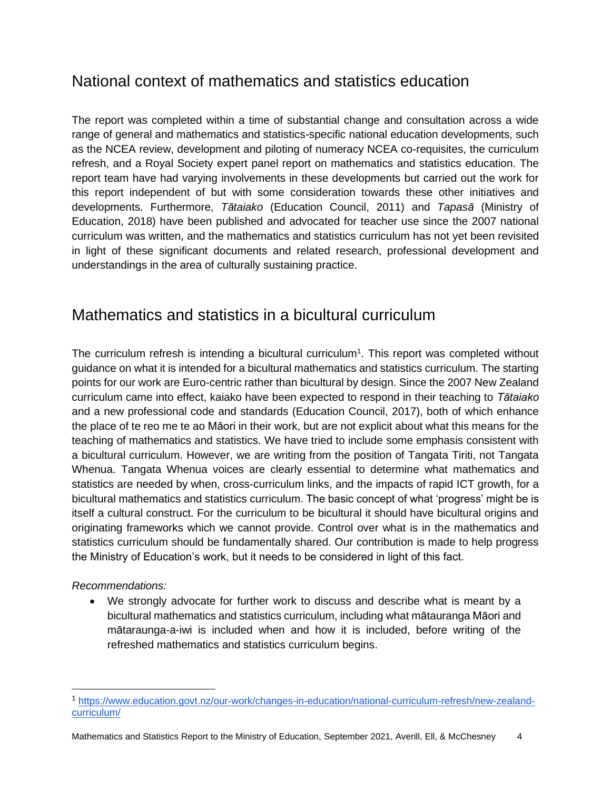## <span id="page-3-0"></span>National context of mathematics and statistics education

The report was completed within a time of substantial change and consultation across a wide range of general and mathematics and statistics-specific national education developments, such as the NCEA review, development and piloting of numeracy NCEA co-requisites, the curriculum refresh, and a Royal Society expert panel report on mathematics and statistics education. The report team have had varying involvements in these developments but carried out the work for this report independent of but with some consideration towards these other initiatives and developments. Furthermore, *Tātaiako* (Education Council, 2011) and *Tapasā* (Ministry of Education, 2018) have been published and advocated for teacher use since the 2007 national curriculum was written, and the mathematics and statistics curriculum has not yet been revisited in light of these significant documents and related research, professional development and understandings in the area of culturally sustaining practice.

## <span id="page-3-1"></span>Mathematics and statistics in a bicultural curriculum

The curriculum refresh is intending a bicultural curriculum<sup>1</sup>. This report was completed without guidance on what it is intended for a bicultural mathematics and statistics curriculum. The starting points for our work are Euro-centric rather than bicultural by design. Since the 2007 New Zealand curriculum came into effect, kaiako have been expected to respond in their teaching to *Tātaiako* and a new professional code and standards (Education Council, 2017), both of which enhance the place of te reo me te ao Māori in their work, but are not explicit about what this means for the teaching of mathematics and statistics. We have tried to include some emphasis consistent with a bicultural curriculum. However, we are writing from the position of Tangata Tiriti, not Tangata Whenua. Tangata Whenua voices are clearly essential to determine what mathematics and statistics are needed by when, cross-curriculum links, and the impacts of rapid ICT growth, for a bicultural mathematics and statistics curriculum. The basic concept of what 'progress' might be is itself a cultural construct. For the curriculum to be bicultural it should have bicultural origins and originating frameworks which we cannot provide. Control over what is in the mathematics and statistics curriculum should be fundamentally shared. Our contribution is made to help progress the Ministry of Education's work, but it needs to be considered in light of this fact.

### *Recommendations:*

• We strongly advocate for further work to discuss and describe what is meant by a bicultural mathematics and statistics curriculum, including what mātauranga Māori and mātaraunga-a-iwi is included when and how it is included, before writing of the refreshed mathematics and statistics curriculum begins.

<sup>1</sup> [https://www.education.govt.nz/our-work/changes-in-education/national-curriculum-refresh/new-zealand](https://www.education.govt.nz/our-work/changes-in-education/national-curriculum-refresh/new-zealand-curriculum/)[curriculum/](https://www.education.govt.nz/our-work/changes-in-education/national-curriculum-refresh/new-zealand-curriculum/)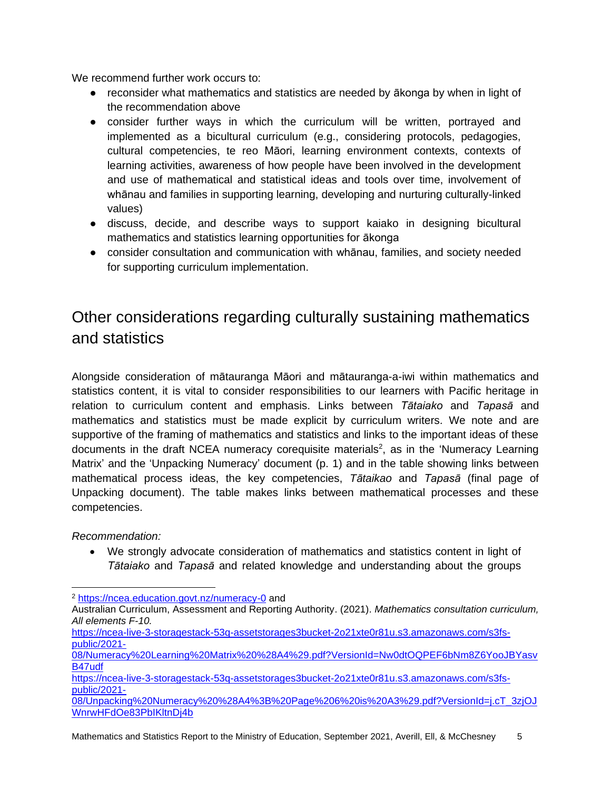We recommend further work occurs to:

- reconsider what mathematics and statistics are needed by ākonga by when in light of the recommendation above
- consider further ways in which the curriculum will be written, portrayed and implemented as a bicultural curriculum (e.g., considering protocols, pedagogies, cultural competencies, te reo Māori, learning environment contexts, contexts of learning activities, awareness of how people have been involved in the development and use of mathematical and statistical ideas and tools over time, involvement of whānau and families in supporting learning, developing and nurturing culturally-linked values)
- discuss, decide, and describe ways to support kaiako in designing bicultural mathematics and statistics learning opportunities for ākonga
- consider consultation and communication with whānau, families, and society needed for supporting curriculum implementation.

## <span id="page-4-0"></span>Other considerations regarding culturally sustaining mathematics and statistics

Alongside consideration of mātauranga Māori and mātauranga-a-iwi within mathematics and statistics content, it is vital to consider responsibilities to our learners with Pacific heritage in relation to curriculum content and emphasis. Links between *Tātaiako* and *Tapasā* and mathematics and statistics must be made explicit by curriculum writers. We note and are supportive of the framing of mathematics and statistics and links to the important ideas of these documents in the draft NCEA numeracy corequisite materials<sup>2</sup>, as in the 'Numeracy Learning Matrix' and the 'Unpacking Numeracy' document (p. 1) and in the table showing links between mathematical process ideas, the key competencies, *Tātaikao* and *Tapasā* (final page of Unpacking document). The table makes links between mathematical processes and these competencies.

*Recommendation:* 

• We strongly advocate consideration of mathematics and statistics content in light of *Tātaiako* and *Tapasā* and related knowledge and understanding about the groups

<sup>2</sup> <https://ncea.education.govt.nz/numeracy-0> and

Australian Curriculum, Assessment and Reporting Authority. (2021). *Mathematics consultation curriculum, All elements F-10.* 

[https://ncea-live-3-storagestack-53q-assetstorages3bucket-2o21xte0r81u.s3.amazonaws.com/s3fs](https://ncea-live-3-storagestack-53q-assetstorages3bucket-2o21xte0r81u.s3.amazonaws.com/s3fs-public/2021-08/Numeracy%20Learning%20Matrix%20%28A4%29.pdf?VersionId=Nw0dtOQPEF6bNm8Z6YooJBYasvB47udf)[public/2021-](https://ncea-live-3-storagestack-53q-assetstorages3bucket-2o21xte0r81u.s3.amazonaws.com/s3fs-public/2021-08/Numeracy%20Learning%20Matrix%20%28A4%29.pdf?VersionId=Nw0dtOQPEF6bNm8Z6YooJBYasvB47udf)

[<sup>08/</sup>Numeracy%20Learning%20Matrix%20%28A4%29.pdf?VersionId=Nw0dtOQPEF6bNm8Z6YooJBYasv](https://ncea-live-3-storagestack-53q-assetstorages3bucket-2o21xte0r81u.s3.amazonaws.com/s3fs-public/2021-08/Numeracy%20Learning%20Matrix%20%28A4%29.pdf?VersionId=Nw0dtOQPEF6bNm8Z6YooJBYasvB47udf) [B47udf](https://ncea-live-3-storagestack-53q-assetstorages3bucket-2o21xte0r81u.s3.amazonaws.com/s3fs-public/2021-08/Numeracy%20Learning%20Matrix%20%28A4%29.pdf?VersionId=Nw0dtOQPEF6bNm8Z6YooJBYasvB47udf)

[https://ncea-live-3-storagestack-53q-assetstorages3bucket-2o21xte0r81u.s3.amazonaws.com/s3fs](https://ncea-live-3-storagestack-53q-assetstorages3bucket-2o21xte0r81u.s3.amazonaws.com/s3fs-public/2021-08/Unpacking%20Numeracy%20%28A4%3B%20Page%206%20is%20A3%29.pdf?VersionId=j.cT_3zjOJWnrwHFdOe83PbIKltnDj4b)[public/2021-](https://ncea-live-3-storagestack-53q-assetstorages3bucket-2o21xte0r81u.s3.amazonaws.com/s3fs-public/2021-08/Unpacking%20Numeracy%20%28A4%3B%20Page%206%20is%20A3%29.pdf?VersionId=j.cT_3zjOJWnrwHFdOe83PbIKltnDj4b)

[<sup>08/</sup>Unpacking%20Numeracy%20%28A4%3B%20Page%206%20is%20A3%29.pdf?VersionId=j.cT\\_3zjOJ](https://ncea-live-3-storagestack-53q-assetstorages3bucket-2o21xte0r81u.s3.amazonaws.com/s3fs-public/2021-08/Unpacking%20Numeracy%20%28A4%3B%20Page%206%20is%20A3%29.pdf?VersionId=j.cT_3zjOJWnrwHFdOe83PbIKltnDj4b) [WnrwHFdOe83PbIKltnDj4b](https://ncea-live-3-storagestack-53q-assetstorages3bucket-2o21xte0r81u.s3.amazonaws.com/s3fs-public/2021-08/Unpacking%20Numeracy%20%28A4%3B%20Page%206%20is%20A3%29.pdf?VersionId=j.cT_3zjOJWnrwHFdOe83PbIKltnDj4b)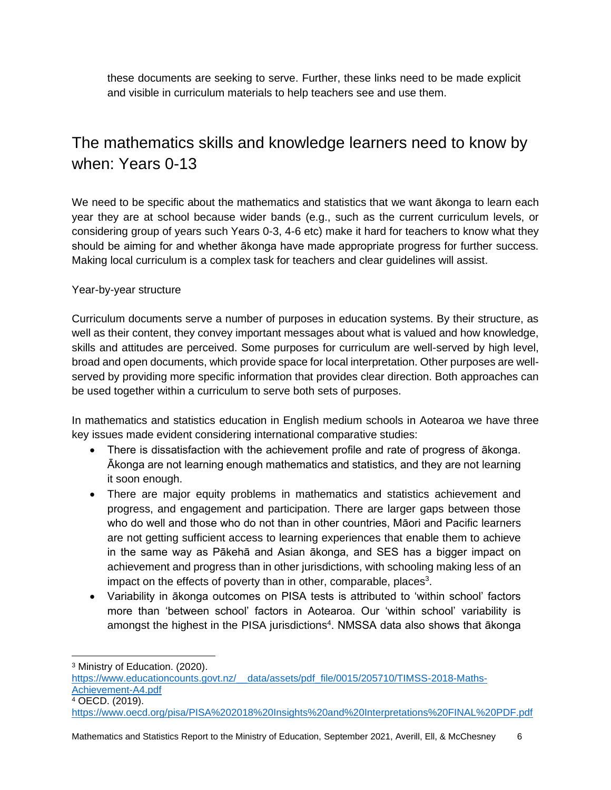these documents are seeking to serve. Further, these links need to be made explicit and visible in curriculum materials to help teachers see and use them.

## <span id="page-5-0"></span>The mathematics skills and knowledge learners need to know by when: Years 0-13

We need to be specific about the mathematics and statistics that we want alkonga to learn each year they are at school because wider bands (e.g., such as the current curriculum levels, or considering group of years such Years 0-3, 4-6 etc) make it hard for teachers to know what they should be aiming for and whether ākonga have made appropriate progress for further success. Making local curriculum is a complex task for teachers and clear guidelines will assist.

### Year-by-year structure

Curriculum documents serve a number of purposes in education systems. By their structure, as well as their content, they convey important messages about what is valued and how knowledge, skills and attitudes are perceived. Some purposes for curriculum are well-served by high level, broad and open documents, which provide space for local interpretation. Other purposes are wellserved by providing more specific information that provides clear direction. Both approaches can be used together within a curriculum to serve both sets of purposes.

In mathematics and statistics education in English medium schools in Aotearoa we have three key issues made evident considering international comparative studies:

- There is dissatisfaction with the achievement profile and rate of progress of ākonga. Ākonga are not learning enough mathematics and statistics, and they are not learning it soon enough.
- There are major equity problems in mathematics and statistics achievement and progress, and engagement and participation. There are larger gaps between those who do well and those who do not than in other countries, Māori and Pacific learners are not getting sufficient access to learning experiences that enable them to achieve in the same way as Pākehā and Asian ākonga, and SES has a bigger impact on achievement and progress than in other jurisdictions, with schooling making less of an impact on the effects of poverty than in other, comparable, places<sup>3</sup>.
- Variability in ākonga outcomes on PISA tests is attributed to 'within school' factors more than 'between school' factors in Aotearoa. Our 'within school' variability is amongst the highest in the PISA jurisdictions<sup>4</sup>. NMSSA data also shows that ākonga

<sup>3</sup> Ministry of Education. (2020).

https://www.educationcounts.govt.nz/ data/assets/pdf file/0015/205710/TIMSS-2018-Maths-[Achievement-A4.pdf](https://www.educationcounts.govt.nz/__data/assets/pdf_file/0015/205710/TIMSS-2018-Maths-Achievement-A4.pdf) <sup>4</sup> OECD. (2019).

<https://www.oecd.org/pisa/PISA%202018%20Insights%20and%20Interpretations%20FINAL%20PDF.pdf>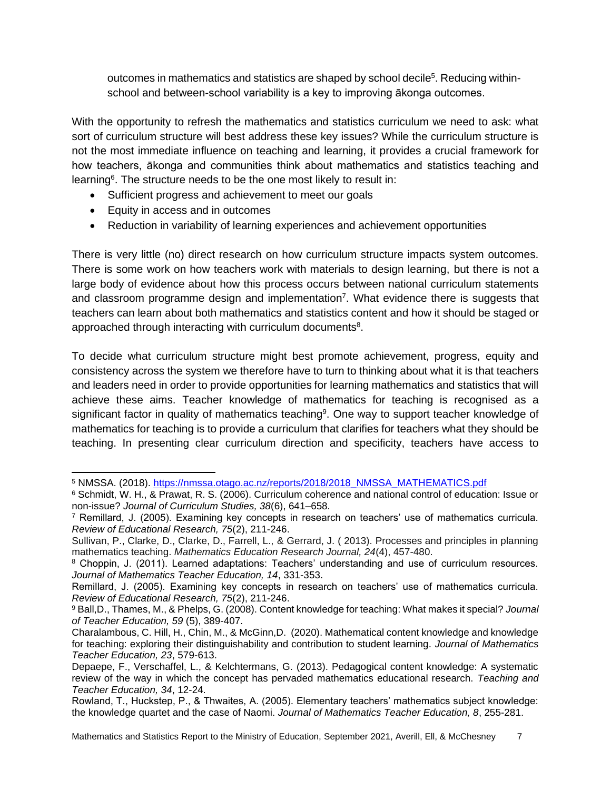outcomes in mathematics and statistics are shaped by school decile<sup>5</sup>. Reducing withinschool and between-school variability is a key to improving ākonga outcomes.

With the opportunity to refresh the mathematics and statistics curriculum we need to ask: what sort of curriculum structure will best address these key issues? While the curriculum structure is not the most immediate influence on teaching and learning, it provides a crucial framework for how teachers, ākonga and communities think about mathematics and statistics teaching and learning<sup>6</sup>. The structure needs to be the one most likely to result in:

- Sufficient progress and achievement to meet our goals
- Equity in access and in outcomes
- Reduction in variability of learning experiences and achievement opportunities

There is very little (no) direct research on how curriculum structure impacts system outcomes. There is some work on how teachers work with materials to design learning, but there is not a large body of evidence about how this process occurs between national curriculum statements and classroom programme design and implementation<sup>7</sup>. What evidence there is suggests that teachers can learn about both mathematics and statistics content and how it should be staged or approached through interacting with curriculum documents $8$ .

To decide what curriculum structure might best promote achievement, progress, equity and consistency across the system we therefore have to turn to thinking about what it is that teachers and leaders need in order to provide opportunities for learning mathematics and statistics that will achieve these aims. Teacher knowledge of mathematics for teaching is recognised as a significant factor in quality of mathematics teaching<sup>9</sup>. One way to support teacher knowledge of mathematics for teaching is to provide a curriculum that clarifies for teachers what they should be teaching. In presenting clear curriculum direction and specificity, teachers have access to

<sup>5</sup> NMSSA. (2018). [https://nmssa.otago.ac.nz/reports/2018/2018\\_NMSSA\\_MATHEMATICS.pdf](https://nmssa.otago.ac.nz/reports/2018/2018_NMSSA_MATHEMATICS.pdf)

<sup>6</sup> Schmidt, W. H., & Prawat, R. S. (2006). Curriculum coherence and national control of education: Issue or non-issue? *Journal of Curriculum Studies, 38*(6), 641–658.

<sup>7</sup> Remillard, J. (2005). Examining key concepts in research on teachers' use of mathematics curricula. *Review of Educational Research, 75*(2), 211-246.

Sullivan, P., Clarke, D., Clarke, D., Farrell, L., & Gerrard, J. ( 2013). Processes and principles in planning mathematics teaching. *Mathematics Education Research Journal, 24*(4), 457-480.

<sup>8</sup> Choppin, J. (2011). Learned adaptations: Teachers' understanding and use of curriculum resources. *Journal of Mathematics Teacher Education, 14*, 331-353.

Remillard, J. (2005). Examining key concepts in research on teachers' use of mathematics curricula. *Review of Educational Research, 75*(2), 211-246.

<sup>9</sup> Ball,D., Thames, M., & Phelps, G. (2008). Content knowledge for teaching: What makes it special? *Journal of Teacher Education, 59* (5), 389-407.

Charalambous, C. Hill, H., Chin, M., & McGinn,D. (2020). Mathematical content knowledge and knowledge for teaching: exploring their distinguishability and contribution to student learning. *Journal of Mathematics Teacher Education, 23*, 579-613.

Depaepe, F., Verschaffel, L., & Kelchtermans, G. (2013). Pedagogical content knowledge: A systematic review of the way in which the concept has pervaded mathematics educational research. *Teaching and Teacher Education, 34*, 12-24.

Rowland, T., Huckstep, P., & Thwaites, A. (2005). Elementary teachers' mathematics subject knowledge: the knowledge quartet and the case of Naomi. *Journal of Mathematics Teacher Education, 8*, 255-281.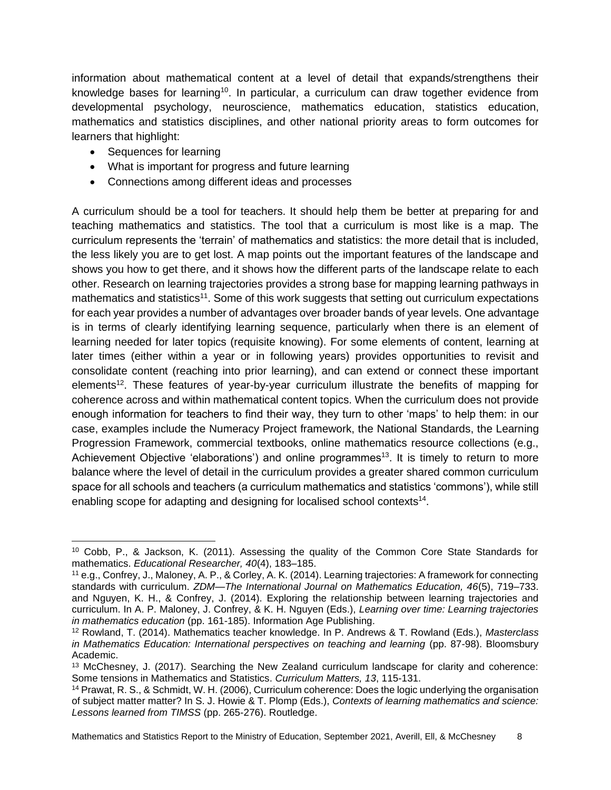information about mathematical content at a level of detail that expands/strengthens their knowledge bases for learning<sup>10</sup>. In particular, a curriculum can draw together evidence from developmental psychology, neuroscience, mathematics education, statistics education, mathematics and statistics disciplines, and other national priority areas to form outcomes for learners that highlight:

- Sequences for learning
- What is important for progress and future learning
- Connections among different ideas and processes

A curriculum should be a tool for teachers. It should help them be better at preparing for and teaching mathematics and statistics. The tool that a curriculum is most like is a map. The curriculum represents the 'terrain' of mathematics and statistics: the more detail that is included, the less likely you are to get lost. A map points out the important features of the landscape and shows you how to get there, and it shows how the different parts of the landscape relate to each other. Research on learning trajectories provides a strong base for mapping learning pathways in mathematics and statistics<sup>11</sup>. Some of this work suggests that setting out curriculum expectations for each year provides a number of advantages over broader bands of year levels. One advantage is in terms of clearly identifying learning sequence, particularly when there is an element of learning needed for later topics (requisite knowing). For some elements of content, learning at later times (either within a year or in following years) provides opportunities to revisit and consolidate content (reaching into prior learning), and can extend or connect these important elements<sup>12</sup>. These features of year-by-year curriculum illustrate the benefits of mapping for coherence across and within mathematical content topics. When the curriculum does not provide enough information for teachers to find their way, they turn to other 'maps' to help them: in our case, examples include the Numeracy Project framework, the National Standards, the Learning Progression Framework, commercial textbooks, online mathematics resource collections (e.g., Achievement Objective 'elaborations') and online programmes<sup>13</sup>. It is timely to return to more balance where the level of detail in the curriculum provides a greater shared common curriculum space for all schools and teachers (a curriculum mathematics and statistics 'commons'), while still enabling scope for adapting and designing for localised school contexts $14$ .

<sup>10</sup> Cobb, P., & Jackson, K. (2011). Assessing the quality of the Common Core State Standards for mathematics. *Educational Researcher, 40*(4), 183–185.

<sup>11</sup> e.g., Confrey, J., Maloney, A. P., & Corley, A. K. (2014). Learning trajectories: A framework for connecting standards with curriculum. *ZDM—The International Journal on Mathematics Education, 46*(5), 719–733. and Nguyen, K. H., & Confrey, J. (2014). Exploring the relationship between learning trajectories and curriculum. In A. P. Maloney, J. Confrey, & K. H. Nguyen (Eds.), *Learning over time: Learning trajectories in mathematics education* (pp. 161-185). Information Age Publishing.

<sup>12</sup> Rowland, T. (2014). Mathematics teacher knowledge. In P. Andrews & T. Rowland (Eds.), *Masterclass in Mathematics Education: International perspectives on teaching and learning* (pp. 87-98). Bloomsbury Academic.

<sup>13</sup> McChesney, J. (2017). Searching the New Zealand curriculum landscape for clarity and coherence: Some tensions in Mathematics and Statistics. *Curriculum Matters, 13*, 115-131.

<sup>14</sup> Prawat, R. S., & Schmidt, W. H. (2006), Curriculum coherence: Does the logic underlying the organisation of subject matter matter? In S. J. Howie & T. Plomp (Eds.), *Contexts of learning mathematics and science: Lessons learned from TIMSS* (pp. 265-276). Routledge.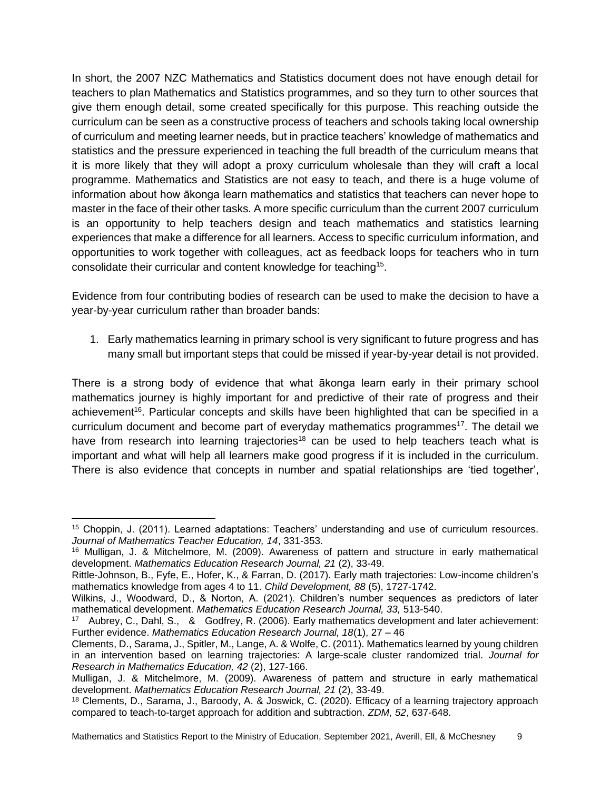In short, the 2007 NZC Mathematics and Statistics document does not have enough detail for teachers to plan Mathematics and Statistics programmes, and so they turn to other sources that give them enough detail, some created specifically for this purpose. This reaching outside the curriculum can be seen as a constructive process of teachers and schools taking local ownership of curriculum and meeting learner needs, but in practice teachers' knowledge of mathematics and statistics and the pressure experienced in teaching the full breadth of the curriculum means that it is more likely that they will adopt a proxy curriculum wholesale than they will craft a local programme. Mathematics and Statistics are not easy to teach, and there is a huge volume of information about how ākonga learn mathematics and statistics that teachers can never hope to master in the face of their other tasks. A more specific curriculum than the current 2007 curriculum is an opportunity to help teachers design and teach mathematics and statistics learning experiences that make a difference for all learners. Access to specific curriculum information, and opportunities to work together with colleagues, act as feedback loops for teachers who in turn consolidate their curricular and content knowledge for teaching<sup>15</sup>.

Evidence from four contributing bodies of research can be used to make the decision to have a year-by-year curriculum rather than broader bands:

1. Early mathematics learning in primary school is very significant to future progress and has many small but important steps that could be missed if year-by-year detail is not provided.

There is a strong body of evidence that what ākonga learn early in their primary school mathematics journey is highly important for and predictive of their rate of progress and their achievement<sup>16</sup>. Particular concepts and skills have been highlighted that can be specified in a curriculum document and become part of everyday mathematics programmes<sup>17</sup>. The detail we have from research into learning trajectories<sup>18</sup> can be used to help teachers teach what is important and what will help all learners make good progress if it is included in the curriculum. There is also evidence that concepts in number and spatial relationships are 'tied together',

<sup>15</sup> Choppin, J. (2011). Learned adaptations: Teachers' understanding and use of curriculum resources. *Journal of Mathematics Teacher Education, 14*, 331-353.

<sup>16</sup> Mulligan, J. & Mitchelmore, M. (2009). Awareness of pattern and structure in early mathematical development. *Mathematics Education Research Journal, 21* (2), 33-49.

Rittle-Johnson, B., Fyfe, E., Hofer, K., & Farran, D. (2017). Early math trajectories: Low-income children's mathematics knowledge from ages 4 to 11. *Child Development, 88* (5), 1727-1742.

Wilkins, J., Woodward, D., & Norton, A. (2021). Children's number sequences as predictors of later mathematical development. *Mathematics Education Research Journal, 33,* 513-540.

<sup>17</sup> Aubrey, C., Dahl, S., & Godfrey, R. (2006). Early mathematics development and later achievement: Further evidence. *Mathematics Education Research Journal, 18*(1), 27 – 46

Clements, D., Sarama, J., Spitler, M., Lange, A. & Wolfe, C. (2011). Mathematics learned by young children in an intervention based on learning trajectories: A large-scale cluster randomized trial. *Journal for Research in Mathematics Education, 42* (2), 127-166.

Mulligan, J. & Mitchelmore, M. (2009). Awareness of pattern and structure in early mathematical development. *Mathematics Education Research Journal, 21* (2), 33-49.

<sup>18</sup> Clements, D., Sarama, J., Baroody, A. & Joswick, C. (2020). Efficacy of a learning trajectory approach compared to teach-to-target approach for addition and subtraction. *ZDM, 52*, 637-648.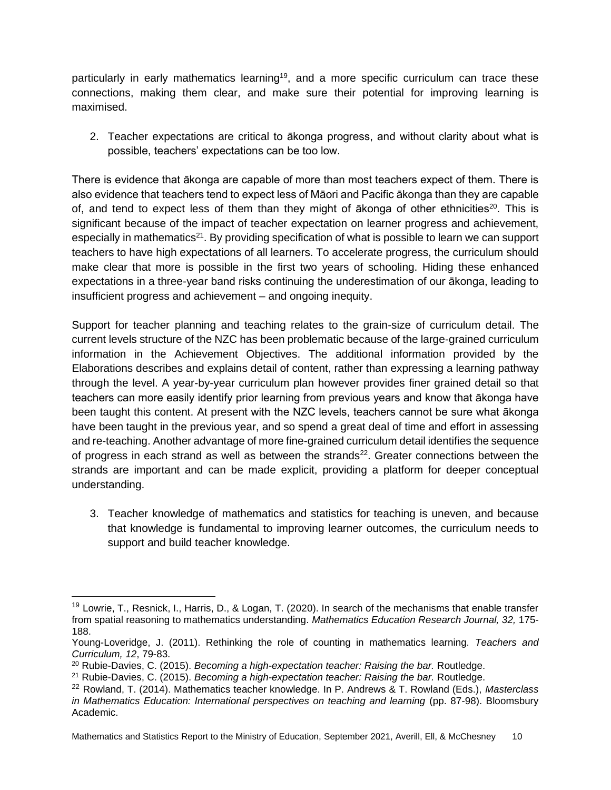particularly in early mathematics learning<sup>19</sup>, and a more specific curriculum can trace these connections, making them clear, and make sure their potential for improving learning is maximised.

2. Teacher expectations are critical to ākonga progress, and without clarity about what is possible, teachers' expectations can be too low.

There is evidence that ākonga are capable of more than most teachers expect of them. There is also evidence that teachers tend to expect less of Māori and Pacific ākonga than they are capable of, and tend to expect less of them than they might of  $\bar{a}$  konga of other ethnicities<sup>20</sup>. This is significant because of the impact of teacher expectation on learner progress and achievement, especially in mathematics<sup>21</sup>. By providing specification of what is possible to learn we can support teachers to have high expectations of all learners. To accelerate progress, the curriculum should make clear that more is possible in the first two years of schooling. Hiding these enhanced expectations in a three-year band risks continuing the underestimation of our ākonga, leading to insufficient progress and achievement – and ongoing inequity.

Support for teacher planning and teaching relates to the grain-size of curriculum detail. The current levels structure of the NZC has been problematic because of the large-grained curriculum information in the Achievement Objectives. The additional information provided by the Elaborations describes and explains detail of content, rather than expressing a learning pathway through the level. A year-by-year curriculum plan however provides finer grained detail so that teachers can more easily identify prior learning from previous years and know that ākonga have been taught this content. At present with the NZC levels, teachers cannot be sure what ākonga have been taught in the previous year, and so spend a great deal of time and effort in assessing and re-teaching. Another advantage of more fine-grained curriculum detail identifies the sequence of progress in each strand as well as between the strands $22$ . Greater connections between the strands are important and can be made explicit, providing a platform for deeper conceptual understanding.

3. Teacher knowledge of mathematics and statistics for teaching is uneven, and because that knowledge is fundamental to improving learner outcomes, the curriculum needs to support and build teacher knowledge.

<sup>&</sup>lt;sup>19</sup> Lowrie, T., Resnick, I., Harris, D., & Logan, T. (2020). In search of the mechanisms that enable transfer from spatial reasoning to mathematics understanding. *Mathematics Education Research Journal, 32,* 175- 188.

Young-Loveridge, J. (2011). Rethinking the role of counting in mathematics learning. *Teachers and Curriculum, 12*, 79-83.

<sup>20</sup> Rubie-Davies, C. (2015). *Becoming a high-expectation teacher: Raising the bar.* Routledge.

<sup>21</sup> Rubie-Davies, C. (2015). *Becoming a high-expectation teacher: Raising the bar.* Routledge.

<sup>22</sup> Rowland, T. (2014). Mathematics teacher knowledge. In P. Andrews & T. Rowland (Eds.), *Masterclass in Mathematics Education: International perspectives on teaching and learning* (pp. 87-98). Bloomsbury Academic.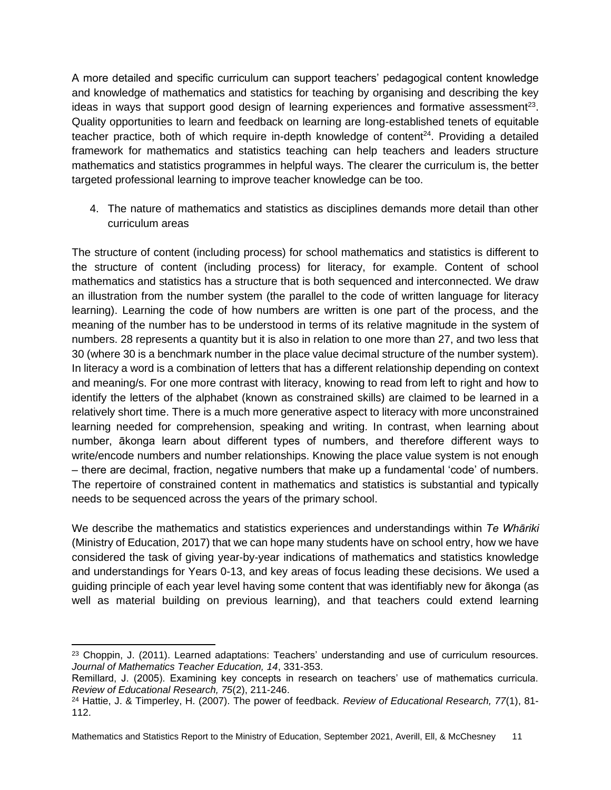A more detailed and specific curriculum can support teachers' pedagogical content knowledge and knowledge of mathematics and statistics for teaching by organising and describing the key ideas in ways that support good design of learning experiences and formative assessment<sup>23</sup>. Quality opportunities to learn and feedback on learning are long-established tenets of equitable teacher practice, both of which require in-depth knowledge of content<sup>24</sup>. Providing a detailed framework for mathematics and statistics teaching can help teachers and leaders structure mathematics and statistics programmes in helpful ways. The clearer the curriculum is, the better targeted professional learning to improve teacher knowledge can be too.

4. The nature of mathematics and statistics as disciplines demands more detail than other curriculum areas

The structure of content (including process) for school mathematics and statistics is different to the structure of content (including process) for literacy, for example. Content of school mathematics and statistics has a structure that is both sequenced and interconnected. We draw an illustration from the number system (the parallel to the code of written language for literacy learning). Learning the code of how numbers are written is one part of the process, and the meaning of the number has to be understood in terms of its relative magnitude in the system of numbers. 28 represents a quantity but it is also in relation to one more than 27, and two less that 30 (where 30 is a benchmark number in the place value decimal structure of the number system). In literacy a word is a combination of letters that has a different relationship depending on context and meaning/s. For one more contrast with literacy, knowing to read from left to right and how to identify the letters of the alphabet (known as constrained skills) are claimed to be learned in a relatively short time. There is a much more generative aspect to literacy with more unconstrained learning needed for comprehension, speaking and writing. In contrast, when learning about number, ākonga learn about different types of numbers, and therefore different ways to write/encode numbers and number relationships. Knowing the place value system is not enough – there are decimal, fraction, negative numbers that make up a fundamental 'code' of numbers. The repertoire of constrained content in mathematics and statistics is substantial and typically needs to be sequenced across the years of the primary school.

We describe the mathematics and statistics experiences and understandings within *Te Whāriki* (Ministry of Education, 2017) that we can hope many students have on school entry, how we have considered the task of giving year-by-year indications of mathematics and statistics knowledge and understandings for Years 0-13, and key areas of focus leading these decisions. We used a guiding principle of each year level having some content that was identifiably new for ākonga (as well as material building on previous learning), and that teachers could extend learning

<sup>&</sup>lt;sup>23</sup> Choppin, J. (2011). Learned adaptations: Teachers' understanding and use of curriculum resources. *Journal of Mathematics Teacher Education, 14*, 331-353.

Remillard, J. (2005). Examining key concepts in research on teachers' use of mathematics curricula. *Review of Educational Research, 75*(2), 211-246.

<sup>24</sup> Hattie, J. & Timperley, H. (2007). The power of feedback. *Review of Educational Research, 77*(1), 81- 112.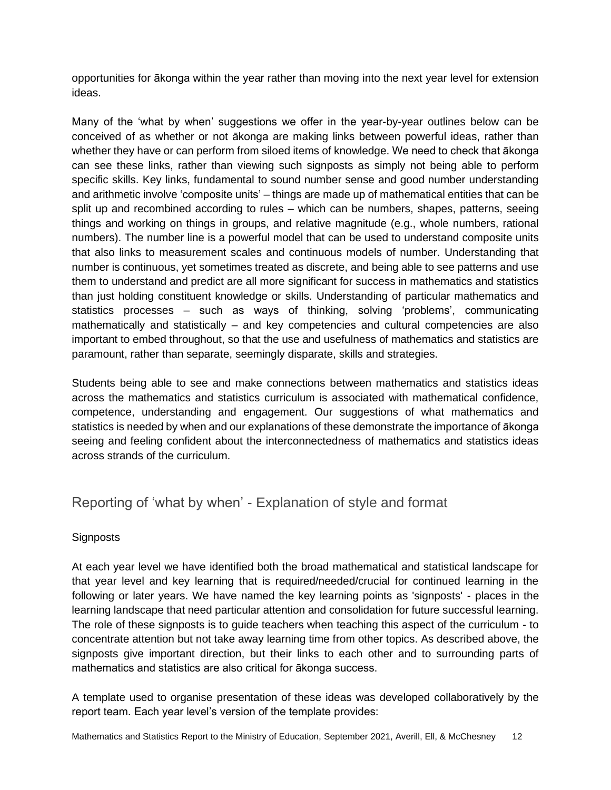opportunities for ākonga within the year rather than moving into the next year level for extension ideas.

Many of the 'what by when' suggestions we offer in the year-by-year outlines below can be conceived of as whether or not ākonga are making links between powerful ideas, rather than whether they have or can perform from siloed items of knowledge. We need to check that ākonga can see these links, rather than viewing such signposts as simply not being able to perform specific skills. Key links, fundamental to sound number sense and good number understanding and arithmetic involve 'composite units' – things are made up of mathematical entities that can be split up and recombined according to rules – which can be numbers, shapes, patterns, seeing things and working on things in groups, and relative magnitude (e.g., whole numbers, rational numbers). The number line is a powerful model that can be used to understand composite units that also links to measurement scales and continuous models of number. Understanding that number is continuous, yet sometimes treated as discrete, and being able to see patterns and use them to understand and predict are all more significant for success in mathematics and statistics than just holding constituent knowledge or skills. Understanding of particular mathematics and statistics processes – such as ways of thinking, solving 'problems', communicating mathematically and statistically – and key competencies and cultural competencies are also important to embed throughout, so that the use and usefulness of mathematics and statistics are paramount, rather than separate, seemingly disparate, skills and strategies.

Students being able to see and make connections between mathematics and statistics ideas across the mathematics and statistics curriculum is associated with mathematical confidence, competence, understanding and engagement. Our suggestions of what mathematics and statistics is needed by when and our explanations of these demonstrate the importance of ākonga seeing and feeling confident about the interconnectedness of mathematics and statistics ideas across strands of the curriculum.

### <span id="page-11-0"></span>Reporting of 'what by when' - Explanation of style and format

### **Signposts**

At each year level we have identified both the broad mathematical and statistical landscape for that year level and key learning that is required/needed/crucial for continued learning in the following or later years. We have named the key learning points as 'signposts' - places in the learning landscape that need particular attention and consolidation for future successful learning. The role of these signposts is to guide teachers when teaching this aspect of the curriculum - to concentrate attention but not take away learning time from other topics. As described above, the signposts give important direction, but their links to each other and to surrounding parts of mathematics and statistics are also critical for ākonga success.

A template used to organise presentation of these ideas was developed collaboratively by the report team. Each year level's version of the template provides: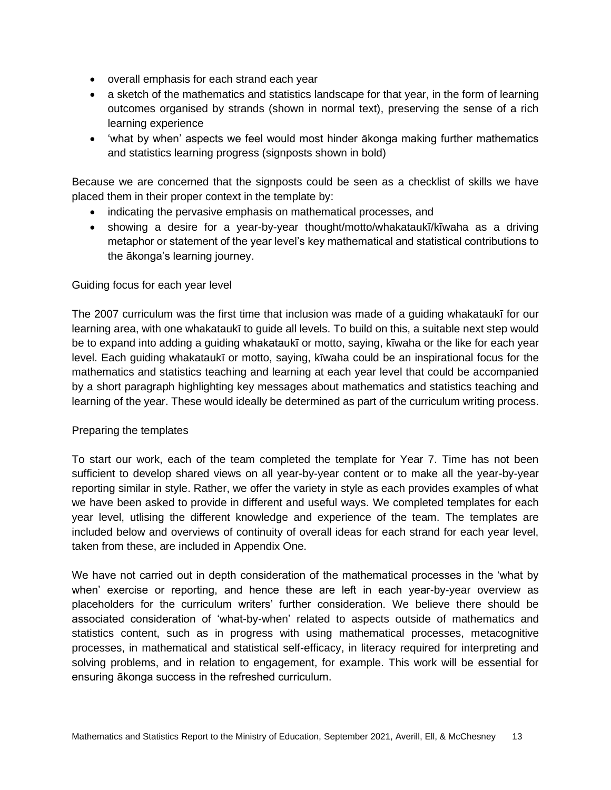- overall emphasis for each strand each year
- a sketch of the mathematics and statistics landscape for that year, in the form of learning outcomes organised by strands (shown in normal text), preserving the sense of a rich learning experience
- 'what by when' aspects we feel would most hinder ākonga making further mathematics and statistics learning progress (signposts shown in bold)

Because we are concerned that the signposts could be seen as a checklist of skills we have placed them in their proper context in the template by:

- indicating the pervasive emphasis on mathematical processes, and
- showing a desire for a year-by-year thought/motto/whakataukī/kīwaha as a driving metaphor or statement of the year level's key mathematical and statistical contributions to the ākonga's learning journey.

#### Guiding focus for each year level

The 2007 curriculum was the first time that inclusion was made of a guiding whakataukī for our learning area, with one whakataukī to guide all levels. To build on this, a suitable next step would be to expand into adding a guiding whakataukī or motto, saying, kīwaha or the like for each year level. Each guiding whakataukī or motto, saying, kīwaha could be an inspirational focus for the mathematics and statistics teaching and learning at each year level that could be accompanied by a short paragraph highlighting key messages about mathematics and statistics teaching and learning of the year. These would ideally be determined as part of the curriculum writing process.

### Preparing the templates

To start our work, each of the team completed the template for Year 7. Time has not been sufficient to develop shared views on all year-by-year content or to make all the year-by-year reporting similar in style. Rather, we offer the variety in style as each provides examples of what we have been asked to provide in different and useful ways. We completed templates for each year level, utlising the different knowledge and experience of the team. The templates are included below and overviews of continuity of overall ideas for each strand for each year level, taken from these, are included in Appendix One.

We have not carried out in depth consideration of the mathematical processes in the 'what by when' exercise or reporting, and hence these are left in each year-by-year overview as placeholders for the curriculum writers' further consideration. We believe there should be associated consideration of 'what-by-when' related to aspects outside of mathematics and statistics content, such as in progress with using mathematical processes, metacognitive processes, in mathematical and statistical self-efficacy, in literacy required for interpreting and solving problems, and in relation to engagement, for example. This work will be essential for ensuring ākonga success in the refreshed curriculum.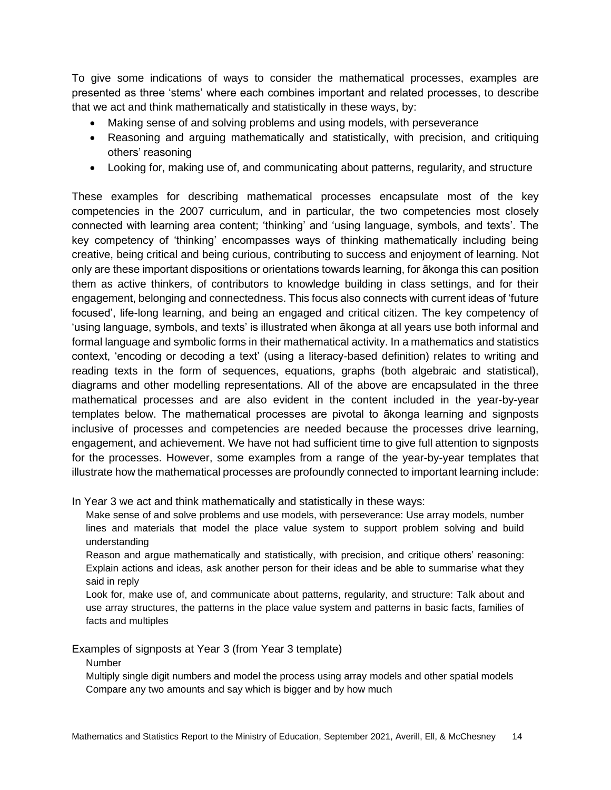To give some indications of ways to consider the mathematical processes, examples are presented as three 'stems' where each combines important and related processes, to describe that we act and think mathematically and statistically in these ways, by:

- Making sense of and solving problems and using models, with perseverance
- Reasoning and arguing mathematically and statistically, with precision, and critiquing others' reasoning
- Looking for, making use of, and communicating about patterns, regularity, and structure

These examples for describing mathematical processes encapsulate most of the key competencies in the 2007 curriculum, and in particular, the two competencies most closely connected with learning area content; 'thinking' and 'using language, symbols, and texts'. The key competency of 'thinking' encompasses ways of thinking mathematically including being creative, being critical and being curious, contributing to success and enjoyment of learning. Not only are these important dispositions or orientations towards learning, for ākonga this can position them as active thinkers, of contributors to knowledge building in class settings, and for their engagement, belonging and connectedness. This focus also connects with current ideas of 'future focused', life-long learning, and being an engaged and critical citizen. The key competency of 'using language, symbols, and texts' is illustrated when ākonga at all years use both informal and formal language and symbolic forms in their mathematical activity. In a mathematics and statistics context, 'encoding or decoding a text' (using a literacy-based definition) relates to writing and reading texts in the form of sequences, equations, graphs (both algebraic and statistical), diagrams and other modelling representations. All of the above are encapsulated in the three mathematical processes and are also evident in the content included in the year-by-year templates below. The mathematical processes are pivotal to ākonga learning and signposts inclusive of processes and competencies are needed because the processes drive learning, engagement, and achievement. We have not had sufficient time to give full attention to signposts for the processes. However, some examples from a range of the year-by-year templates that illustrate how the mathematical processes are profoundly connected to important learning include:

In Year 3 we act and think mathematically and statistically in these ways:

Make sense of and solve problems and use models, with perseverance: Use array models, number lines and materials that model the place value system to support problem solving and build understanding

Reason and argue mathematically and statistically, with precision, and critique others' reasoning: Explain actions and ideas, ask another person for their ideas and be able to summarise what they said in reply

Look for, make use of, and communicate about patterns, regularity, and structure: Talk about and use array structures, the patterns in the place value system and patterns in basic facts, families of facts and multiples

Examples of signposts at Year 3 (from Year 3 template)

Number

Multiply single digit numbers and model the process using array models and other spatial models Compare any two amounts and say which is bigger and by how much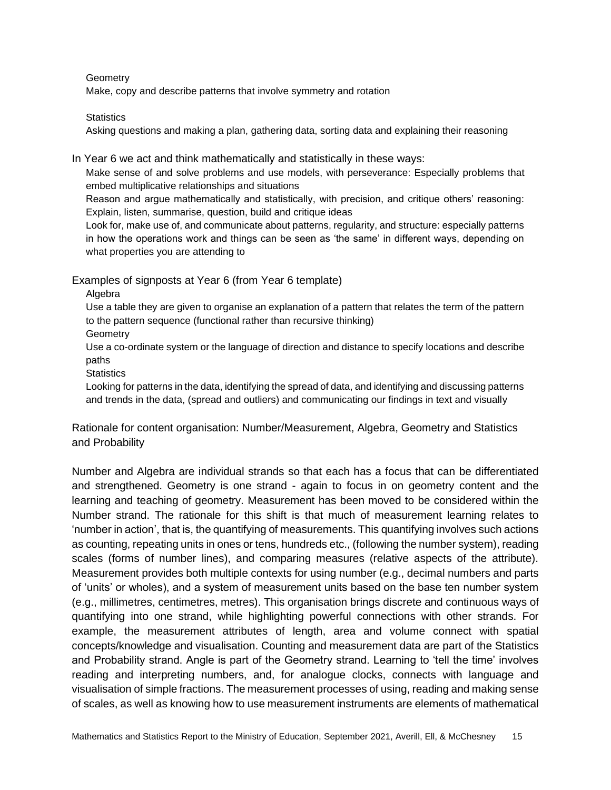**Geometry** 

Make, copy and describe patterns that involve symmetry and rotation

**Statistics** 

Asking questions and making a plan, gathering data, sorting data and explaining their reasoning

In Year 6 we act and think mathematically and statistically in these ways:

Make sense of and solve problems and use models, with perseverance: Especially problems that embed multiplicative relationships and situations

Reason and argue mathematically and statistically, with precision, and critique others' reasoning: Explain, listen, summarise, question, build and critique ideas

Look for, make use of, and communicate about patterns, regularity, and structure: especially patterns in how the operations work and things can be seen as 'the same' in different ways, depending on what properties you are attending to

Examples of signposts at Year 6 (from Year 6 template)

Algebra

Use a table they are given to organise an explanation of a pattern that relates the term of the pattern to the pattern sequence (functional rather than recursive thinking)

**Geometry** 

Use a co-ordinate system or the language of direction and distance to specify locations and describe paths

**Statistics** 

Looking for patterns in the data, identifying the spread of data, and identifying and discussing patterns and trends in the data, (spread and outliers) and communicating our findings in text and visually

Rationale for content organisation: Number/Measurement, Algebra, Geometry and Statistics and Probability

Number and Algebra are individual strands so that each has a focus that can be differentiated and strengthened. Geometry is one strand - again to focus in on geometry content and the learning and teaching of geometry. Measurement has been moved to be considered within the Number strand. The rationale for this shift is that much of measurement learning relates to 'number in action', that is, the quantifying of measurements. This quantifying involves such actions as counting, repeating units in ones or tens, hundreds etc., (following the number system), reading scales (forms of number lines), and comparing measures (relative aspects of the attribute). Measurement provides both multiple contexts for using number (e.g., decimal numbers and parts of 'units' or wholes), and a system of measurement units based on the base ten number system (e.g., millimetres, centimetres, metres). This organisation brings discrete and continuous ways of quantifying into one strand, while highlighting powerful connections with other strands. For example, the measurement attributes of length, area and volume connect with spatial concepts/knowledge and visualisation. Counting and measurement data are part of the Statistics and Probability strand. Angle is part of the Geometry strand. Learning to 'tell the time' involves reading and interpreting numbers, and, for analogue clocks, connects with language and visualisation of simple fractions. The measurement processes of using, reading and making sense of scales, as well as knowing how to use measurement instruments are elements of mathematical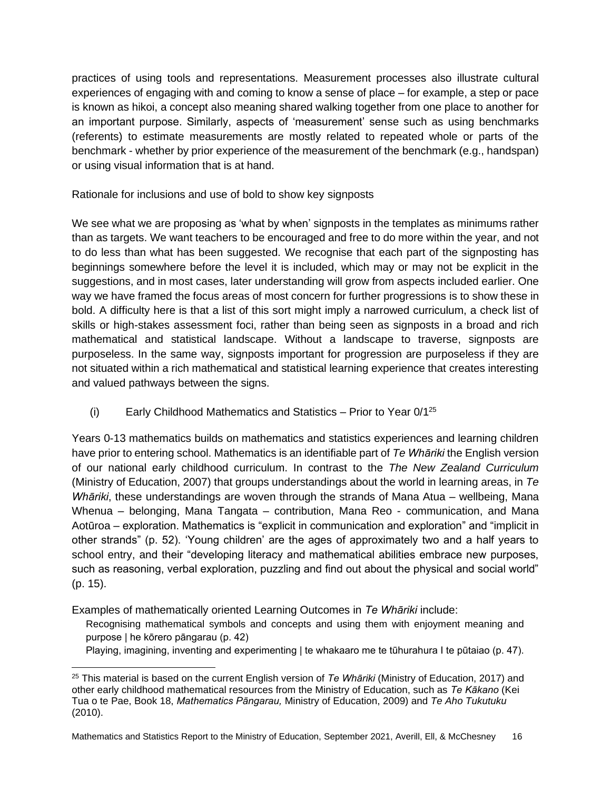practices of using tools and representations. Measurement processes also illustrate cultural experiences of engaging with and coming to know a sense of place – for example, a step or pace is known as hikoi, a concept also meaning shared walking together from one place to another for an important purpose. Similarly, aspects of 'measurement' sense such as using benchmarks (referents) to estimate measurements are mostly related to repeated whole or parts of the benchmark - whether by prior experience of the measurement of the benchmark (e.g., handspan) or using visual information that is at hand.

Rationale for inclusions and use of bold to show key signposts

We see what we are proposing as 'what by when' signposts in the templates as minimums rather than as targets. We want teachers to be encouraged and free to do more within the year, and not to do less than what has been suggested. We recognise that each part of the signposting has beginnings somewhere before the level it is included, which may or may not be explicit in the suggestions, and in most cases, later understanding will grow from aspects included earlier. One way we have framed the focus areas of most concern for further progressions is to show these in bold. A difficulty here is that a list of this sort might imply a narrowed curriculum, a check list of skills or high-stakes assessment foci, rather than being seen as signposts in a broad and rich mathematical and statistical landscape. Without a landscape to traverse, signposts are purposeless. In the same way, signposts important for progression are purposeless if they are not situated within a rich mathematical and statistical learning experience that creates interesting and valued pathways between the signs.

(i) Early Childhood Mathematics and Statistics – Prior to Year  $0/1^{25}$ 

Years 0-13 mathematics builds on mathematics and statistics experiences and learning children have prior to entering school. Mathematics is an identifiable part of *Te Whāriki* the English version of our national early childhood curriculum. In contrast to the *The New Zealand Curriculum* (Ministry of Education, 2007) that groups understandings about the world in learning areas, in *Te Whāriki*, these understandings are woven through the strands of Mana Atua – wellbeing, Mana Whenua – belonging, Mana Tangata – contribution, Mana Reo - communication, and Mana Aotūroa – exploration. Mathematics is "explicit in communication and exploration" and "implicit in other strands" (p. 52). 'Young children' are the ages of approximately two and a half years to school entry, and their "developing literacy and mathematical abilities embrace new purposes, such as reasoning, verbal exploration, puzzling and find out about the physical and social world" (p. 15).

Examples of mathematically oriented Learning Outcomes in *Te Whāriki* include:

Recognising mathematical symbols and concepts and using them with enjoyment meaning and purpose | he kōrero pāngarau (p. 42)

Playing, imagining, inventing and experimenting | te whakaaro me te tūhurahura I te pūtaiao (p. 47).

<sup>25</sup> This material is based on the current English version of *Te Whāriki* (Ministry of Education, 2017) and other early childhood mathematical resources from the Ministry of Education, such as *Te Kākano* (Kei Tua o te Pae, Book 18, *Mathematics Pāngarau,* Ministry of Education, 2009) and *Te Aho Tukutuku* (2010).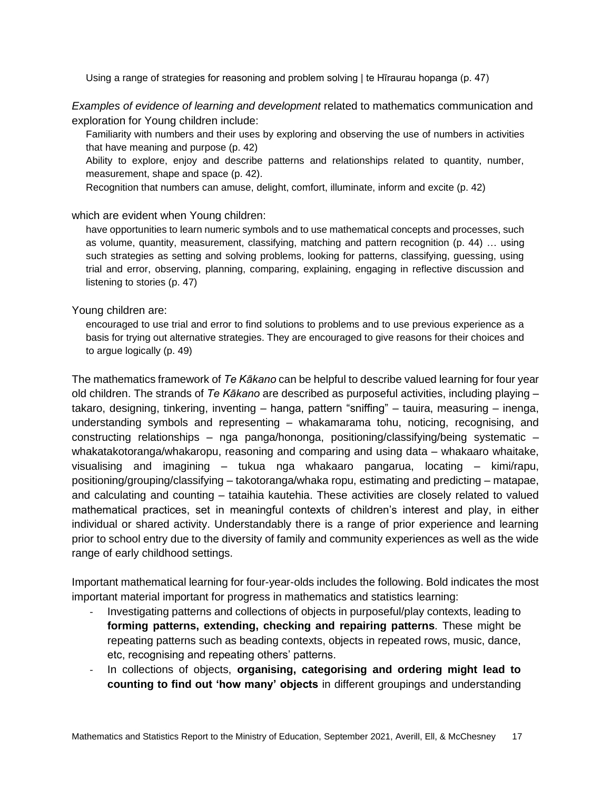Using a range of strategies for reasoning and problem solving | te Hīraurau hopanga (p. 47)

*Examples of evidence of learning and development* related to mathematics communication and exploration for Young children include:

Familiarity with numbers and their uses by exploring and observing the use of numbers in activities that have meaning and purpose (p. 42)

Ability to explore, enjoy and describe patterns and relationships related to quantity, number, measurement, shape and space (p. 42).

Recognition that numbers can amuse, delight, comfort, illuminate, inform and excite (p. 42)

which are evident when Young children:

have opportunities to learn numeric symbols and to use mathematical concepts and processes, such as volume, quantity, measurement, classifying, matching and pattern recognition (p. 44) … using such strategies as setting and solving problems, looking for patterns, classifying, guessing, using trial and error, observing, planning, comparing, explaining, engaging in reflective discussion and listening to stories (p. 47)

#### Young children are:

encouraged to use trial and error to find solutions to problems and to use previous experience as a basis for trying out alternative strategies. They are encouraged to give reasons for their choices and to argue logically (p. 49)

The mathematics framework of *Te Kākano* can be helpful to describe valued learning for four year old children. The strands of *Te Kākano* are described as purposeful activities, including playing – takaro, designing, tinkering, inventing – hanga, pattern "sniffing" – tauira, measuring – inenga, understanding symbols and representing – whakamarama tohu, noticing, recognising, and constructing relationships – nga panga/hononga, positioning/classifying/being systematic – whakatakotoranga/whakaropu, reasoning and comparing and using data – whakaaro whaitake, visualising and imagining – tukua nga whakaaro pangarua, locating – kimi/rapu, positioning/grouping/classifying – takotoranga/whaka ropu, estimating and predicting – matapae, and calculating and counting – tataihia kautehia. These activities are closely related to valued mathematical practices, set in meaningful contexts of children's interest and play, in either individual or shared activity. Understandably there is a range of prior experience and learning prior to school entry due to the diversity of family and community experiences as well as the wide range of early childhood settings.

Important mathematical learning for four-year-olds includes the following. Bold indicates the most important material important for progress in mathematics and statistics learning:

- Investigating patterns and collections of objects in purposeful/play contexts, leading to **forming patterns, extending, checking and repairing patterns**. These might be repeating patterns such as beading contexts, objects in repeated rows, music, dance, etc, recognising and repeating others' patterns.
- In collections of objects, **organising, categorising and ordering might lead to counting to find out 'how many' objects** in different groupings and understanding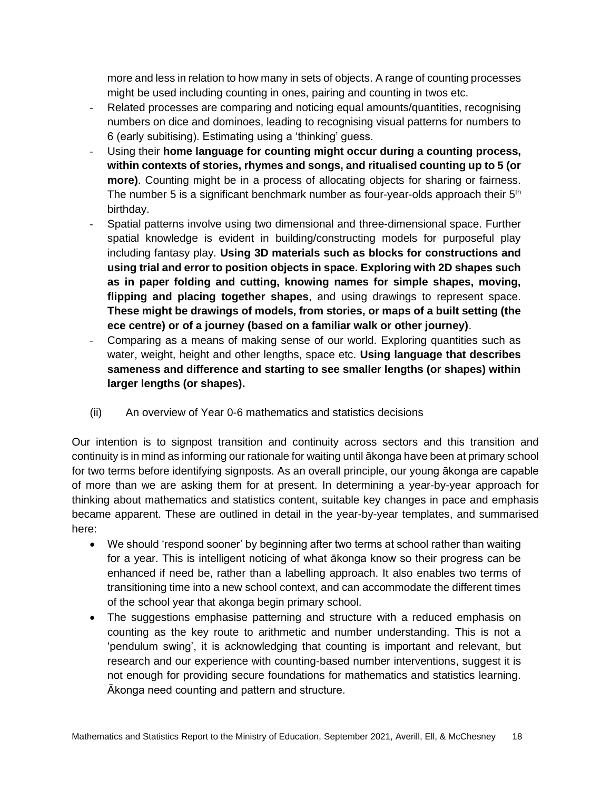more and less in relation to how many in sets of objects. A range of counting processes might be used including counting in ones, pairing and counting in twos etc.

- Related processes are comparing and noticing equal amounts/quantities, recognising numbers on dice and dominoes, leading to recognising visual patterns for numbers to 6 (early subitising). Estimating using a 'thinking' guess.
- Using their **home language for counting might occur during a counting process, within contexts of stories, rhymes and songs, and ritualised counting up to 5 (or more)**. Counting might be in a process of allocating objects for sharing or fairness. The number 5 is a significant benchmark number as four-year-olds approach their  $5<sup>th</sup>$ birthday.
- Spatial patterns involve using two dimensional and three-dimensional space. Further spatial knowledge is evident in building/constructing models for purposeful play including fantasy play. **Using 3D materials such as blocks for constructions and using trial and error to position objects in space. Exploring with 2D shapes such as in paper folding and cutting, knowing names for simple shapes, moving, flipping and placing together shapes**, and using drawings to represent space. **These might be drawings of models, from stories, or maps of a built setting (the ece centre) or of a journey (based on a familiar walk or other journey)**.
- Comparing as a means of making sense of our world. Exploring quantities such as water, weight, height and other lengths, space etc. **Using language that describes sameness and difference and starting to see smaller lengths (or shapes) within larger lengths (or shapes).**
- (ii) An overview of Year 0-6 mathematics and statistics decisions

Our intention is to signpost transition and continuity across sectors and this transition and continuity is in mind as informing our rationale for waiting until ākonga have been at primary school for two terms before identifying signposts. As an overall principle, our young ākonga are capable of more than we are asking them for at present. In determining a year-by-year approach for thinking about mathematics and statistics content, suitable key changes in pace and emphasis became apparent. These are outlined in detail in the year-by-year templates, and summarised here:

- We should 'respond sooner' by beginning after two terms at school rather than waiting for a year. This is intelligent noticing of what ākonga know so their progress can be enhanced if need be, rather than a labelling approach. It also enables two terms of transitioning time into a new school context, and can accommodate the different times of the school year that akonga begin primary school.
- The suggestions emphasise patterning and structure with a reduced emphasis on counting as the key route to arithmetic and number understanding. This is not a 'pendulum swing', it is acknowledging that counting is important and relevant, but research and our experience with counting-based number interventions, suggest it is not enough for providing secure foundations for mathematics and statistics learning. Ākonga need counting and pattern and structure.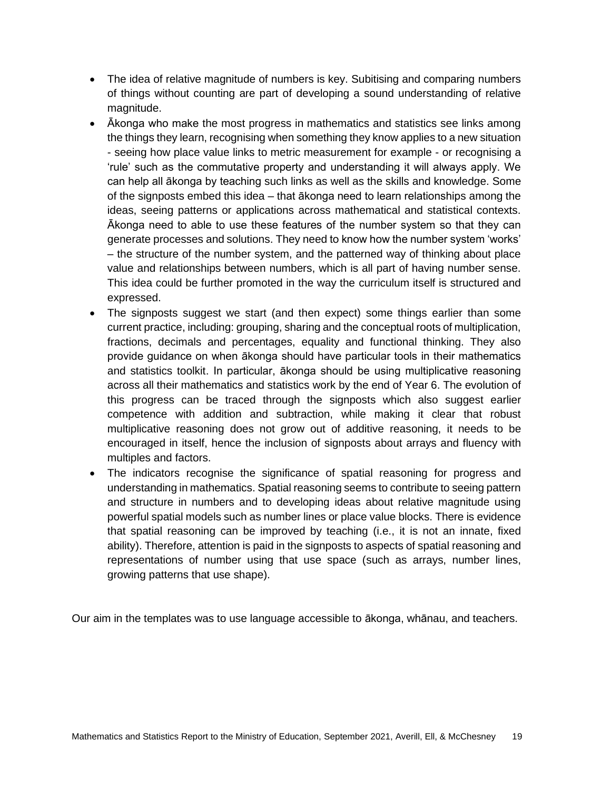- The idea of relative magnitude of numbers is key. Subitising and comparing numbers of things without counting are part of developing a sound understanding of relative magnitude.
- Ākonga who make the most progress in mathematics and statistics see links among the things they learn, recognising when something they know applies to a new situation - seeing how place value links to metric measurement for example - or recognising a 'rule' such as the commutative property and understanding it will always apply. We can help all ākonga by teaching such links as well as the skills and knowledge. Some of the signposts embed this idea – that ākonga need to learn relationships among the ideas, seeing patterns or applications across mathematical and statistical contexts. Ākonga need to able to use these features of the number system so that they can generate processes and solutions. They need to know how the number system 'works' – the structure of the number system, and the patterned way of thinking about place value and relationships between numbers, which is all part of having number sense. This idea could be further promoted in the way the curriculum itself is structured and expressed.
- The signposts suggest we start (and then expect) some things earlier than some current practice, including: grouping, sharing and the conceptual roots of multiplication, fractions, decimals and percentages, equality and functional thinking. They also provide guidance on when ākonga should have particular tools in their mathematics and statistics toolkit. In particular, ākonga should be using multiplicative reasoning across all their mathematics and statistics work by the end of Year 6. The evolution of this progress can be traced through the signposts which also suggest earlier competence with addition and subtraction, while making it clear that robust multiplicative reasoning does not grow out of additive reasoning, it needs to be encouraged in itself, hence the inclusion of signposts about arrays and fluency with multiples and factors.
- The indicators recognise the significance of spatial reasoning for progress and understanding in mathematics. Spatial reasoning seems to contribute to seeing pattern and structure in numbers and to developing ideas about relative magnitude using powerful spatial models such as number lines or place value blocks. There is evidence that spatial reasoning can be improved by teaching (i.e., it is not an innate, fixed ability). Therefore, attention is paid in the signposts to aspects of spatial reasoning and representations of number using that use space (such as arrays, number lines, growing patterns that use shape).

Our aim in the templates was to use language accessible to ākonga, whānau, and teachers.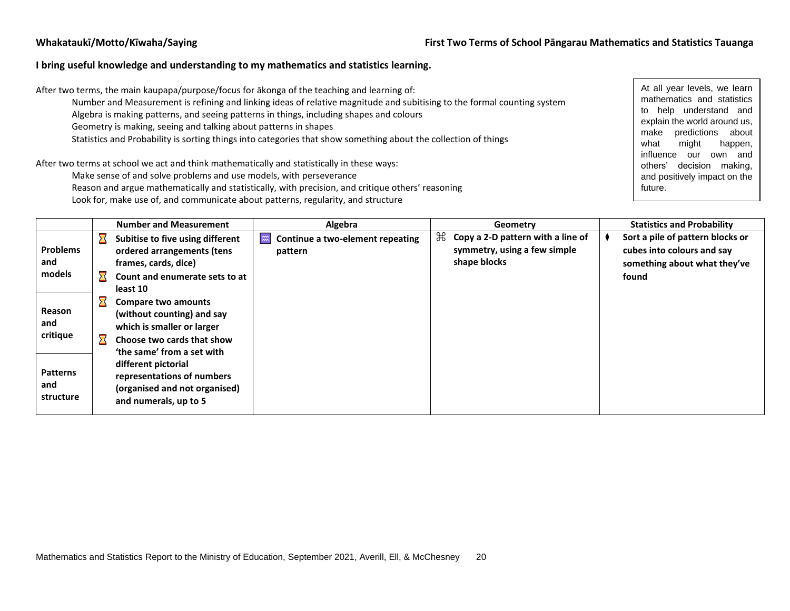#### **I bring useful knowledge and understanding to my mathematics and statistics learning.**

After two terms, the main kaupapa/purpose/focus for ākonga of the teaching and learning of:

- Number and Measurement is refining and linking ideas of relative magnitude and subitising to the formal counting system
- Algebra is making patterns, and seeing patterns in things, including shapes and colours
- Geometry is making, seeing and talking about patterns in shapes
- Statistics and Probability is sorting things into categories that show something about the collection of things

After two terms at school we act and think mathematically and statistically in these ways:

Make sense of and solve problems and use models, with perseverance

Reason and argue mathematically and statistically, with precision, and critique others' reasoning

Look for, make use of, and communicate about patterns, regularity, and structure

At all year levels, we learn mathematics and statistics to help understand and explain the world around us, make predictions about what might happen, influence our own and others' decision making, and positively impact on the future.

|                                     | <b>Number and Measurement</b>                                                                                                               | Algebra                                                                  | Geometry                                                                                        | <b>Statistics and Probability</b>                                                                       |
|-------------------------------------|---------------------------------------------------------------------------------------------------------------------------------------------|--------------------------------------------------------------------------|-------------------------------------------------------------------------------------------------|---------------------------------------------------------------------------------------------------------|
| <b>Problems</b><br>and<br>models    | Subitise to five using different<br>ordered arrangements (tens<br>frames, cards, dice)<br>Count and enumerate sets to at<br>least 10        | $\widetilde{\phantom{a}}$<br>Continue a two-element repeating<br>pattern | $\mathcal{H}$ Copy a 2-D pattern with a line of<br>symmetry, using a few simple<br>shape blocks | Sort a pile of pattern blocks or<br>cubes into colours and say<br>something about what they've<br>found |
| Reason<br>and<br>critique           | Compare two amounts<br>(without counting) and say<br>which is smaller or larger<br>Choose two cards that show<br>'the same' from a set with |                                                                          |                                                                                                 |                                                                                                         |
| <b>Patterns</b><br>and<br>structure | different pictorial<br>representations of numbers<br>(organised and not organised)<br>and numerals, up to 5                                 |                                                                          |                                                                                                 |                                                                                                         |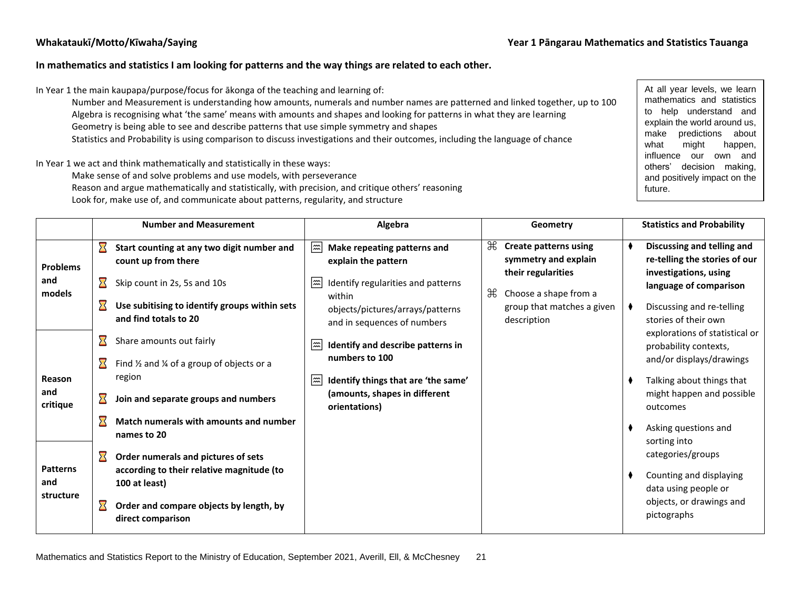#### **In mathematics and statistics I am looking for patterns and the way things are related to each other.**

In Year 1 the main kaupapa/purpose/focus for ākonga of the teaching and learning of:

Number and Measurement is understanding how amounts, numerals and number names are patterned and linked together, up to 100 Algebra is recognising what 'the same' means with amounts and shapes and looking for patterns in what they are learning

Geometry is being able to see and describe patterns that use simple symmetry and shapes

Statistics and Probability is using comparison to discuss investigations and their outcomes, including the language of chance

In Year 1 we act and think mathematically and statistically in these ways:

Make sense of and solve problems and use models, with perseverance

Reason and argue mathematically and statistically, with precision, and critique others' reasoning

Look for, make use of, and communicate about patterns, regularity, and structure

At all year levels, we learn mathematics and statistics to help understand and explain the world around us, make predictions about what might happen, influence our own and others' decision making, and positively impact on the future.

|                  |                            | <b>Number and Measurement</b>                                                                 | Algebra                                                                                                                |   | Geometry                                                                          |  | <b>Statistics and Probability</b>                                                    |  |
|------------------|----------------------------|-----------------------------------------------------------------------------------------------|------------------------------------------------------------------------------------------------------------------------|---|-----------------------------------------------------------------------------------|--|--------------------------------------------------------------------------------------|--|
| <b>Problems</b>  | $\boldsymbol{\Sigma}$      | Start counting at any two digit number and<br>count up from there                             | l≈l<br>Make repeating patterns and<br>explain the pattern                                                              |   | $\mathcal{H}$ Create patterns using<br>symmetry and explain<br>their regularities |  | Discussing and telling and<br>re-telling the stories of our<br>investigations, using |  |
| and<br>models    | $\boldsymbol{\Sigma}$<br>∑ | Skip count in 2s, 5s and 10s<br>Use subitising to identify groups within sets                 | $ \tilde{ }  \tilde{ }  \tilde{ }$<br>Identify regularities and patterns<br>within<br>objects/pictures/arrays/patterns | ₩ | Choose a shape from a<br>group that matches a given                               |  | language of comparison<br>Discussing and re-telling                                  |  |
|                  | ⊠                          | and find totals to 20<br>Share amounts out fairly                                             | and in sequences of numbers<br> ﷺ∣<br>Identify and describe patterns in<br>numbers to 100                              |   | description                                                                       |  | stories of their own<br>explorations of statistical or<br>probability contexts,      |  |
| Reason<br>and    | $\boldsymbol{\Sigma}$      | Find $\frac{1}{2}$ and $\frac{1}{4}$ of a group of objects or a<br>region                     | ∣≈≈<br>Identify things that are 'the same'<br>(amounts, shapes in different                                            |   |                                                                                   |  | and/or displays/drawings<br>Talking about things that<br>might happen and possible   |  |
| critique         | ⊠                          | Join and separate groups and numbers<br>Match numerals with amounts and number<br>names to 20 | orientations)                                                                                                          |   |                                                                                   |  | outcomes<br>Asking questions and                                                     |  |
| <b>Patterns</b>  | $\boldsymbol{\Sigma}$      | Order numerals and pictures of sets<br>according to their relative magnitude (to              |                                                                                                                        |   |                                                                                   |  | sorting into<br>categories/groups<br>Counting and displaying                         |  |
| and<br>structure | Х                          | 100 at least)<br>Order and compare objects by length, by<br>direct comparison                 |                                                                                                                        |   |                                                                                   |  | data using people or<br>objects, or drawings and<br>pictographs                      |  |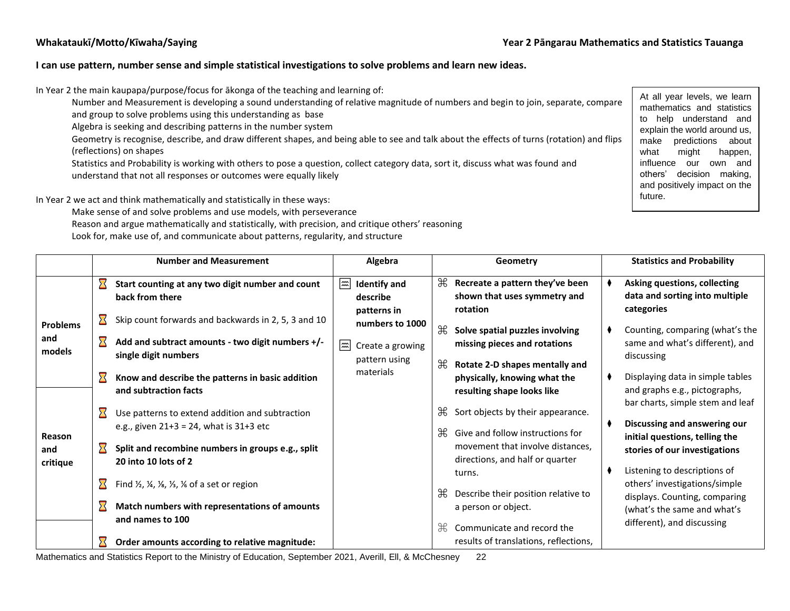#### **I can use pattern, number sense and simple statistical investigations to solve problems and learn new ideas.**

In Year 2 the main kaupapa/purpose/focus for ākonga of the teaching and learning of:

Number and Measurement is developing a sound understanding of relative magnitude of numbers and begin to join, separate, compare and group to solve problems using this understanding as base

Algebra is seeking and describing patterns in the number system

Geometry is recognise, describe, and draw different shapes, and being able to see and talk about the effects of turns (rotation) and flips (reflections) on shapes

Statistics and Probability is working with others to pose a question, collect category data, sort it, discuss what was found and understand that not all responses or outcomes were equally likely

In Year 2 we act and think mathematically and statistically in these ways:

Make sense of and solve problems and use models, with perseverance

- Reason and argue mathematically and statistically, with precision, and critique others' reasoning
- Look for, make use of, and communicate about patterns, regularity, and structure

At all year levels, we learn mathematics and statistics to help understand and explain the world around us, make predictions about what might happen, influence our own and others' decision making, and positively impact on the future.

|                                  |                                                | <b>Number and Measurement</b>                                                                                                                                              |             | Algebra                                                                                  |                                                                                                                             | Geometry                                                                                                          | <b>Statistics and Probability</b>                                                                                               |
|----------------------------------|------------------------------------------------|----------------------------------------------------------------------------------------------------------------------------------------------------------------------------|-------------|------------------------------------------------------------------------------------------|-----------------------------------------------------------------------------------------------------------------------------|-------------------------------------------------------------------------------------------------------------------|---------------------------------------------------------------------------------------------------------------------------------|
|                                  | $\boldsymbol{\Sigma}$                          | Start counting at any two digit number and count<br>back from there<br>Skip count forwards and backwards in 2, 5, 3 and 10                                                 | $\boxed{2}$ | <b>Identify and</b><br>describe<br>patterns in                                           | ₩                                                                                                                           | Recreate a pattern they've been<br>shown that uses symmetry and<br>rotation                                       | Asking questions, collecting<br>data and sorting into multiple<br>categories                                                    |
| <b>Problems</b><br>and<br>models | $\bf \Sigma$<br>$\boldsymbol{\Sigma}$          | Add and subtract amounts - two digit numbers +/-<br>single digit numbers                                                                                                   | ﷺ           | numbers to 1000<br>Create a growing<br>pattern using<br>materials                        | $\mathbb{R}$<br>æ                                                                                                           | Solve spatial puzzles involving<br>missing pieces and rotations<br>Rotate 2-D shapes mentally and                 | Counting, comparing (what's the<br>same and what's different), and<br>discussing                                                |
|                                  | $\boldsymbol{\Sigma}$<br>$\boldsymbol{\Sigma}$ | Know and describe the patterns in basic addition<br>and subtraction facts<br>Use patterns to extend addition and subtraction                                               |             |                                                                                          | Æ                                                                                                                           | physically, knowing what the<br>resulting shape looks like<br>Sort objects by their appearance.                   | Displaying data in simple tables<br>and graphs e.g., pictographs,<br>bar charts, simple stem and leaf                           |
| <b>Reason</b><br>and<br>critique | ⊠                                              | e.g., given $21+3 = 24$ , what is $31+3$ etc<br>Split and recombine numbers in groups e.g., split<br>20 into 10 lots of 2                                                  |             |                                                                                          | ₩                                                                                                                           | Give and follow instructions for<br>movement that involve distances,<br>directions, and half or quarter<br>turns. | Discussing and answering our<br>initial questions, telling the<br>stories of our investigations<br>Listening to descriptions of |
|                                  | $\boldsymbol{\Sigma}$<br>$\boldsymbol{\Sigma}$ | Find $\frac{1}{2}$ , $\frac{1}{4}$ , $\frac{1}{8}$ , $\frac{1}{3}$ , $\frac{1}{6}$ of a set or region<br>Match numbers with representations of amounts<br>and names to 100 | ₩<br>Æ      | Describe their position relative to<br>a person or object.<br>Communicate and record the | others' investigations/simple<br>displays. Counting, comparing<br>(what's the same and what's<br>different), and discussing |                                                                                                                   |                                                                                                                                 |
|                                  |                                                | Order amounts according to relative magnitude:                                                                                                                             |             |                                                                                          |                                                                                                                             | results of translations, reflections,                                                                             |                                                                                                                                 |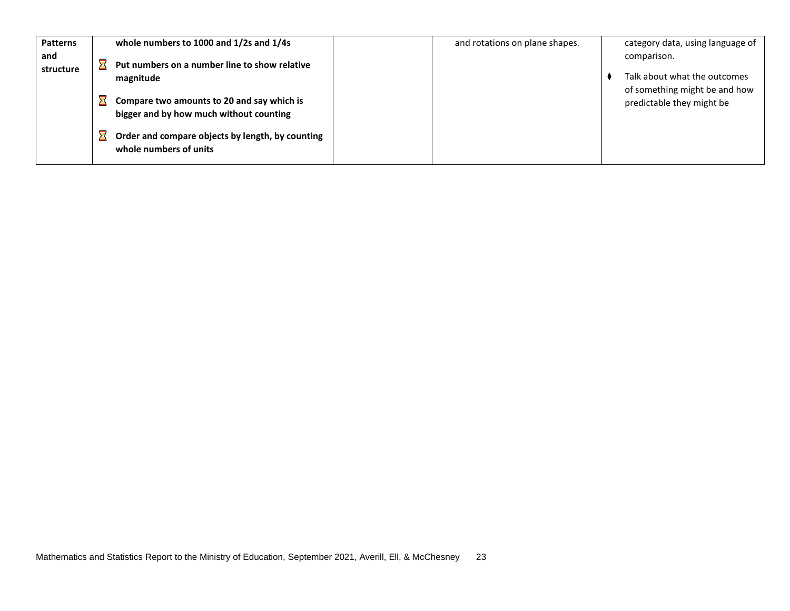| <b>Patterns</b>  | whole numbers to 1000 and 1/2s and 1/4s                                               | and rotations on plane shapes. | category data, using language of                                             |
|------------------|---------------------------------------------------------------------------------------|--------------------------------|------------------------------------------------------------------------------|
| and<br>structure | Put numbers on a number line to show relative<br>magnitude                            |                                | comparison.<br>Talk about what the outcomes<br>of something might be and how |
|                  | Compare two amounts to 20 and say which is<br>bigger and by how much without counting |                                | predictable they might be                                                    |
|                  | Order and compare objects by length, by counting<br>whole numbers of units            |                                |                                                                              |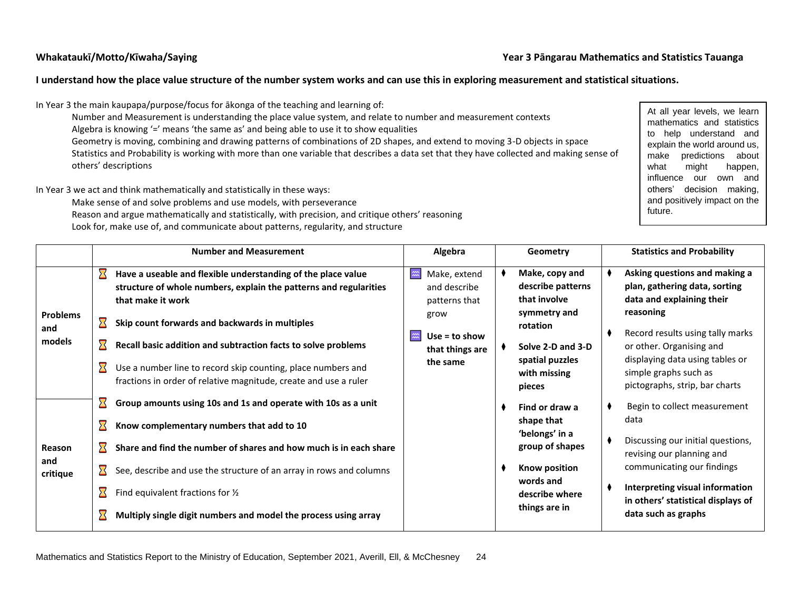#### **Whakataukī/Motto/Kīwaha/Saying Year 3 Pāngarau Mathematics and Statistics Tauanga**

#### **I understand how the place value structure of the number system works and can use this in exploring measurement and statistical situations.**

In Year 3 the main kaupapa/purpose/focus for ākonga of the teaching and learning of:

Number and Measurement is understanding the place value system, and relate to number and measurement contexts Algebra is knowing '=' means 'the same as' and being able to use it to show equalities Geometry is moving, combining and drawing patterns of combinations of 2D shapes, and extend to moving 3-D objects in space

Statistics and Probability is working with more than one variable that describes a data set that they have collected and making sense of others' descriptions

In Year 3 we act and think mathematically and statistically in these ways:

Make sense of and solve problems and use models, with perseverance

Reason and argue mathematically and statistically, with precision, and critique others' reasoning Look for, make use of, and communicate about patterns, regularity, and structure

At all year levels, we learn mathematics and statistics to help understand and explain the world around us, make predictions about what might happen, influence our own and others' decision making, and positively impact on the future.

|                        | <b>Number and Measurement</b> |                                                                                                                                                        | Algebra                                                                     |  | Geometry                                                            | <b>Statistics and Probability</b> |                                                                                                          |  |
|------------------------|-------------------------------|--------------------------------------------------------------------------------------------------------------------------------------------------------|-----------------------------------------------------------------------------|--|---------------------------------------------------------------------|-----------------------------------|----------------------------------------------------------------------------------------------------------|--|
|                        | $\boldsymbol{\Sigma}$         | Have a useable and flexible understanding of the place value<br>structure of whole numbers, explain the patterns and regularities<br>that make it work | Make, extend<br>$\widetilde{\mathfrak{m}}$<br>and describe<br>patterns that |  | Make, copy and<br>describe patterns<br>that involve<br>symmetry and |                                   | Asking questions and making a<br>plan, gathering data, sorting<br>data and explaining their<br>reasoning |  |
| <b>Problems</b><br>and | $\boldsymbol{\Sigma}$         | Skip count forwards and backwards in multiples                                                                                                         | grow                                                                        |  | rotation                                                            |                                   | Record results using tally marks                                                                         |  |
| models                 |                               | Recall basic addition and subtraction facts to solve problems                                                                                          | $Use = to show$<br>$\widetilde{\mathbf{m}}$<br>that things are              |  | Solve 2-D and 3-D                                                   |                                   | or other. Organising and                                                                                 |  |
|                        |                               | Use a number line to record skip counting, place numbers and<br>fractions in order of relative magnitude, create and use a ruler                       | the same                                                                    |  | spatial puzzles<br>with missing<br>pieces                           |                                   | displaying data using tables or<br>simple graphs such as<br>pictographs, strip, bar charts               |  |
|                        |                               | Group amounts using 10s and 1s and operate with 10s as a unit                                                                                          |                                                                             |  | Find or draw a                                                      |                                   | Begin to collect measurement                                                                             |  |
|                        |                               | Know complementary numbers that add to 10                                                                                                              |                                                                             |  | shape that<br>'belongs' in a                                        |                                   | data                                                                                                     |  |
| Reason<br>and          |                               | Share and find the number of shares and how much is in each share                                                                                      |                                                                             |  | group of shapes                                                     |                                   | Discussing our initial questions,<br>revising our planning and                                           |  |
| critique               |                               | See, describe and use the structure of an array in rows and columns                                                                                    |                                                                             |  | Know position<br>words and                                          |                                   | communicating our findings                                                                               |  |
|                        |                               | Find equivalent fractions for $\frac{1}{2}$                                                                                                            |                                                                             |  | describe where                                                      |                                   | Interpreting visual information<br>in others' statistical displays of                                    |  |
|                        |                               | Multiply single digit numbers and model the process using array                                                                                        |                                                                             |  | things are in                                                       |                                   | data such as graphs                                                                                      |  |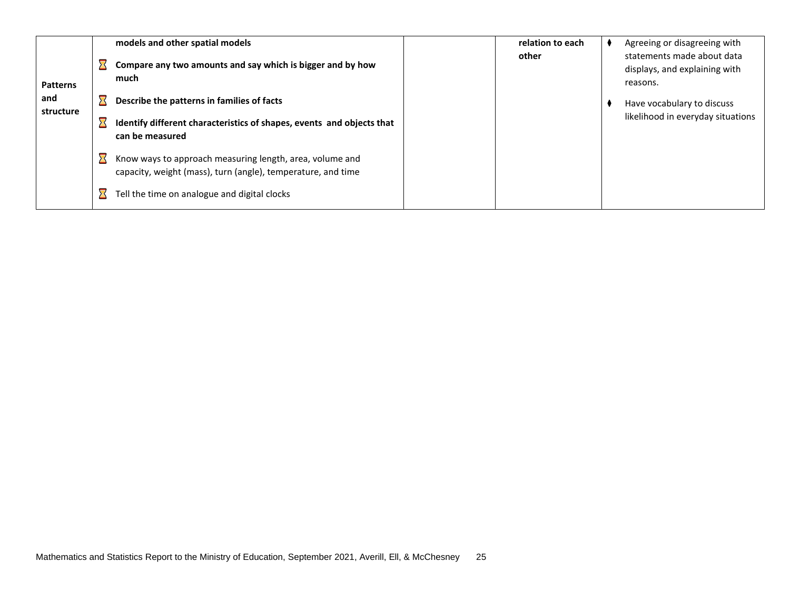| <b>Patterns</b>  | models and other spatial models<br>Compare any two amounts and say which is bigger and by how<br>much                    | relation to each<br>other | Agreeing or disagreeing with<br>statements made about data<br>displays, and explaining with<br>reasons. |
|------------------|--------------------------------------------------------------------------------------------------------------------------|---------------------------|---------------------------------------------------------------------------------------------------------|
| and<br>structure | Describe the patterns in families of facts                                                                               |                           | Have vocabulary to discuss                                                                              |
|                  | Identify different characteristics of shapes, events and objects that<br>can be measured                                 |                           | likelihood in everyday situations                                                                       |
|                  | Know ways to approach measuring length, area, volume and<br>capacity, weight (mass), turn (angle), temperature, and time |                           |                                                                                                         |
|                  | Tell the time on analogue and digital clocks                                                                             |                           |                                                                                                         |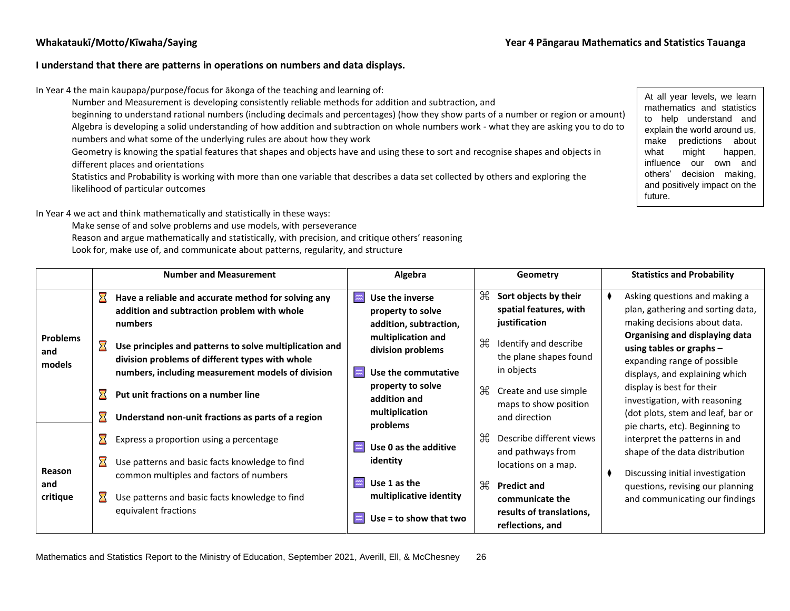#### **I understand that there are patterns in operations on numbers and data displays.**

In Year 4 the main kaupapa/purpose/focus for ākonga of the teaching and learning of:

Number and Measurement is developing consistently reliable methods for addition and subtraction, and

beginning to understand rational numbers (including decimals and percentages) (how they show parts of a number or region or amount) Algebra is developing a solid understanding of how addition and subtraction on whole numbers work - what they are asking you to do to numbers and what some of the underlying rules are about how they work

Geometry is knowing the spatial features that shapes and objects have and using these to sort and recognise shapes and objects in different places and orientations

Statistics and Probability is working with more than one variable that describes a data set collected by others and exploring the likelihood of particular outcomes

At all year levels, we learn mathematics and statistics to help understand and explain the world around us, make predictions about what might happen, influence our own and others' decision making, and positively impact on the future.

In Year 4 we act and think mathematically and statistically in these ways:

Make sense of and solve problems and use models, with perseverance

Reason and argue mathematically and statistically, with precision, and critique others' reasoning

Look for, make use of, and communicate about patterns, regularity, and structure

|                 |                                                                                                | <b>Number and Measurement</b>                                                                                                                                            |                                                                                                                                  | Algebra                                                                                                   |                                                | Geometry                                                                                  |                                                            | <b>Statistics and Probability</b>                                                                                                                                |
|-----------------|------------------------------------------------------------------------------------------------|--------------------------------------------------------------------------------------------------------------------------------------------------------------------------|----------------------------------------------------------------------------------------------------------------------------------|-----------------------------------------------------------------------------------------------------------|------------------------------------------------|-------------------------------------------------------------------------------------------|------------------------------------------------------------|------------------------------------------------------------------------------------------------------------------------------------------------------------------|
| <b>Problems</b> | $\mathbf{\Sigma}% _{0}^{X^{\prime}}=\mathbf{\Sigma}_{0}^{X^{\prime}}$<br>$\boldsymbol{\Sigma}$ | Have a reliable and accurate method for solving any<br>addition and subtraction problem with whole<br>numbers<br>Use principles and patterns to solve multiplication and | $\widetilde{\widetilde{\phantom{m}}}\hspace{-0.2cm}=\hspace{-0.2cm}\widetilde{\phantom{m}}\hspace{-0.2cm}$                       | Use the inverse<br>property to solve<br>addition, subtraction,<br>multiplication and<br>division problems | ₩<br>₩                                         | Sort objects by their<br>spatial features, with<br>justification<br>Identify and describe |                                                            | Asking questions and making a<br>plan, gathering and sorting data,<br>making decisions about data.<br>Organising and displaying data<br>using tables or graphs - |
| and<br>models   |                                                                                                | division problems of different types with whole<br>numbers, including measurement models of division                                                                     | $\widetilde{\widetilde{\phantom{m}}}\hspace{-0.2cm}\widetilde{\phantom{m}}\hspace{-0.2cm}\widetilde{\phantom{m}}\hspace{-0.2cm}$ | Use the commutative                                                                                       |                                                | the plane shapes found<br>in objects                                                      |                                                            | expanding range of possible<br>displays, and explaining which                                                                                                    |
|                 | ≻≺                                                                                             | Put unit fractions on a number line                                                                                                                                      | property to solve<br>addition and                                                                                                | $\mathbb R$                                                                                               | Create and use simple<br>maps to show position |                                                                                           | display is best for their<br>investigation, with reasoning |                                                                                                                                                                  |
|                 | ≻≺                                                                                             | Understand non-unit fractions as parts of a region                                                                                                                       |                                                                                                                                  | multiplication<br>problems                                                                                |                                                | and direction                                                                             |                                                            | (dot plots, stem and leaf, bar or<br>pie charts, etc). Beginning to                                                                                              |
|                 | ⊠                                                                                              | Express a proportion using a percentage                                                                                                                                  | $\widetilde{\widetilde{\phantom{m}}}\hspace{-0.2cm}=\hspace{-0.2cm}\widetilde{\phantom{m}}\hspace{-0.2cm}$                       | Use 0 as the additive                                                                                     | ₩                                              | Describe different views<br>and pathways from                                             |                                                            | interpret the patterns in and<br>shape of the data distribution                                                                                                  |
| Reason          |                                                                                                | Use patterns and basic facts knowledge to find<br>common multiples and factors of numbers                                                                                | identity                                                                                                                         |                                                                                                           |                                                | locations on a map.                                                                       |                                                            | Discussing initial investigation                                                                                                                                 |
| and<br>critique | ∑                                                                                              | Use patterns and basic facts knowledge to find                                                                                                                           | $\widetilde{\phantom{m}}$                                                                                                        | Use 1 as the<br>multiplicative identity                                                                   | ₩                                              | <b>Predict and</b><br>communicate the                                                     |                                                            | questions, revising our planning<br>and communicating our findings                                                                                               |
|                 |                                                                                                | equivalent fractions                                                                                                                                                     | $\widetilde{\widetilde{\phantom{m}}}\hspace{-0.2cm}\widetilde{\phantom{m}}\hspace{-0.2cm}\widetilde{\phantom{m}}\hspace{-0.2cm}$ | Use = to show that two                                                                                    |                                                | results of translations,<br>reflections, and                                              |                                                            |                                                                                                                                                                  |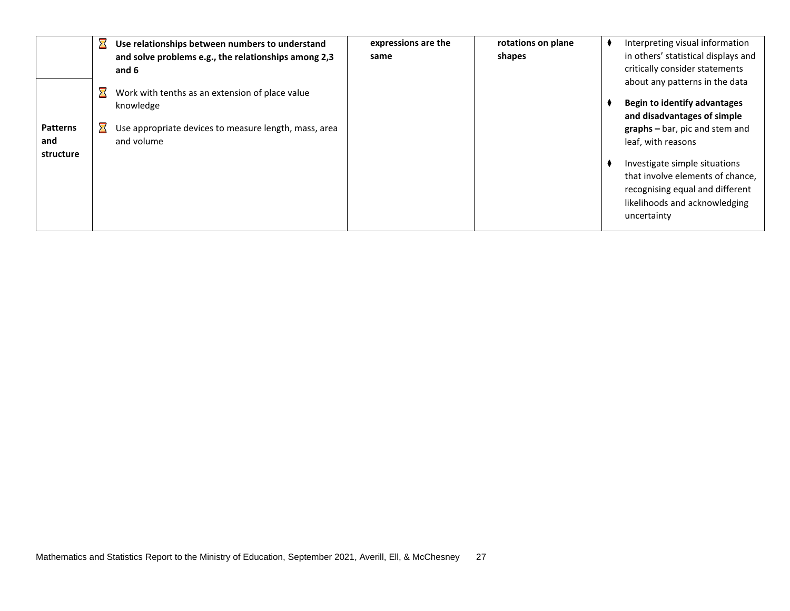|                 | Use relationships between numbers to understand       | expressions are the | rotations on plane | Interpreting visual information     |
|-----------------|-------------------------------------------------------|---------------------|--------------------|-------------------------------------|
|                 | and solve problems e.g., the relationships among 2,3  | same                | shapes             | in others' statistical displays and |
|                 | and 6                                                 |                     |                    | critically consider statements      |
|                 |                                                       |                     |                    | about any patterns in the data      |
|                 | Work with tenths as an extension of place value       |                     |                    | <b>Begin to identify advantages</b> |
|                 | knowledge                                             |                     |                    | and disadvantages of simple         |
| <b>Patterns</b> | Use appropriate devices to measure length, mass, area |                     |                    | $graphs - bar$ , pic and stem and   |
| and             | and volume                                            |                     |                    | leaf, with reasons                  |
| structure       |                                                       |                     |                    |                                     |
|                 |                                                       |                     |                    | Investigate simple situations       |
|                 |                                                       |                     |                    | that involve elements of chance,    |
|                 |                                                       |                     |                    | recognising equal and different     |
|                 |                                                       |                     |                    | likelihoods and acknowledging       |
|                 |                                                       |                     |                    | uncertainty                         |
|                 |                                                       |                     |                    |                                     |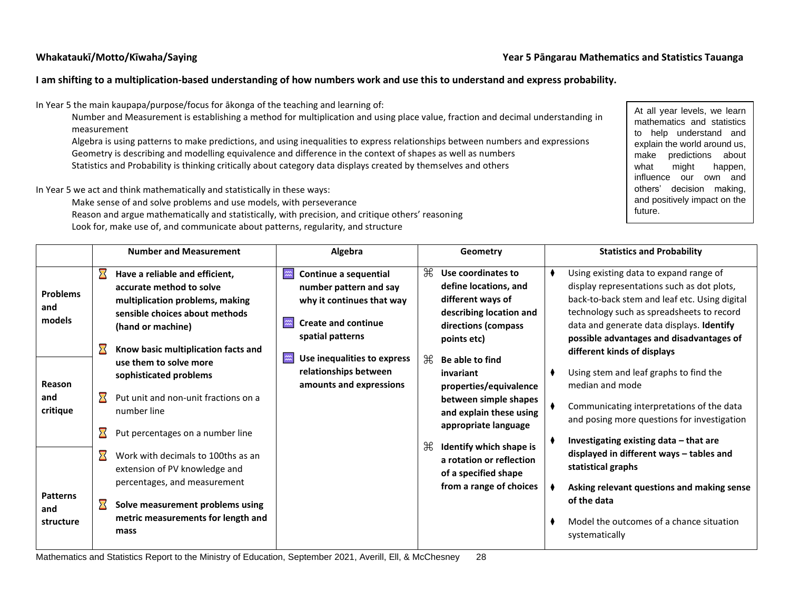#### **Whakataukī/Motto/Kīwaha/Saying Year 5 Pāngarau Mathematics and Statistics Tauanga**

### **I am shifting to a multiplication-based understanding of how numbers work and use this to understand and express probability.**

In Year 5 the main kaupapa/purpose/focus for ākonga of the teaching and learning of:

Number and Measurement is establishing a method for multiplication and using place value, fraction and decimal understanding in measurement

Algebra is using patterns to make predictions, and using inequalities to express relationships between numbers and expressions Geometry is describing and modelling equivalence and difference in the context of shapes as well as numbers Statistics and Probability is thinking critically about category data displays created by themselves and others

In Year 5 we act and think mathematically and statistically in these ways:

Make sense of and solve problems and use models, with perseverance

Reason and argue mathematically and statistically, with precision, and critique others' reasoning Look for, make use of, and communicate about patterns, regularity, and structure

At all year levels, we learn mathematics and statistics to help understand and explain the world around us, make predictions about what might happen, influence our own and others' decision making, and positively impact on the future.

|                                     |                       | <b>Number and Measurement</b>                                                                                                                        |                    | Algebra                                                                                                                        |   | Geometry                                                                                                           | <b>Statistics and Probability</b>                                                                                                                                                                                               |
|-------------------------------------|-----------------------|------------------------------------------------------------------------------------------------------------------------------------------------------|--------------------|--------------------------------------------------------------------------------------------------------------------------------|---|--------------------------------------------------------------------------------------------------------------------|---------------------------------------------------------------------------------------------------------------------------------------------------------------------------------------------------------------------------------|
| <b>Problems</b><br>and<br>models    |                       | Have a reliable and efficient,<br>accurate method to solve<br>multiplication problems, making<br>sensible choices about methods<br>(hand or machine) | $\widetilde{\sim}$ | Continue a sequential<br>number pattern and say<br>why it continues that way<br><b>Create and continue</b><br>spatial patterns | æ | Use coordinates to<br>define locations, and<br>different ways of<br>describing location and<br>directions (compass | Using existing data to expand range of<br>display representations such as dot plots,<br>back-to-back stem and leaf etc. Using digital<br>technology such as spreadsheets to record<br>data and generate data displays. Identify |
|                                     |                       | Know basic multiplication facts and<br>use them to solve more<br>sophisticated problems                                                              | $\approx$          | Use inequalities to express<br>relationships between                                                                           | æ | points etc)<br>Be able to find<br>invariant                                                                        | possible advantages and disadvantages of<br>different kinds of displays<br>Using stem and leaf graphs to find the                                                                                                               |
| Reason<br>and<br>critique           | $\boldsymbol{\Sigma}$ | Put unit and non-unit fractions on a<br>number line                                                                                                  |                    | amounts and expressions                                                                                                        |   | properties/equivalence<br>between simple shapes<br>and explain these using<br>appropriate language                 | median and mode<br>Communicating interpretations of the data<br>and posing more questions for investigation                                                                                                                     |
|                                     | $\boldsymbol{\Sigma}$ | Put percentages on a number line<br>Work with decimals to 100ths as an<br>extension of PV knowledge and                                              |                    |                                                                                                                                | ₩ | Identify which shape is<br>a rotation or reflection<br>of a specified shape                                        | Investigating existing data - that are<br>displayed in different ways - tables and<br>statistical graphs                                                                                                                        |
| <b>Patterns</b><br>and<br>structure |                       | percentages, and measurement<br>Solve measurement problems using<br>metric measurements for length and<br>mass                                       |                    |                                                                                                                                |   | from a range of choices                                                                                            | Asking relevant questions and making sense<br>of the data<br>Model the outcomes of a chance situation<br>systematically                                                                                                         |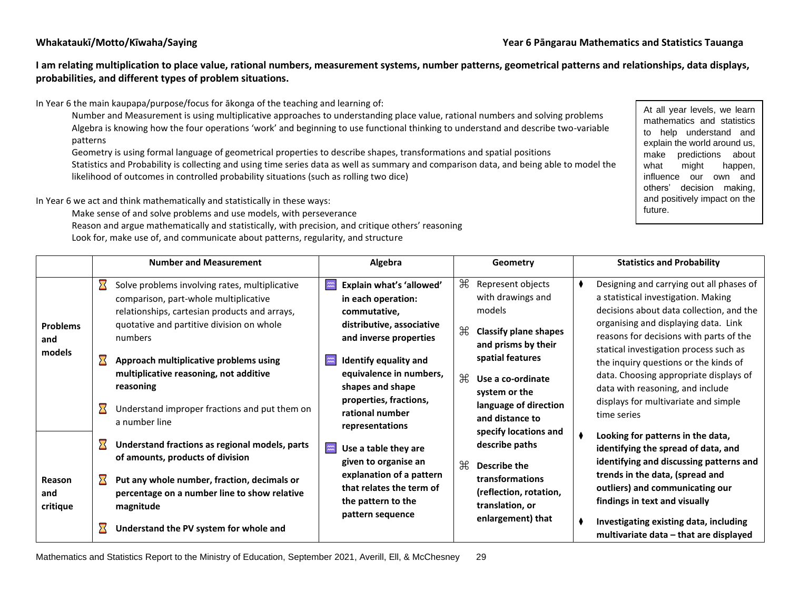**I am relating multiplication to place value, rational numbers, measurement systems, number patterns, geometrical patterns and relationships, data displays, probabilities, and different types of problem situations.**

In Year 6 the main kaupapa/purpose/focus for ākonga of the teaching and learning of:

Number and Measurement is using multiplicative approaches to understanding place value, rational numbers and solving problems Algebra is knowing how the four operations 'work' and beginning to use functional thinking to understand and describe two-variable patterns

Geometry is using formal language of geometrical properties to describe shapes, transformations and spatial positions

Statistics and Probability is collecting and using time series data as well as summary and comparison data, and being able to model the likelihood of outcomes in controlled probability situations (such as rolling two dice)

In Year 6 we act and think mathematically and statistically in these ways:

Make sense of and solve problems and use models, with perseverance

Reason and argue mathematically and statistically, with precision, and critique others' reasoning

Look for, make use of, and communicate about patterns, regularity, and structure

At all year levels, we learn mathematics and statistics to help understand and explain the world around us, make predictions about what might happen, influence our own and others' decision making, and positively impact on the future.

|                           |                       | <b>Number and Measurement</b>                                                                                                                                                         |                                                                                                                                                                                                                                         | Algebra                                                                                     |                                                                                                     | Geometry                                                                                                                                                                                                 | <b>Statistics and Probability</b>                                                                                                                                   |
|---------------------------|-----------------------|---------------------------------------------------------------------------------------------------------------------------------------------------------------------------------------|-----------------------------------------------------------------------------------------------------------------------------------------------------------------------------------------------------------------------------------------|---------------------------------------------------------------------------------------------|-----------------------------------------------------------------------------------------------------|----------------------------------------------------------------------------------------------------------------------------------------------------------------------------------------------------------|---------------------------------------------------------------------------------------------------------------------------------------------------------------------|
| <b>Problems</b>           | $\boldsymbol{\Sigma}$ | Solve problems involving rates, multiplicative<br>comparison, part-whole multiplicative<br>relationships, cartesian products and arrays,<br>quotative and partitive division on whole | $\widetilde{\phantom{m}}$                                                                                                                                                                                                               | Explain what's 'allowed'<br>in each operation:<br>commutative,<br>distributive, associative | ₩<br>$\mathcal{H}$                                                                                  | Represent objects<br>with drawings and<br>models<br><b>Classify plane shapes</b>                                                                                                                         | Designing and carrying out all phases of<br>a statistical investigation. Making<br>decisions about data collection, and the<br>organising and displaying data. Link |
| and<br>models             | $\bf \Sigma$          | numbers<br>Approach multiplicative problems using<br>multiplicative reasoning, not additive<br>reasoning                                                                              | and inverse properties<br>Identify equality and<br>$\widetilde{\widetilde{\phantom{m}}}\hspace{-0.2cm}\widetilde{\phantom{m}}\hspace{-0.2cm}\widetilde{\phantom{m}}\hspace{-0.2cm}$<br>equivalence in numbers,<br>₩<br>shapes and shape |                                                                                             | and prisms by their<br>spatial features<br>Use a co-ordinate                                        | reasons for decisions with parts of the<br>statical investigation process such as<br>the inquiry questions or the kinds of<br>data. Choosing appropriate displays of<br>data with reasoning, and include |                                                                                                                                                                     |
|                           | $\bf \Sigma$          | Understand improper fractions and put them on<br>a number line                                                                                                                        | properties, fractions,<br>rational number<br>representations                                                                                                                                                                            | system or the<br>language of direction<br>and distance to<br>specify locations and          | displays for multivariate and simple<br>time series                                                 |                                                                                                                                                                                                          |                                                                                                                                                                     |
|                           | $\boldsymbol{\Sigma}$ | Understand fractions as regional models, parts<br>of amounts, products of division                                                                                                    | $\widetilde{\mathbf{m}}$                                                                                                                                                                                                                | Use a table they are<br>given to organise an                                                | $\mathcal{H}$                                                                                       | describe paths<br>Describe the                                                                                                                                                                           | Looking for patterns in the data,<br>identifying the spread of data, and<br>identifying and discussing patterns and                                                 |
| Reason<br>and<br>critique | Σ                     | Put any whole number, fraction, decimals or<br>percentage on a number line to show relative<br>magnitude                                                                              | explanation of a pattern<br>that relates the term of<br>the pattern to the<br>pattern sequence                                                                                                                                          | <b>transformations</b><br>(reflection, rotation,<br>translation, or<br>enlargement) that    | trends in the data, (spread and<br>outliers) and communicating our<br>findings in text and visually |                                                                                                                                                                                                          |                                                                                                                                                                     |
|                           | 对                     | Understand the PV system for whole and                                                                                                                                                |                                                                                                                                                                                                                                         |                                                                                             | Investigating existing data, including<br>multivariate data – that are displayed                    |                                                                                                                                                                                                          |                                                                                                                                                                     |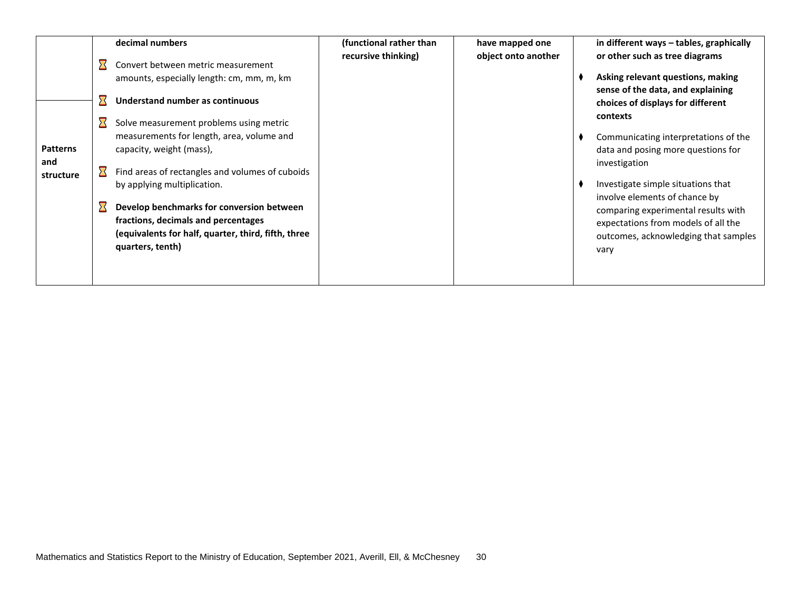|                  | decimal numbers                                                                                                                                               | (functional rather than | have mapped one     | in different ways - tables, graphically                                                                                                                     |
|------------------|---------------------------------------------------------------------------------------------------------------------------------------------------------------|-------------------------|---------------------|-------------------------------------------------------------------------------------------------------------------------------------------------------------|
|                  | Convert between metric measurement<br>amounts, especially length: cm, mm, m, km<br>Understand number as continuous<br>Solve measurement problems using metric | recursive thinking)     | object onto another | or other such as tree diagrams<br>Asking relevant questions, making<br>sense of the data, and explaining<br>choices of displays for different<br>contexts   |
| <b>Patterns</b>  | measurements for length, area, volume and<br>capacity, weight (mass),                                                                                         |                         |                     | Communicating interpretations of the<br>data and posing more questions for                                                                                  |
| and<br>structure | Find areas of rectangles and volumes of cuboids<br>by applying multiplication.                                                                                |                         |                     | investigation<br>Investigate simple situations that                                                                                                         |
|                  | Develop benchmarks for conversion between<br>fractions, decimals and percentages<br>(equivalents for half, quarter, third, fifth, three<br>quarters, tenth)   |                         |                     | involve elements of chance by<br>comparing experimental results with<br>expectations from models of all the<br>outcomes, acknowledging that samples<br>vary |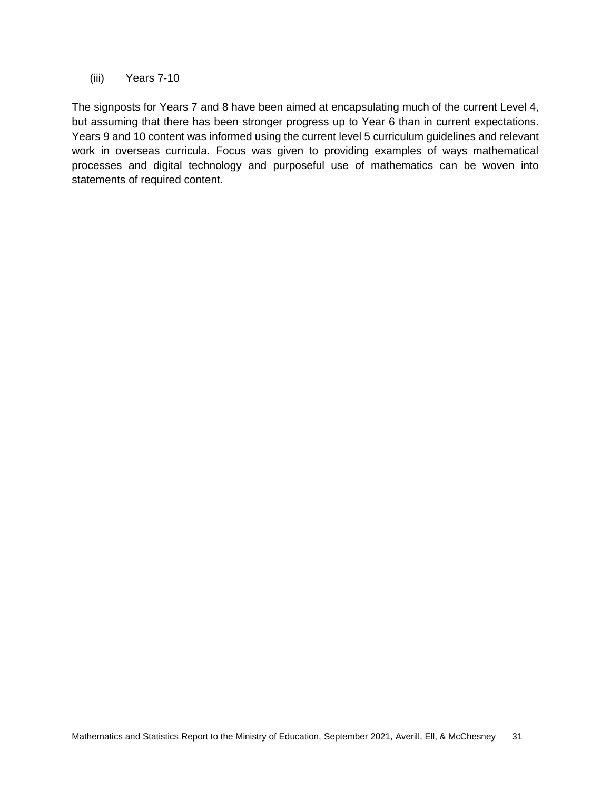(iii) Years 7-10

The signposts for Years 7 and 8 have been aimed at encapsulating much of the current Level 4, but assuming that there has been stronger progress up to Year 6 than in current expectations. Years 9 and 10 content was informed using the current level 5 curriculum guidelines and relevant work in overseas curricula. Focus was given to providing examples of ways mathematical processes and digital technology and purposeful use of mathematics can be woven into statements of required content.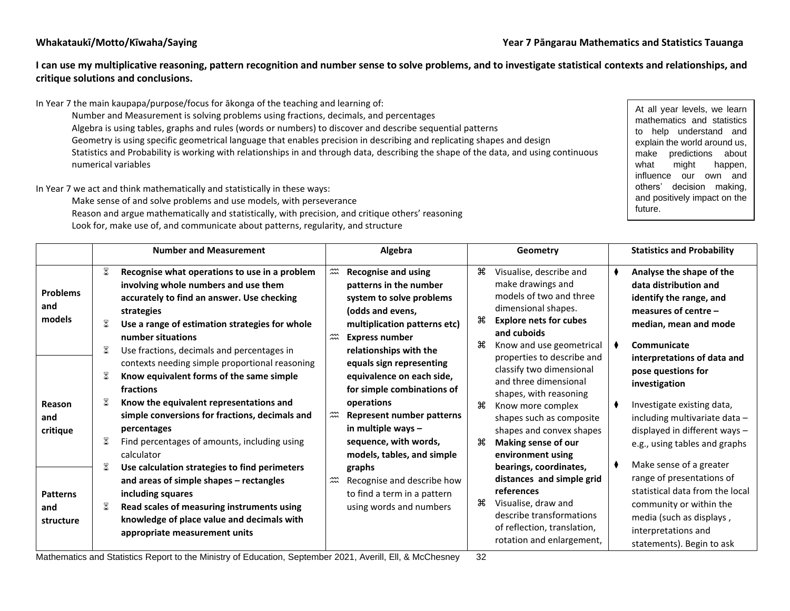**I can use my multiplicative reasoning, pattern recognition and number sense to solve problems, and to investigate statistical contexts and relationships, and critique solutions and conclusions.**

In Year 7 the main kaupapa/purpose/focus for ākonga of the teaching and learning of: Number and Measurement is solving problems using fractions, decimals, and percentages Algebra is using tables, graphs and rules (words or numbers) to discover and describe sequential patterns Geometry is using specific geometrical language that enables precision in describing and replicating shapes and design Statistics and Probability is working with relationships in and through data, describing the shape of the data, and using continuous numerical variables

In Year 7 we act and think mathematically and statistically in these ways:

Make sense of and solve problems and use models, with perseverance Reason and argue mathematically and statistically, with precision, and critique others' reasoning Look for, make use of, and communicate about patterns, regularity, and structure

At all year levels, we learn mathematics and statistics to help understand and explain the world around us, make predictions about what might happen, influence our own and others' decision making, and positively impact on the future.

|                                     | <b>Number and Measurement</b>                                                                                                                                                                                                                                      | Algebra                                                                                                                                                                                                      | Geometry                                                                                                                                                                                                   | <b>Statistics and Probability</b>                                                                                                                                                                  |
|-------------------------------------|--------------------------------------------------------------------------------------------------------------------------------------------------------------------------------------------------------------------------------------------------------------------|--------------------------------------------------------------------------------------------------------------------------------------------------------------------------------------------------------------|------------------------------------------------------------------------------------------------------------------------------------------------------------------------------------------------------------|----------------------------------------------------------------------------------------------------------------------------------------------------------------------------------------------------|
| <b>Problems</b><br>and<br>models    | ≅<br>Recognise what operations to use in a problem<br>involving whole numbers and use them<br>accurately to find an answer. Use checking<br>strategies<br>8<br>Use a range of estimation strategies for whole<br>number situations                                 | $\widetilde{\widetilde{\ldots}}$<br><b>Recognise and using</b><br>patterns in the number<br>system to solve problems<br>(odds and evens,<br>multiplication patterns etc)<br>$\widetilde{\widetilde{\ldots}}$ | ਼ਿ<br>Visualise, describe and<br>make drawings and<br>models of two and three<br>dimensional shapes.<br>௬<br><b>Explore nets for cubes</b><br>and cuboids                                                  | Analyse the shape of the<br>data distribution and<br>identify the range, and<br>measures of centre $-$<br>median, mean and mode                                                                    |
|                                     | ≅<br>Use fractions, decimals and percentages in<br>contexts needing simple proportional reasoning<br>≅<br>Know equivalent forms of the same simple<br>fractions                                                                                                    | <b>Express number</b><br>relationships with the<br>equals sign representing<br>equivalence on each side,<br>for simple combinations of                                                                       | æ<br>Know and use geometrical<br>properties to describe and<br>classify two dimensional<br>and three dimensional                                                                                           | Communicate<br>interpretations of data and<br>pose questions for<br>investigation                                                                                                                  |
| Reason<br>and<br>critique           | 8<br>Know the equivalent representations and<br>simple conversions for fractions, decimals and<br>percentages<br>≅<br>Find percentages of amounts, including using                                                                                                 | operations<br>$\widetilde{\widetilde{\pi}}$<br>Represent number patterns<br>in multiple ways -<br>sequence, with words,                                                                                      | shapes, with reasoning<br>₩<br>Know more complex<br>shapes such as composite<br>shapes and convex shapes<br>æ<br>Making sense of our                                                                       | Investigate existing data,<br>including multivariate data -<br>displayed in different ways -<br>e.g., using tables and graphs                                                                      |
| <b>Patterns</b><br>and<br>structure | calculator<br>≅<br>Use calculation strategies to find perimeters<br>and areas of simple shapes - rectangles<br>including squares<br>≅<br>Read scales of measuring instruments using<br>knowledge of place value and decimals with<br>appropriate measurement units | models, tables, and simple<br>graphs<br>$\widetilde{\mathfrak{m}}$<br>Recognise and describe how<br>to find a term in a pattern<br>using words and numbers                                                   | environment using<br>bearings, coordinates,<br>distances and simple grid<br>references<br>௬<br>Visualise, draw and<br>describe transformations<br>of reflection, translation,<br>rotation and enlargement, | Make sense of a greater<br>range of presentations of<br>statistical data from the local<br>community or within the<br>media (such as displays,<br>interpretations and<br>statements). Begin to ask |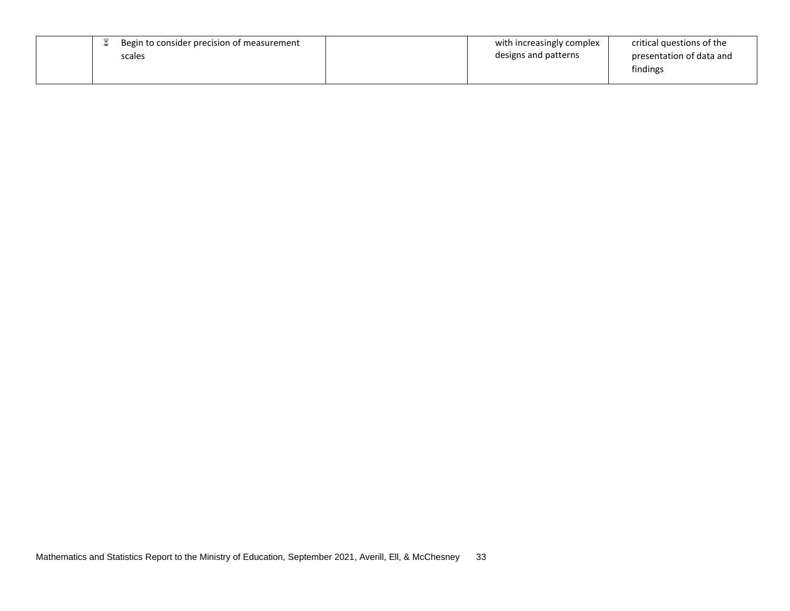| Begin to consider precision of measurement<br>scales | with increasingly complex<br>designs and patterns | critical questions of the<br>presentation of data and<br>findings |
|------------------------------------------------------|---------------------------------------------------|-------------------------------------------------------------------|
|------------------------------------------------------|---------------------------------------------------|-------------------------------------------------------------------|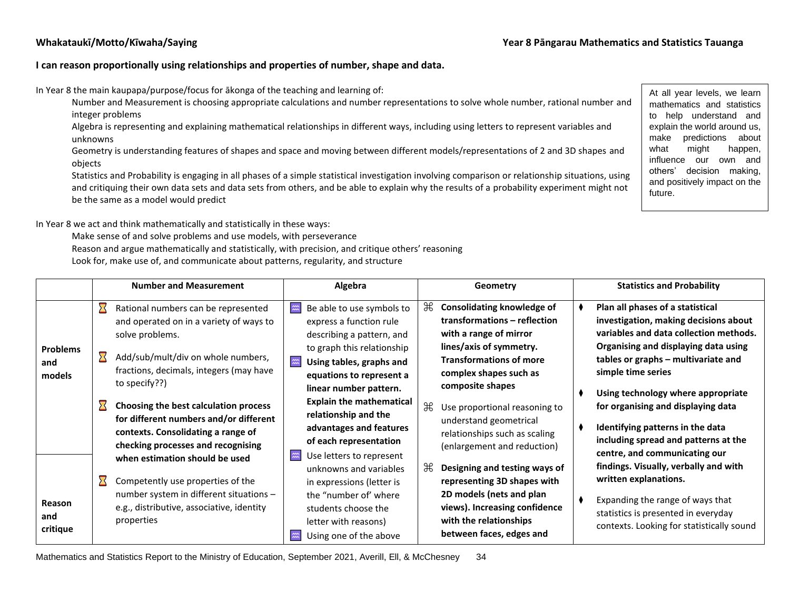#### **I can reason proportionally using relationships and properties of number, shape and data.**

In Year 8 the main kaupapa/purpose/focus for ākonga of the teaching and learning of:

Number and Measurement is choosing appropriate calculations and number representations to solve whole number, rational number and integer problems

Algebra is representing and explaining mathematical relationships in different ways, including using letters to represent variables and unknowns

Geometry is understanding features of shapes and space and moving between different models/representations of 2 and 3D shapes and objects

Statistics and Probability is engaging in all phases of a simple statistical investigation involving comparison or relationship situations, using and critiquing their own data sets and data sets from others, and be able to explain why the results of a probability experiment might not be the same as a model would predict

At all year levels, we learn mathematics and statistics to help understand and explain the world around us, make predictions about what might happen, influence our own and others' decision making, and positively impact on the future.

In Year 8 we act and think mathematically and statistically in these ways:

Make sense of and solve problems and use models, with perseverance

Reason and argue mathematically and statistically, with precision, and critique others' reasoning

Look for, make use of, and communicate about patterns, regularity, and structure

|                                  | <b>Number and Measurement</b>                                                                                                                                                                                             | Algebra                                                                                                                                                                                                                                         | Geometry                                                                                                                                                                                                    | <b>Statistics and Probability</b>                                                                                                                                                                                              |
|----------------------------------|---------------------------------------------------------------------------------------------------------------------------------------------------------------------------------------------------------------------------|-------------------------------------------------------------------------------------------------------------------------------------------------------------------------------------------------------------------------------------------------|-------------------------------------------------------------------------------------------------------------------------------------------------------------------------------------------------------------|--------------------------------------------------------------------------------------------------------------------------------------------------------------------------------------------------------------------------------|
| <b>Problems</b><br>and<br>models | $\bf \Sigma$<br>Rational numbers can be represented<br>and operated on in a variety of ways to<br>solve problems.<br>≻≺<br>Add/sub/mult/div on whole numbers,<br>fractions, decimals, integers (may have<br>to specify??) | Be able to use symbols to<br>$\widetilde{\phantom{m}}$<br>express a function rule<br>describing a pattern, and<br>to graph this relationship<br>$\frac{1}{2}$<br>Using tables, graphs and<br>equations to represent a<br>linear number pattern. | ₩<br><b>Consolidating knowledge of</b><br>transformations - reflection<br>with a range of mirror<br>lines/axis of symmetry.<br><b>Transformations of more</b><br>complex shapes such as<br>composite shapes | Plan all phases of a statistical<br>investigation, making decisions about<br>variables and data collection methods.<br>Organising and displaying data using<br>tables or graphs - multivariate and<br>simple time series       |
|                                  | Choosing the best calculation process<br>for different numbers and/or different<br>contexts. Consolidating a range of<br>checking processes and recognising<br>when estimation should be used                             | <b>Explain the mathematical</b><br>relationship and the<br>advantages and features<br>of each representation<br>$\widetilde{2\mathfrak{m}}$<br>Use letters to represent<br>unknowns and variables                                               | $\mathbb H$<br>Use proportional reasoning to<br>understand geometrical<br>relationships such as scaling<br>(enlargement and reduction)<br>₩<br>Designing and testing ways of                                | Using technology where appropriate<br>for organising and displaying data<br>Identifying patterns in the data<br>including spread and patterns at the<br>centre, and communicating our<br>findings. Visually, verbally and with |
| Reason<br>and<br>critique        | Competently use properties of the<br>number system in different situations -<br>e.g., distributive, associative, identity<br>properties                                                                                   | in expressions (letter is<br>the "number of' where<br>students choose the<br>letter with reasons)<br>Using one of the above                                                                                                                     | representing 3D shapes with<br>2D models (nets and plan<br>views). Increasing confidence<br>with the relationships<br>between faces, edges and                                                              | written explanations.<br>Expanding the range of ways that<br>statistics is presented in everyday<br>contexts. Looking for statistically sound                                                                                  |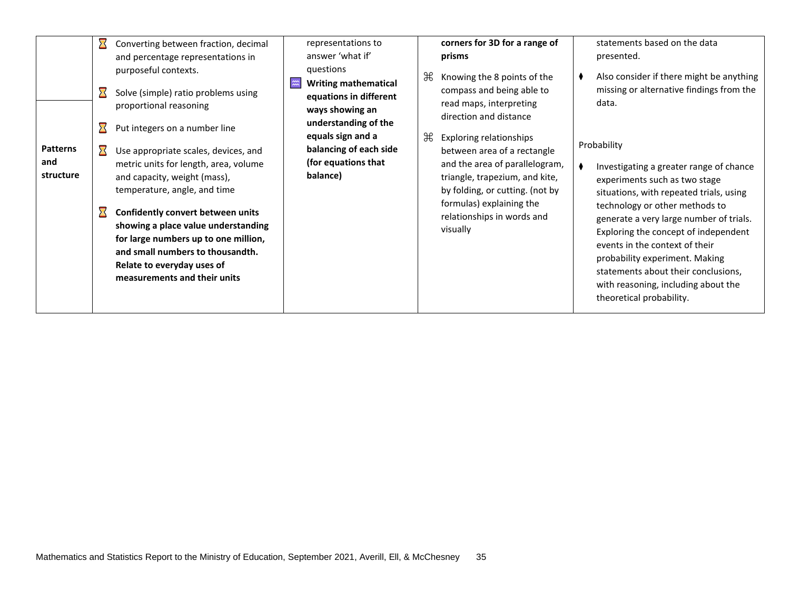|                                     | $\boldsymbol{\Sigma}$<br>$\boldsymbol{\Sigma}$ | Converting between fraction, decimal<br>and percentage representations in<br>purposeful contexts.<br>Solve (simple) ratio problems using<br>proportional reasoning<br>Put integers on a number line                                                                                                                                                                        | representations to<br>answer 'what if'<br>questions<br>$\approx$<br><b>Writing mathematical</b><br>equations in different<br>ways showing an<br>understanding of the | ₩ | corners for 3D for a range of<br>prisms<br>Knowing the 8 points of the<br>compass and being able to<br>read maps, interpreting<br>direction and distance                                                                                   | statements based on the data<br>presented.<br>Also consider if there might be anything<br>missing or alternative findings from the<br>data.                                                                                                                                                                                                                                                                                           |
|-------------------------------------|------------------------------------------------|----------------------------------------------------------------------------------------------------------------------------------------------------------------------------------------------------------------------------------------------------------------------------------------------------------------------------------------------------------------------------|----------------------------------------------------------------------------------------------------------------------------------------------------------------------|---|--------------------------------------------------------------------------------------------------------------------------------------------------------------------------------------------------------------------------------------------|---------------------------------------------------------------------------------------------------------------------------------------------------------------------------------------------------------------------------------------------------------------------------------------------------------------------------------------------------------------------------------------------------------------------------------------|
| <b>Patterns</b><br>and<br>structure |                                                | Use appropriate scales, devices, and<br>metric units for length, area, volume<br>and capacity, weight (mass),<br>temperature, angle, and time<br><b>Confidently convert between units</b><br>showing a place value understanding<br>for large numbers up to one million,<br>and small numbers to thousandth.<br>Relate to everyday uses of<br>measurements and their units | equals sign and a<br>balancing of each side<br>(for equations that<br>balance)                                                                                       | ₩ | <b>Exploring relationships</b><br>between area of a rectangle<br>and the area of parallelogram,<br>triangle, trapezium, and kite,<br>by folding, or cutting. (not by<br>formulas) explaining the<br>relationships in words and<br>visually | Probability<br>Investigating a greater range of chance<br>experiments such as two stage<br>situations, with repeated trials, using<br>technology or other methods to<br>generate a very large number of trials.<br>Exploring the concept of independent<br>events in the context of their<br>probability experiment. Making<br>statements about their conclusions,<br>with reasoning, including about the<br>theoretical probability. |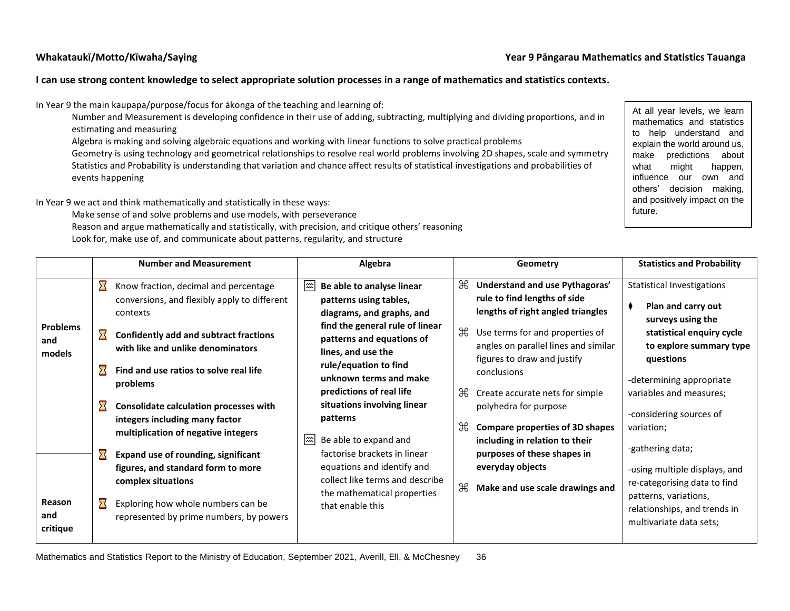#### **Whakataukī/Motto/Kīwaha/Saying Year 9 Pāngarau Mathematics and Statistics Tauanga**

### **I can use strong content knowledge to select appropriate solution processes in a range of mathematics and statistics contexts.**

In Year 9 the main kaupapa/purpose/focus for ākonga of the teaching and learning of:

Number and Measurement is developing confidence in their use of adding, subtracting, multiplying and dividing proportions, and in estimating and measuring

Algebra is making and solving algebraic equations and working with linear functions to solve practical problems

Geometry is using technology and geometrical relationships to resolve real world problems involving 2D shapes, scale and symmetry Statistics and Probability is understanding that variation and chance affect results of statistical investigations and probabilities of events happening

In Year 9 we act and think mathematically and statistically in these ways:

Make sense of and solve problems and use models, with perseverance

Reason and argue mathematically and statistically, with precision, and critique others' reasoning Look for, make use of, and communicate about patterns, regularity, and structure

At all year levels, we learn mathematics and statistics to help understand and explain the world around us, make predictions about what might happen, influence our own and others' decision making, and positively impact on the future.

|                                                               |                                                                                   | <b>Number and Measurement</b>                                                                                                                                                                                                                                                                                                                                                                                                                                                                                                                               |         | Algebra                                                                                                                                                                                                                                                                                                                                                                                                                                                                       |                                               | Geometry                                                                                                                                                                                                                                                                                                                                                                                                                                                   | <b>Statistics and Probability</b>                                                                                                                                                                                                                                                                                                                                                                                          |
|---------------------------------------------------------------|-----------------------------------------------------------------------------------|-------------------------------------------------------------------------------------------------------------------------------------------------------------------------------------------------------------------------------------------------------------------------------------------------------------------------------------------------------------------------------------------------------------------------------------------------------------------------------------------------------------------------------------------------------------|---------|-------------------------------------------------------------------------------------------------------------------------------------------------------------------------------------------------------------------------------------------------------------------------------------------------------------------------------------------------------------------------------------------------------------------------------------------------------------------------------|-----------------------------------------------|------------------------------------------------------------------------------------------------------------------------------------------------------------------------------------------------------------------------------------------------------------------------------------------------------------------------------------------------------------------------------------------------------------------------------------------------------------|----------------------------------------------------------------------------------------------------------------------------------------------------------------------------------------------------------------------------------------------------------------------------------------------------------------------------------------------------------------------------------------------------------------------------|
| <b>Problems</b><br>and<br>models<br>Reason<br>and<br>critique | $\boldsymbol{\Sigma}$<br>$\boldsymbol{\Sigma}$<br>对<br>对<br>$\boldsymbol{\Sigma}$ | Know fraction, decimal and percentage<br>conversions, and flexibly apply to different<br>contexts<br><b>Confidently add and subtract fractions</b><br>with like and unlike denominators<br>Find and use ratios to solve real life<br>problems<br>Consolidate calculation processes with<br>integers including many factor<br>multiplication of negative integers<br><b>Expand use of rounding, significant</b><br>figures, and standard form to more<br>complex situations<br>Exploring how whole numbers can be<br>represented by prime numbers, by powers | ﷺ<br> ﷺ | Be able to analyse linear<br>patterns using tables,<br>diagrams, and graphs, and<br>find the general rule of linear<br>patterns and equations of<br>lines, and use the<br>rule/equation to find<br>unknown terms and make<br>predictions of real life<br>situations involving linear<br>patterns<br>Be able to expand and<br>factorise brackets in linear<br>equations and identify and<br>collect like terms and describe<br>the mathematical properties<br>that enable this | æ<br>$\mathcal{H}$<br>Æ<br>$\mathcal{H}$<br>₩ | Understand and use Pythagoras'<br>rule to find lengths of side<br>lengths of right angled triangles<br>Use terms for and properties of<br>angles on parallel lines and similar<br>figures to draw and justify<br>conclusions<br>Create accurate nets for simple<br>polyhedra for purpose<br><b>Compare properties of 3D shapes</b><br>including in relation to their<br>purposes of these shapes in<br>everyday objects<br>Make and use scale drawings and | <b>Statistical Investigations</b><br>Plan and carry out<br>surveys using the<br>statistical enquiry cycle<br>to explore summary type<br>questions<br>-determining appropriate<br>variables and measures;<br>-considering sources of<br>variation;<br>-gathering data;<br>-using multiple displays, and<br>re-categorising data to find<br>patterns, variations,<br>relationships, and trends in<br>multivariate data sets; |
|                                                               |                                                                                   |                                                                                                                                                                                                                                                                                                                                                                                                                                                                                                                                                             |         |                                                                                                                                                                                                                                                                                                                                                                                                                                                                               |                                               |                                                                                                                                                                                                                                                                                                                                                                                                                                                            |                                                                                                                                                                                                                                                                                                                                                                                                                            |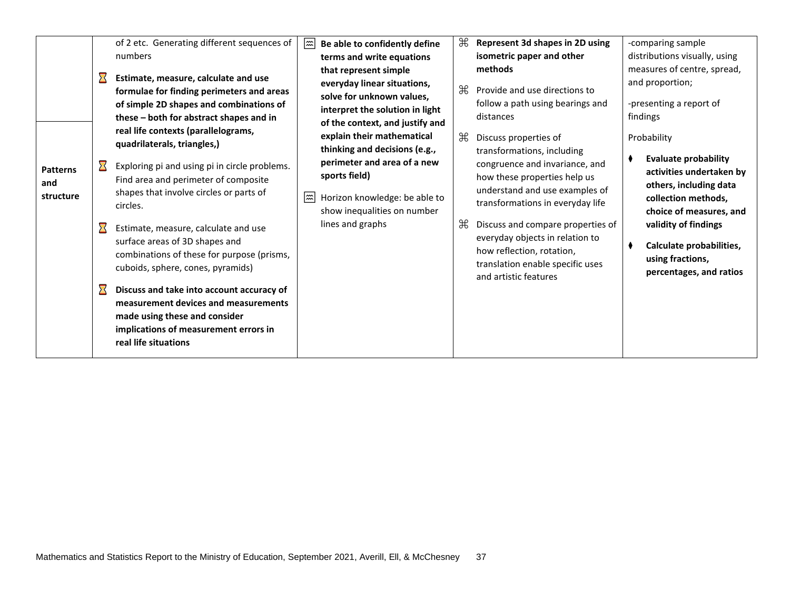| <b>Patterns</b><br>and<br>structure | $\sum_{i=1}^{n}$<br>$\boldsymbol{\Sigma}$<br>$\boldsymbol{\Sigma}$ | of 2 etc. Generating different sequences of<br>numbers<br>Estimate, measure, calculate and use<br>formulae for finding perimeters and areas<br>of simple 2D shapes and combinations of<br>these – both for abstract shapes and in<br>real life contexts (parallelograms,<br>quadrilaterals, triangles,)<br>Exploring pi and using pi in circle problems.<br>Find area and perimeter of composite<br>shapes that involve circles or parts of<br>circles.<br>Estimate, measure, calculate and use<br>surface areas of 3D shapes and<br>combinations of these for purpose (prisms,<br>cuboids, sphere, cones, pyramids)<br>Discuss and take into account accuracy of<br>measurement devices and measurements<br>made using these and consider<br>implications of measurement errors in<br>real life situations | $ \widetilde{\mathbf{m}} $<br>$ \mathbb{m} $ | Be able to confidently define<br>terms and write equations<br>that represent simple<br>everyday linear situations,<br>solve for unknown values,<br>interpret the solution in light<br>of the context, and justify and<br>explain their mathematical<br>thinking and decisions (e.g.,<br>perimeter and area of a new<br>sports field)<br>Horizon knowledge: be able to<br>show inequalities on number<br>lines and graphs | Æ<br>₩<br>₩<br>$\mathbb H$ | Represent 3d shapes in 2D using<br>isometric paper and other<br>methods<br>Provide and use directions to<br>follow a path using bearings and<br>distances<br>Discuss properties of<br>transformations, including<br>congruence and invariance, and<br>how these properties help us<br>understand and use examples of<br>transformations in everyday life<br>Discuss and compare properties of<br>everyday objects in relation to<br>how reflection, rotation,<br>translation enable specific uses<br>and artistic features |  | -comparing sample<br>distributions visually, using<br>measures of centre, spread,<br>and proportion;<br>-presenting a report of<br>findings<br>Probability<br><b>Evaluate probability</b><br>activities undertaken by<br>others, including data<br>collection methods,<br>choice of measures, and<br>validity of findings<br>Calculate probabilities,<br>using fractions,<br>percentages, and ratios |
|-------------------------------------|--------------------------------------------------------------------|-------------------------------------------------------------------------------------------------------------------------------------------------------------------------------------------------------------------------------------------------------------------------------------------------------------------------------------------------------------------------------------------------------------------------------------------------------------------------------------------------------------------------------------------------------------------------------------------------------------------------------------------------------------------------------------------------------------------------------------------------------------------------------------------------------------|----------------------------------------------|--------------------------------------------------------------------------------------------------------------------------------------------------------------------------------------------------------------------------------------------------------------------------------------------------------------------------------------------------------------------------------------------------------------------------|----------------------------|----------------------------------------------------------------------------------------------------------------------------------------------------------------------------------------------------------------------------------------------------------------------------------------------------------------------------------------------------------------------------------------------------------------------------------------------------------------------------------------------------------------------------|--|------------------------------------------------------------------------------------------------------------------------------------------------------------------------------------------------------------------------------------------------------------------------------------------------------------------------------------------------------------------------------------------------------|
|-------------------------------------|--------------------------------------------------------------------|-------------------------------------------------------------------------------------------------------------------------------------------------------------------------------------------------------------------------------------------------------------------------------------------------------------------------------------------------------------------------------------------------------------------------------------------------------------------------------------------------------------------------------------------------------------------------------------------------------------------------------------------------------------------------------------------------------------------------------------------------------------------------------------------------------------|----------------------------------------------|--------------------------------------------------------------------------------------------------------------------------------------------------------------------------------------------------------------------------------------------------------------------------------------------------------------------------------------------------------------------------------------------------------------------------|----------------------------|----------------------------------------------------------------------------------------------------------------------------------------------------------------------------------------------------------------------------------------------------------------------------------------------------------------------------------------------------------------------------------------------------------------------------------------------------------------------------------------------------------------------------|--|------------------------------------------------------------------------------------------------------------------------------------------------------------------------------------------------------------------------------------------------------------------------------------------------------------------------------------------------------------------------------------------------------|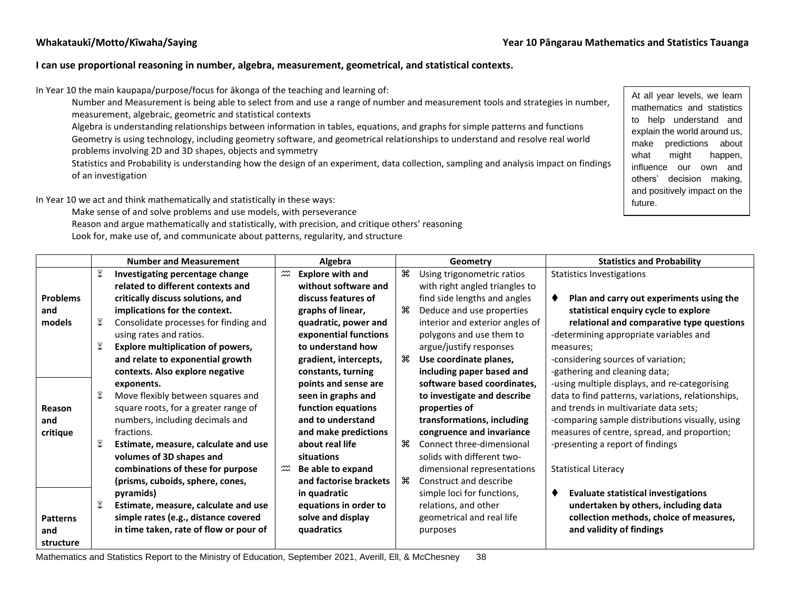#### **I can use proportional reasoning in number, algebra, measurement, geometrical, and statistical contexts.**

In Year 10 the main kaupapa/purpose/focus for ākonga of the teaching and learning of:

Number and Measurement is being able to select from and use a range of number and measurement tools and strategies in number, measurement, algebraic, geometric and statistical contexts

Algebra is understanding relationships between information in tables, equations, and graphs for simple patterns and functions Geometry is using technology, including geometry software, and geometrical relationships to understand and resolve real world problems involving 2D and 3D shapes, objects and symmetry

Statistics and Probability is understanding how the design of an experiment, data collection, sampling and analysis impact on findings of an investigation

In Year 10 we act and think mathematically and statistically in these ways:

Make sense of and solve problems and use models, with perseverance

Reason and argue mathematically and statistically, with precision, and critique others' reasoning

Look for, make use of, and communicate about patterns, regularity, and structure

At all year levels, we learn mathematics and statistics to help understand and explain the world around us, make predictions about what might happen, influence our own and others' decision making, and positively impact on the future.

|                 |             | <b>Number and Measurement</b>            | Algebra                          |                         |     | Geometry                        | <b>Statistics and Probability</b>                 |  |
|-----------------|-------------|------------------------------------------|----------------------------------|-------------------------|-----|---------------------------------|---------------------------------------------------|--|
|                 | $\boxtimes$ | Investigating percentage change          | $\widetilde{\mathfrak{m}}$       | <b>Explore with and</b> | æ   | Using trigonometric ratios      | <b>Statistics Investigations</b>                  |  |
|                 |             | related to different contexts and        |                                  | without software and    |     | with right angled triangles to  |                                                   |  |
| <b>Problems</b> |             | critically discuss solutions, and        |                                  | discuss features of     |     | find side lengths and angles    | Plan and carry out experiments using the<br>٠     |  |
| and             |             | implications for the context.            |                                  | graphs of linear,       | ்க  | Deduce and use properties       | statistical enquiry cycle to explore              |  |
| models          | 8           | Consolidate processes for finding and    |                                  | quadratic, power and    |     | interior and exterior angles of | relational and comparative type questions         |  |
|                 |             | using rates and ratios.                  |                                  | exponential functions   |     | polygons and use them to        | -determining appropriate variables and            |  |
|                 |             | <b>Explore multiplication of powers,</b> |                                  | to understand how       |     | argue/justify responses         | measures:                                         |  |
|                 |             | and relate to exponential growth         |                                  | gradient, intercepts,   | ₩   | Use coordinate planes,          | -considering sources of variation;                |  |
|                 |             | contexts. Also explore negative          |                                  | constants, turning      |     | including paper based and       | -gathering and cleaning data;                     |  |
|                 |             | exponents.                               |                                  | points and sense are    |     | software based coordinates,     | -using multiple displays, and re-categorising     |  |
|                 |             | Move flexibly between squares and        |                                  | seen in graphs and      |     | to investigate and describe     | data to find patterns, variations, relationships, |  |
| Reason          |             | square roots, for a greater range of     |                                  | function equations      |     | properties of                   | and trends in multivariate data sets;             |  |
| and             |             | numbers, including decimals and          |                                  | and to understand       |     | transformations, including      | -comparing sample distributions visually, using   |  |
| critique        |             | fractions.                               |                                  | and make predictions    |     | congruence and invariance       | measures of centre, spread, and proportion;       |  |
|                 | 8           | Estimate, measure, calculate and use     |                                  | about real life         | ੇ ਸ | Connect three-dimensional       | -presenting a report of findings                  |  |
|                 |             | volumes of 3D shapes and                 |                                  | situations              |     | solids with different two-      |                                                   |  |
|                 |             | combinations of these for purpose        | $\widetilde{\widetilde{\ldots}}$ | Be able to expand       |     | dimensional representations     | <b>Statistical Literacy</b>                       |  |
|                 |             | (prisms, cuboids, sphere, cones,         |                                  | and factorise brackets  | ਼ਿ  | Construct and describe          |                                                   |  |
|                 |             | pyramids)                                |                                  | in quadratic            |     | simple loci for functions,      | <b>Evaluate statistical investigations</b>        |  |
|                 | ≅           | Estimate, measure, calculate and use     |                                  | equations in order to   |     | relations, and other            | undertaken by others, including data              |  |
| <b>Patterns</b> |             | simple rates (e.g., distance covered     |                                  | solve and display       |     | geometrical and real life       | collection methods, choice of measures,           |  |
| and             |             | in time taken, rate of flow or pour of   |                                  | quadratics              |     | purposes                        | and validity of findings                          |  |
| structure       |             |                                          |                                  |                         |     |                                 |                                                   |  |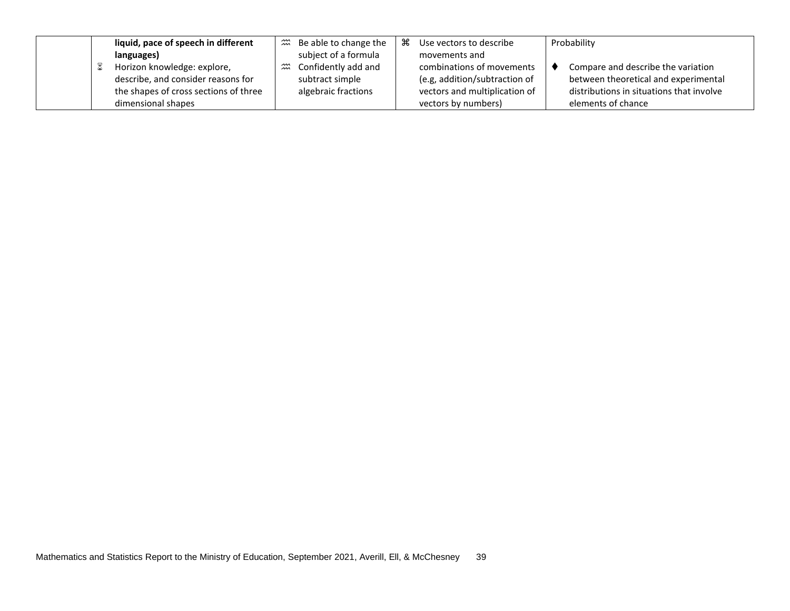|  | liquid, pace of speech in different   |                               | $\mathfrak{m}$ Be able to change the | ૠ | Use vectors to describe       | Probability                              |
|--|---------------------------------------|-------------------------------|--------------------------------------|---|-------------------------------|------------------------------------------|
|  | languages)                            |                               | subject of a formula                 |   | movements and                 |                                          |
|  | Horizon knowledge: explore,           | $\widetilde{\widetilde{\pi}}$ | Confidently add and                  |   | combinations of movements     | Compare and describe the variation       |
|  | describe, and consider reasons for    |                               | subtract simple                      |   | (e.g, addition/subtraction of | between theoretical and experimental     |
|  | the shapes of cross sections of three |                               | algebraic fractions                  |   | vectors and multiplication of | distributions in situations that involve |
|  | dimensional shapes                    |                               |                                      |   | vectors by numbers)           | elements of chance                       |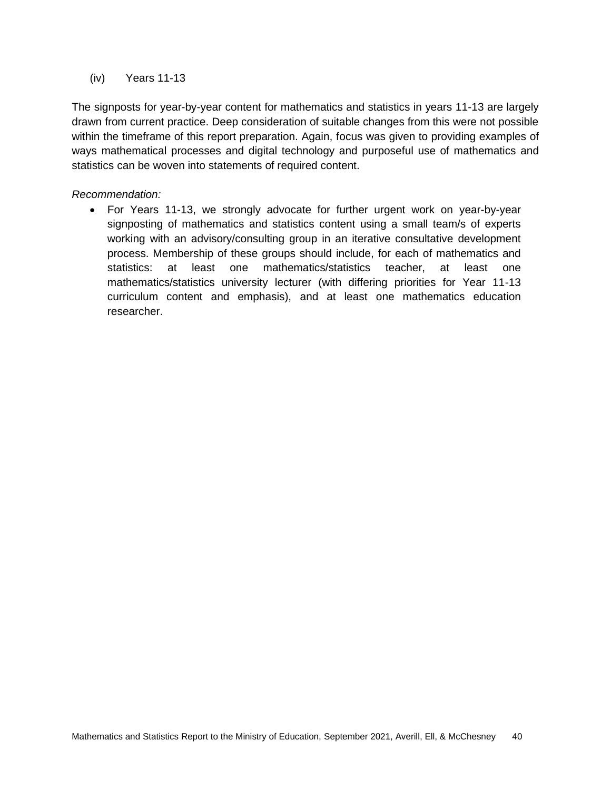#### (iv) Years 11-13

The signposts for year-by-year content for mathematics and statistics in years 11-13 are largely drawn from current practice. Deep consideration of suitable changes from this were not possible within the timeframe of this report preparation. Again, focus was given to providing examples of ways mathematical processes and digital technology and purposeful use of mathematics and statistics can be woven into statements of required content.

#### *Recommendation:*

• For Years 11-13, we strongly advocate for further urgent work on year-by-year signposting of mathematics and statistics content using a small team/s of experts working with an advisory/consulting group in an iterative consultative development process. Membership of these groups should include, for each of mathematics and statistics: at least one mathematics/statistics teacher, at least one mathematics/statistics university lecturer (with differing priorities for Year 11-13 curriculum content and emphasis), and at least one mathematics education researcher.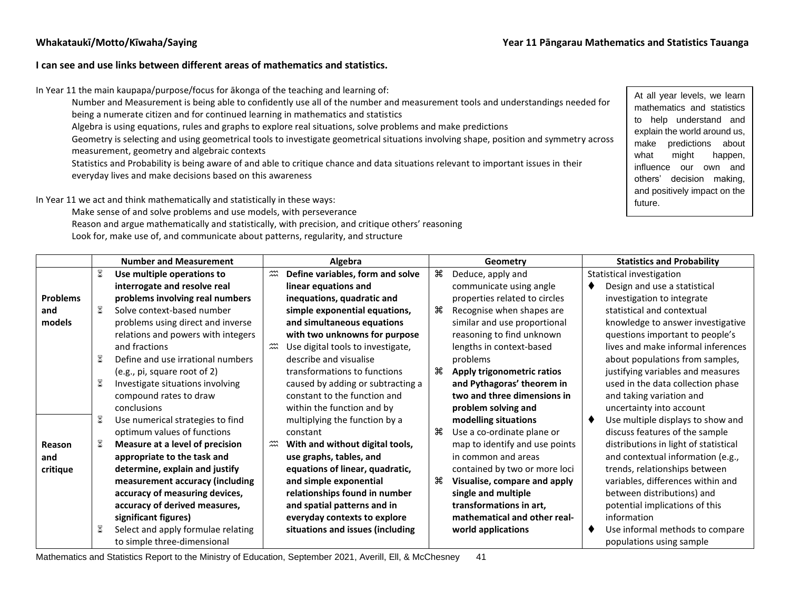#### **I can see and use links between different areas of mathematics and statistics.**

In Year 11 the main kaupapa/purpose/focus for ākonga of the teaching and learning of:

Number and Measurement is being able to confidently use all of the number and measurement tools and understandings needed for being a numerate citizen and for continued learning in mathematics and statistics

Algebra is using equations, rules and graphs to explore real situations, solve problems and make predictions

Geometry is selecting and using geometrical tools to investigate geometrical situations involving shape, position and symmetry across measurement, geometry and algebraic contexts

Statistics and Probability is being aware of and able to critique chance and data situations relevant to important issues in their everyday lives and make decisions based on this awareness

In Year 11 we act and think mathematically and statistically in these ways:

Make sense of and solve problems and use models, with perseverance Reason and argue mathematically and statistically, with precision, and critique others' reasoning Look for, make use of, and communicate about patterns, regularity, and structure

At all year levels, we learn mathematics and statistics to help understand and explain the world around us, make predictions about what might happen, influence our own and others' decision making, and positively impact on the future.

|                 | <b>Number and Measurement</b>      |                               | Algebra                           |        | Geometry                       |  | <b>Statistics and Probability</b>     |
|-----------------|------------------------------------|-------------------------------|-----------------------------------|--------|--------------------------------|--|---------------------------------------|
|                 | Use multiple operations to         | $\widetilde{\widetilde{\pi}}$ | Define variables, form and solve  | $\ast$ | Deduce, apply and              |  | Statistical investigation             |
|                 | interrogate and resolve real       |                               | linear equations and              |        | communicate using angle        |  | Design and use a statistical          |
| <b>Problems</b> | problems involving real numbers    |                               | inequations, quadratic and        |        | properties related to circles  |  | investigation to integrate            |
| and             | Solve context-based number         |                               | simple exponential equations,     | æ      | Recognise when shapes are      |  | statistical and contextual            |
| models          | problems using direct and inverse  |                               | and simultaneous equations        |        | similar and use proportional   |  | knowledge to answer investigative     |
|                 | relations and powers with integers |                               | with two unknowns for purpose     |        | reasoning to find unknown      |  | questions important to people's       |
|                 | and fractions                      | $\widetilde{\widetilde{\pi}}$ | Use digital tools to investigate, |        | lengths in context-based       |  | lives and make informal inferences    |
|                 | Define and use irrational numbers  |                               | describe and visualise            |        | problems                       |  | about populations from samples,       |
|                 | (e.g., pi, square root of 2)       |                               | transformations to functions      | Ж⊧     | Apply trigonometric ratios     |  | justifying variables and measures     |
|                 | Investigate situations involving   |                               | caused by adding or subtracting a |        | and Pythagoras' theorem in     |  | used in the data collection phase     |
|                 | compound rates to draw             |                               | constant to the function and      |        | two and three dimensions in    |  | and taking variation and              |
|                 | conclusions                        |                               | within the function and by        |        | problem solving and            |  | uncertainty into account              |
|                 | Use numerical strategies to find   |                               | multiplying the function by a     |        | modelling situations           |  | Use multiple displays to show and     |
|                 | optimum values of functions        |                               | constant                          | æ      | Use a co-ordinate plane or     |  | discuss features of the sample        |
| Reason          | Measure at a level of precision    | $\widetilde{\widetilde{\pi}}$ | With and without digital tools,   |        | map to identify and use points |  | distributions in light of statistical |
| and             | appropriate to the task and        |                               | use graphs, tables, and           |        | in common and areas            |  | and contextual information (e.g.,     |
| critique        | determine, explain and justify     |                               | equations of linear, quadratic,   |        | contained by two or more loci  |  | trends, relationships between         |
|                 | measurement accuracy (including    |                               | and simple exponential            | æ      | Visualise, compare and apply   |  | variables, differences within and     |
|                 | accuracy of measuring devices,     |                               | relationships found in number     |        | single and multiple            |  | between distributions) and            |
|                 | accuracy of derived measures,      |                               | and spatial patterns and in       |        | transformations in art,        |  | potential implications of this        |
|                 | significant figures)               |                               | everyday contexts to explore      |        | mathematical and other real-   |  | information                           |
|                 | Select and apply formulae relating |                               | situations and issues (including  |        | world applications             |  | Use informal methods to compare       |
|                 | to simple three-dimensional        |                               |                                   |        |                                |  | populations using sample              |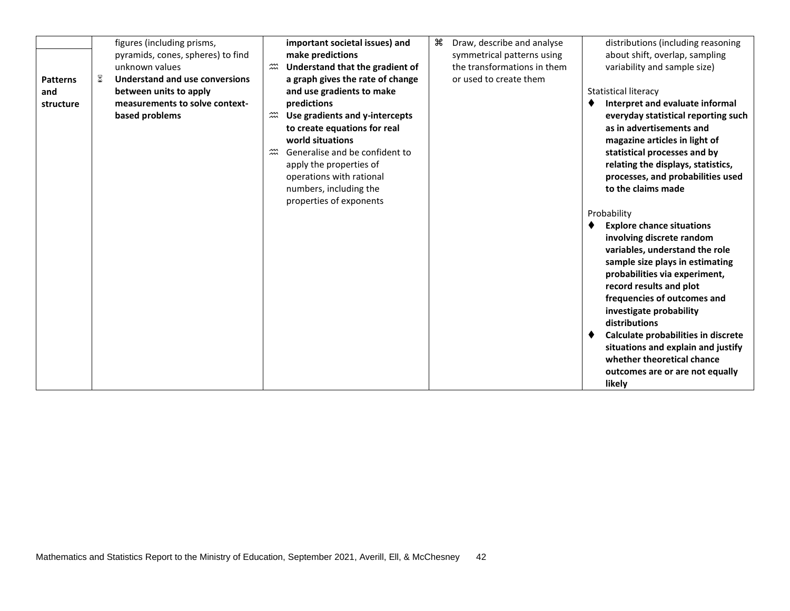|                 |              | figures (including prisms,        |                               | important societal issues) and   | æ | Draw, describe and analyse  | distributions (including reasoning  |
|-----------------|--------------|-----------------------------------|-------------------------------|----------------------------------|---|-----------------------------|-------------------------------------|
|                 |              | pyramids, cones, spheres) to find |                               | make predictions                 |   | symmetrical patterns using  | about shift, overlap, sampling      |
|                 |              | unknown values                    | $\widetilde{\widetilde{\pi}}$ | Understand that the gradient of  |   | the transformations in them | variability and sample size)        |
| <b>Patterns</b> | $\mathbb{Z}$ | Understand and use conversions    |                               | a graph gives the rate of change |   | or used to create them      |                                     |
| and             |              | between units to apply            |                               | and use gradients to make        |   |                             | <b>Statistical literacy</b>         |
| structure       |              | measurements to solve context-    |                               | predictions                      |   |                             | Interpret and evaluate informal     |
|                 |              | based problems                    | $\widetilde{\widetilde{\pi}}$ | Use gradients and y-intercepts   |   |                             | everyday statistical reporting such |
|                 |              |                                   |                               | to create equations for real     |   |                             | as in advertisements and            |
|                 |              |                                   |                               | world situations                 |   |                             | magazine articles in light of       |
|                 |              |                                   | $\widetilde{\widetilde{\pi}}$ | Generalise and be confident to   |   |                             | statistical processes and by        |
|                 |              |                                   |                               | apply the properties of          |   |                             | relating the displays, statistics,  |
|                 |              |                                   |                               | operations with rational         |   |                             | processes, and probabilities used   |
|                 |              |                                   |                               | numbers, including the           |   |                             | to the claims made                  |
|                 |              |                                   |                               | properties of exponents          |   |                             |                                     |
|                 |              |                                   |                               |                                  |   |                             | Probability                         |
|                 |              |                                   |                               |                                  |   |                             | <b>Explore chance situations</b>    |
|                 |              |                                   |                               |                                  |   |                             | involving discrete random           |
|                 |              |                                   |                               |                                  |   |                             | variables, understand the role      |
|                 |              |                                   |                               |                                  |   |                             | sample size plays in estimating     |
|                 |              |                                   |                               |                                  |   |                             | probabilities via experiment,       |
|                 |              |                                   |                               |                                  |   |                             | record results and plot             |
|                 |              |                                   |                               |                                  |   |                             | frequencies of outcomes and         |
|                 |              |                                   |                               |                                  |   |                             | investigate probability             |
|                 |              |                                   |                               |                                  |   |                             | distributions                       |
|                 |              |                                   |                               |                                  |   |                             | Calculate probabilities in discrete |
|                 |              |                                   |                               |                                  |   |                             | situations and explain and justify  |
|                 |              |                                   |                               |                                  |   |                             | whether theoretical chance          |
|                 |              |                                   |                               |                                  |   |                             | outcomes are or are not equally     |
|                 |              |                                   |                               |                                  |   |                             | likely                              |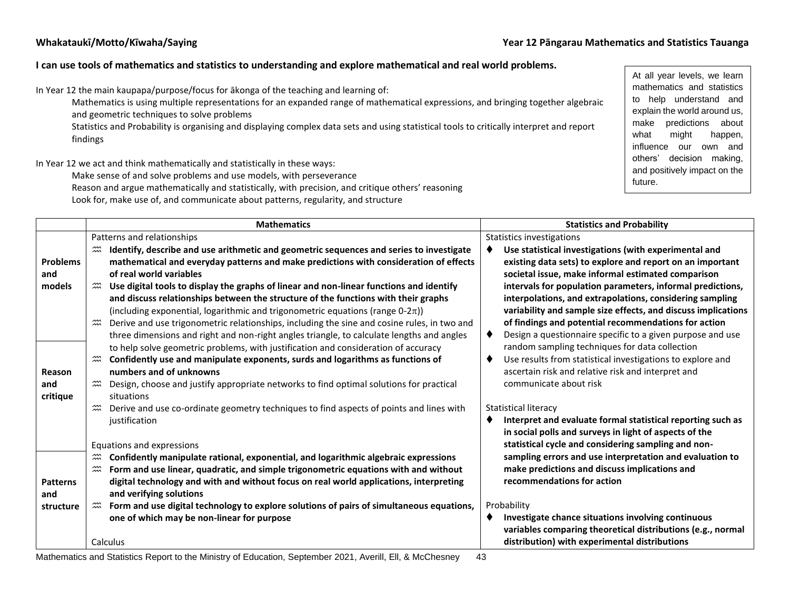#### **Whakataukī/Motto/Kīwaha/Saying Year 12 Pāngarau Mathematics and Statistics Tauanga**

#### **I can use tools of mathematics and statistics to understanding and explore mathematical and real world problems.**

In Year 12 the main kaupapa/purpose/focus for ākonga of the teaching and learning of:

Mathematics is using multiple representations for an expanded range of mathematical expressions, and bringing together algebraic and geometric techniques to solve problems

Statistics and Probability is organising and displaying complex data sets and using statistical tools to critically interpret and report findings

In Year 12 we act and think mathematically and statistically in these ways:

Make sense of and solve problems and use models, with perseverance

Reason and argue mathematically and statistically, with precision, and critique others' reasoning Look for, make use of, and communicate about patterns, regularity, and structure

At all year levels, we learn mathematics and statistics to help understand and explain the world around us, make predictions about what might happen, influence our own and others' decision making, and positively impact on the future.

|                 | <b>Mathematics</b>                                                                                                                              | <b>Statistics and Probability</b>                                                                         |
|-----------------|-------------------------------------------------------------------------------------------------------------------------------------------------|-----------------------------------------------------------------------------------------------------------|
|                 | Patterns and relationships                                                                                                                      | Statistics investigations                                                                                 |
|                 | Identify, describe and use arithmetic and geometric sequences and series to investigate                                                         | Use statistical investigations (with experimental and                                                     |
| <b>Problems</b> | mathematical and everyday patterns and make predictions with consideration of effects                                                           | existing data sets) to explore and report on an important                                                 |
| and             | of real world variables                                                                                                                         | societal issue, make informal estimated comparison                                                        |
| models          | $\widetilde{\mathfrak{m}}$<br>Use digital tools to display the graphs of linear and non-linear functions and identify                           | intervals for population parameters, informal predictions,                                                |
|                 | and discuss relationships between the structure of the functions with their graphs                                                              | interpolations, and extrapolations, considering sampling                                                  |
|                 | (including exponential, logarithmic and trigonometric equations (range $0-2\pi$ ))                                                              | variability and sample size effects, and discuss implications                                             |
|                 | Derive and use trigonometric relationships, including the sine and cosine rules, in two and                                                     | of findings and potential recommendations for action                                                      |
|                 | three dimensions and right and non-right angles triangle, to calculate lengths and angles                                                       | Design a questionnaire specific to a given purpose and use                                                |
|                 | to help solve geometric problems, with justification and consideration of accuracy                                                              | random sampling techniques for data collection                                                            |
|                 | Confidently use and manipulate exponents, surds and logarithms as functions of                                                                  | Use results from statistical investigations to explore and                                                |
| Reason          | numbers and of unknowns                                                                                                                         | ascertain risk and relative risk and interpret and                                                        |
| and             | Design, choose and justify appropriate networks to find optimal solutions for practical                                                         | communicate about risk                                                                                    |
| critique        | situations                                                                                                                                      |                                                                                                           |
|                 | $\widetilde{\widetilde{\pi}}$<br>Derive and use co-ordinate geometry techniques to find aspects of points and lines with                        | Statistical literacy                                                                                      |
|                 | justification                                                                                                                                   | Interpret and evaluate formal statistical reporting such as                                               |
|                 |                                                                                                                                                 | in social polls and surveys in light of aspects of the                                                    |
|                 | Equations and expressions                                                                                                                       | statistical cycle and considering sampling and non-                                                       |
|                 | $\widetilde{\mathfrak{m}}$<br>Confidently manipulate rational, exponential, and logarithmic algebraic expressions<br>$\widetilde{\mathfrak{m}}$ | sampling errors and use interpretation and evaluation to<br>make predictions and discuss implications and |
| <b>Patterns</b> | Form and use linear, quadratic, and simple trigonometric equations with and without                                                             | recommendations for action                                                                                |
| and             | digital technology and with and without focus on real world applications, interpreting<br>and verifying solutions                               |                                                                                                           |
| structure       | $\widetilde{\mathfrak{m}}$<br>Form and use digital technology to explore solutions of pairs of simultaneous equations,                          | Probability                                                                                               |
|                 | one of which may be non-linear for purpose                                                                                                      | Investigate chance situations involving continuous                                                        |
|                 |                                                                                                                                                 | variables comparing theoretical distributions (e.g., normal                                               |
|                 | Calculus                                                                                                                                        | distribution) with experimental distributions                                                             |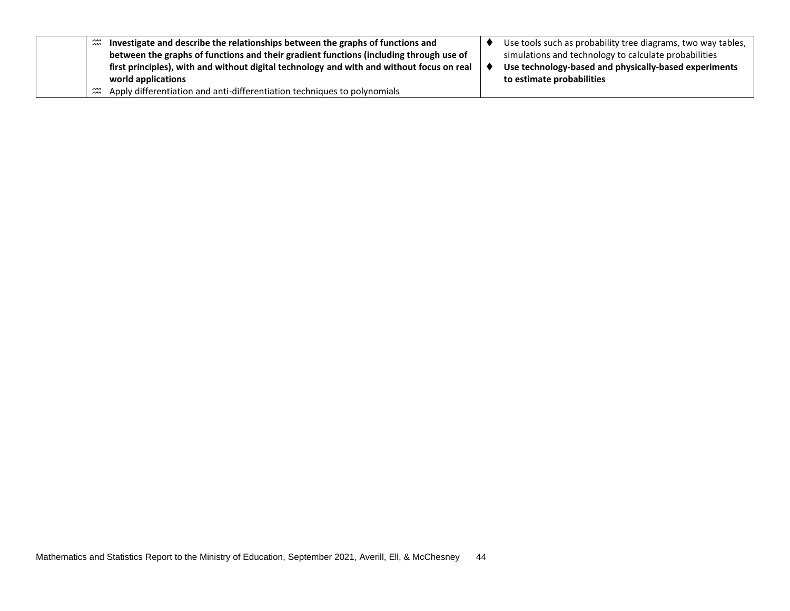|  | $\widetilde{\mathfrak{m}}$ | Investigate and describe the relationships between the graphs of functions and            | Use tools such as probability tree diagrams, two way tables, |
|--|----------------------------|-------------------------------------------------------------------------------------------|--------------------------------------------------------------|
|  |                            | between the graphs of functions and their gradient functions (including through use of    | simulations and technology to calculate probabilities        |
|  |                            | first principles), with and without digital technology and with and without focus on real | Use technology-based and physically-based experiments        |
|  |                            | world applications                                                                        | to estimate probabilities                                    |
|  | ؊                          | Apply differentiation and anti-differentiation techniques to polynomials                  |                                                              |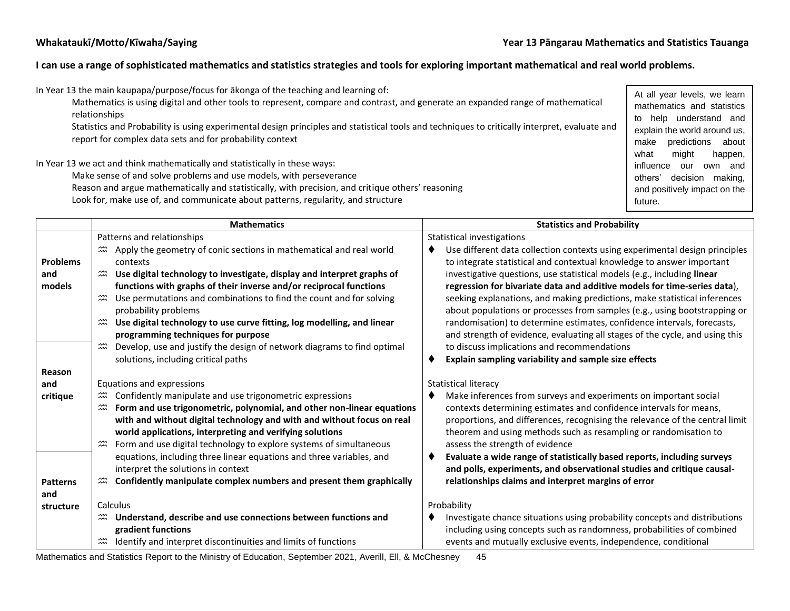### **I can use a range of sophisticated mathematics and statistics strategies and tools for exploring important mathematical and real world problems.**

| In Year 13 the main kaupapa/purpose/focus for akonga of the teaching and learning of:<br>Mathematics is using digital and other tools to represent, compare and contrast, and generate an expanded range of mathematical | At all year levels, we learn   |
|--------------------------------------------------------------------------------------------------------------------------------------------------------------------------------------------------------------------------|--------------------------------|
| relationships                                                                                                                                                                                                            | mathematics and statistics     |
|                                                                                                                                                                                                                          | help understand and<br>to      |
| Statistics and Probability is using experimental design principles and statistical tools and techniques to critically interpret, evaluate and                                                                            | explain the world around us,   |
| report for complex data sets and for probability context                                                                                                                                                                 | predictions about<br>make      |
|                                                                                                                                                                                                                          | miaht<br>what<br>happen,       |
| In Year 13 we act and think mathematically and statistically in these ways:                                                                                                                                              | influence<br>our<br>own and    |
| Make sense of and solve problems and use models, with perseverance                                                                                                                                                       | decision<br>making,<br>others' |
| Reason and argue mathematically and statistically, with precision, and critique others' reasoning                                                                                                                        | and positively impact on the   |
| Look for, make use of, and communicate about patterns, regularity, and structure                                                                                                                                         | future.                        |
|                                                                                                                                                                                                                          |                                |

|                 | <b>Mathematics</b>                                                                                                                          | <b>Statistics and Probability</b>                                            |  |
|-----------------|---------------------------------------------------------------------------------------------------------------------------------------------|------------------------------------------------------------------------------|--|
|                 | Patterns and relationships                                                                                                                  | Statistical investigations                                                   |  |
|                 | Apply the geometry of conic sections in mathematical and real world<br>$\widetilde{\widetilde{\ldots}}$                                     | Use different data collection contexts using experimental design principles  |  |
| <b>Problems</b> | contexts                                                                                                                                    | to integrate statistical and contextual knowledge to answer important        |  |
| and             | $\widetilde{\widetilde{\ldots}}$<br>Use digital technology to investigate, display and interpret graphs of                                  | investigative questions, use statistical models (e.g., including linear      |  |
| models          | functions with graphs of their inverse and/or reciprocal functions                                                                          | regression for bivariate data and additive models for time-series data),     |  |
|                 | $\stackrel{\scriptstyle{3\!}{\scriptstyle{2\!}\scriptstyle{1}}\!\!}$<br>Use permutations and combinations to find the count and for solving | seeking explanations, and making predictions, make statistical inferences    |  |
|                 | probability problems                                                                                                                        | about populations or processes from samples (e.g., using bootstrapping or    |  |
|                 | Use digital technology to use curve fitting, log modelling, and linear<br>$\widetilde{\widetilde{\pi}}$                                     | randomisation) to determine estimates, confidence intervals, forecasts,      |  |
|                 | programming techniques for purpose                                                                                                          | and strength of evidence, evaluating all stages of the cycle, and using this |  |
|                 | Develop, use and justify the design of network diagrams to find optimal                                                                     | to discuss implications and recommendations                                  |  |
|                 | solutions, including critical paths                                                                                                         | Explain sampling variability and sample size effects                         |  |
| Reason          |                                                                                                                                             |                                                                              |  |
| and             | Equations and expressions                                                                                                                   | Statistical literacy                                                         |  |
| critique        | Confidently manipulate and use trigonometric expressions                                                                                    | Make inferences from surveys and experiments on important social             |  |
|                 | Form and use trigonometric, polynomial, and other non-linear equations<br>$\widetilde{\widetilde{\ldots}}$                                  | contexts determining estimates and confidence intervals for means,           |  |
|                 | with and without digital technology and with and without focus on real                                                                      | proportions, and differences, recognising the relevance of the central limit |  |
|                 | world applications, interpreting and verifying solutions                                                                                    | theorem and using methods such as resampling or randomisation to             |  |
|                 | Form and use digital technology to explore systems of simultaneous                                                                          | assess the strength of evidence                                              |  |
|                 | equations, including three linear equations and three variables, and                                                                        | Evaluate a wide range of statistically based reports, including surveys      |  |
|                 | interpret the solutions in context                                                                                                          | and polls, experiments, and observational studies and critique causal-       |  |
| <b>Patterns</b> | Confidently manipulate complex numbers and present them graphically<br>$\widetilde{\widetilde{\pi}}$                                        | relationships claims and interpret margins of error                          |  |
| and             |                                                                                                                                             |                                                                              |  |
| structure       | Calculus                                                                                                                                    | Probability                                                                  |  |
|                 | Understand, describe and use connections between functions and<br>$\widetilde{\mathfrak{m}}$                                                | Investigate chance situations using probability concepts and distributions   |  |
|                 | gradient functions                                                                                                                          | including using concepts such as randomness, probabilities of combined       |  |
|                 | Identify and interpret discontinuities and limits of functions                                                                              | events and mutually exclusive events, independence, conditional              |  |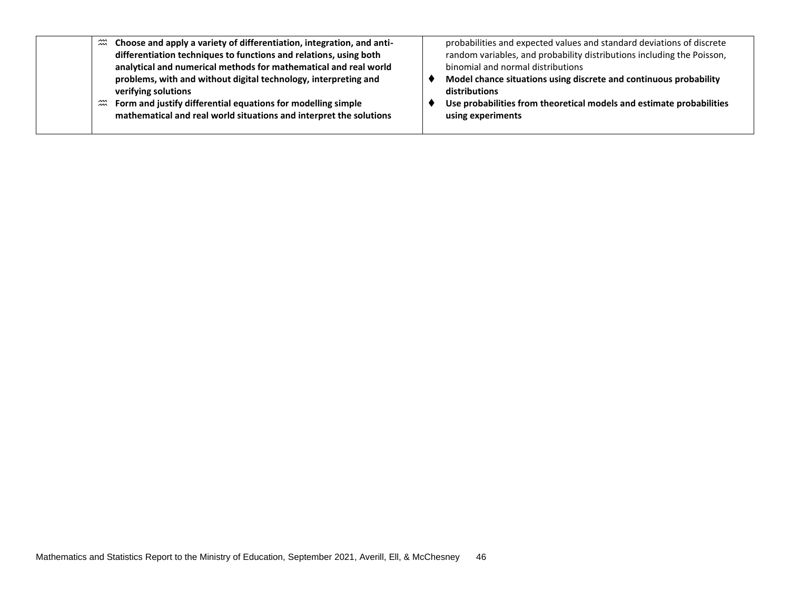| $\widetilde{\widetilde{\phantom{m}}}\hspace{-0.2cm}m$ | Choose and apply a variety of differentiation, integration, and anti- | probabilities and expected values and standard deviations of discrete  |
|-------------------------------------------------------|-----------------------------------------------------------------------|------------------------------------------------------------------------|
|                                                       | differentiation techniques to functions and relations, using both     | random variables, and probability distributions including the Poisson, |
|                                                       | analytical and numerical methods for mathematical and real world      | binomial and normal distributions                                      |
|                                                       | problems, with and without digital technology, interpreting and       | Model chance situations using discrete and continuous probability      |
|                                                       | verifying solutions                                                   | distributions                                                          |
| $\widetilde{\widetilde{\pi}}$                         | Form and justify differential equations for modelling simple          | Use probabilities from theoretical models and estimate probabilities   |
|                                                       | mathematical and real world situations and interpret the solutions    | using experiments                                                      |
|                                                       |                                                                       |                                                                        |
|                                                       |                                                                       |                                                                        |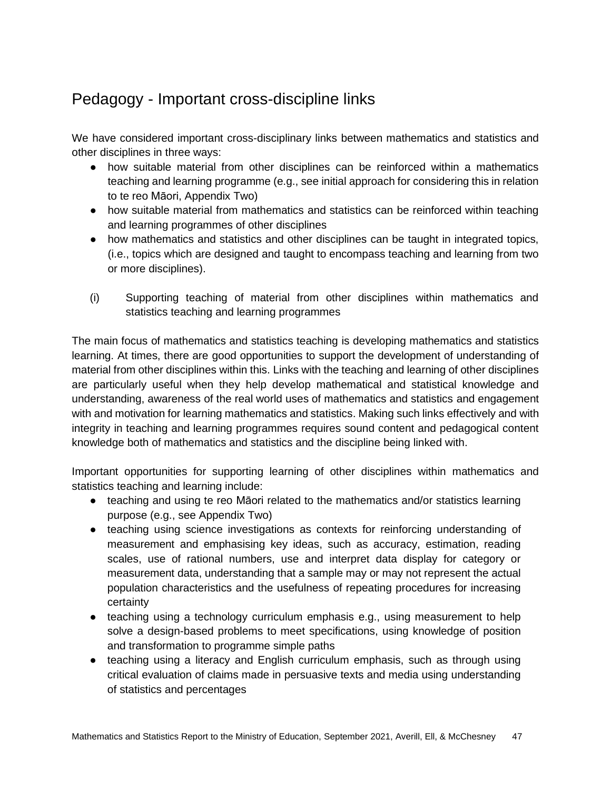## <span id="page-46-0"></span>Pedagogy - Important cross-discipline links

We have considered important cross-disciplinary links between mathematics and statistics and other disciplines in three ways:

- how suitable material from other disciplines can be reinforced within a mathematics teaching and learning programme (e.g., see initial approach for considering this in relation to te reo Māori, Appendix Two)
- how suitable material from mathematics and statistics can be reinforced within teaching and learning programmes of other disciplines
- how mathematics and statistics and other disciplines can be taught in integrated topics, (i.e., topics which are designed and taught to encompass teaching and learning from two or more disciplines).
- (i) Supporting teaching of material from other disciplines within mathematics and statistics teaching and learning programmes

The main focus of mathematics and statistics teaching is developing mathematics and statistics learning. At times, there are good opportunities to support the development of understanding of material from other disciplines within this. Links with the teaching and learning of other disciplines are particularly useful when they help develop mathematical and statistical knowledge and understanding, awareness of the real world uses of mathematics and statistics and engagement with and motivation for learning mathematics and statistics. Making such links effectively and with integrity in teaching and learning programmes requires sound content and pedagogical content knowledge both of mathematics and statistics and the discipline being linked with.

Important opportunities for supporting learning of other disciplines within mathematics and statistics teaching and learning include:

- teaching and using te reo Māori related to the mathematics and/or statistics learning purpose (e.g., see Appendix Two)
- teaching using science investigations as contexts for reinforcing understanding of measurement and emphasising key ideas, such as accuracy, estimation, reading scales, use of rational numbers, use and interpret data display for category or measurement data, understanding that a sample may or may not represent the actual population characteristics and the usefulness of repeating procedures for increasing certainty
- teaching using a technology curriculum emphasis e.g., using measurement to help solve a design-based problems to meet specifications, using knowledge of position and transformation to programme simple paths
- teaching using a literacy and English curriculum emphasis, such as through using critical evaluation of claims made in persuasive texts and media using understanding of statistics and percentages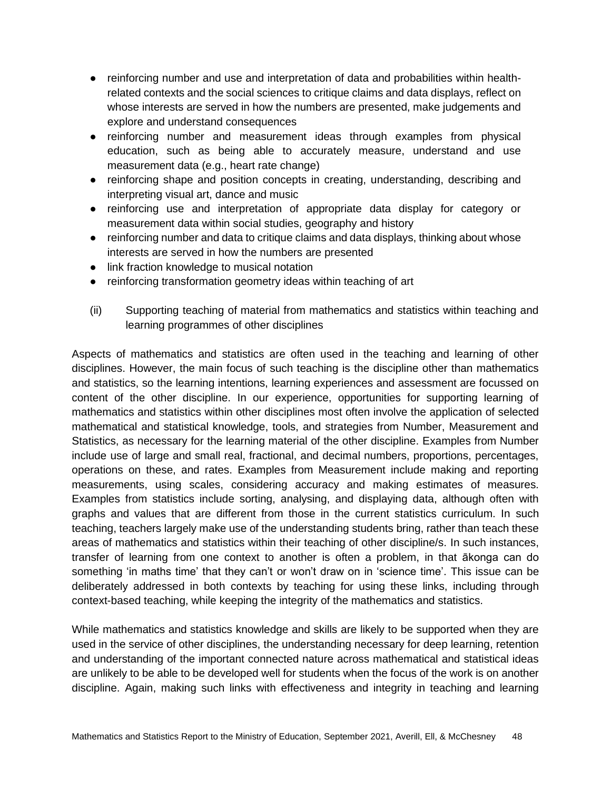- reinforcing number and use and interpretation of data and probabilities within healthrelated contexts and the social sciences to critique claims and data displays, reflect on whose interests are served in how the numbers are presented, make judgements and explore and understand consequences
- reinforcing number and measurement ideas through examples from physical education, such as being able to accurately measure, understand and use measurement data (e.g., heart rate change)
- reinforcing shape and position concepts in creating, understanding, describing and interpreting visual art, dance and music
- reinforcing use and interpretation of appropriate data display for category or measurement data within social studies, geography and history
- reinforcing number and data to critique claims and data displays, thinking about whose interests are served in how the numbers are presented
- link fraction knowledge to musical notation
- reinforcing transformation geometry ideas within teaching of art
- (ii) Supporting teaching of material from mathematics and statistics within teaching and learning programmes of other disciplines

Aspects of mathematics and statistics are often used in the teaching and learning of other disciplines. However, the main focus of such teaching is the discipline other than mathematics and statistics, so the learning intentions, learning experiences and assessment are focussed on content of the other discipline. In our experience, opportunities for supporting learning of mathematics and statistics within other disciplines most often involve the application of selected mathematical and statistical knowledge, tools, and strategies from Number, Measurement and Statistics, as necessary for the learning material of the other discipline. Examples from Number include use of large and small real, fractional, and decimal numbers, proportions, percentages, operations on these, and rates. Examples from Measurement include making and reporting measurements, using scales, considering accuracy and making estimates of measures. Examples from statistics include sorting, analysing, and displaying data, although often with graphs and values that are different from those in the current statistics curriculum. In such teaching, teachers largely make use of the understanding students bring, rather than teach these areas of mathematics and statistics within their teaching of other discipline/s. In such instances, transfer of learning from one context to another is often a problem, in that ākonga can do something 'in maths time' that they can't or won't draw on in 'science time'. This issue can be deliberately addressed in both contexts by teaching for using these links, including through context-based teaching, while keeping the integrity of the mathematics and statistics.

While mathematics and statistics knowledge and skills are likely to be supported when they are used in the service of other disciplines, the understanding necessary for deep learning, retention and understanding of the important connected nature across mathematical and statistical ideas are unlikely to be able to be developed well for students when the focus of the work is on another discipline. Again, making such links with effectiveness and integrity in teaching and learning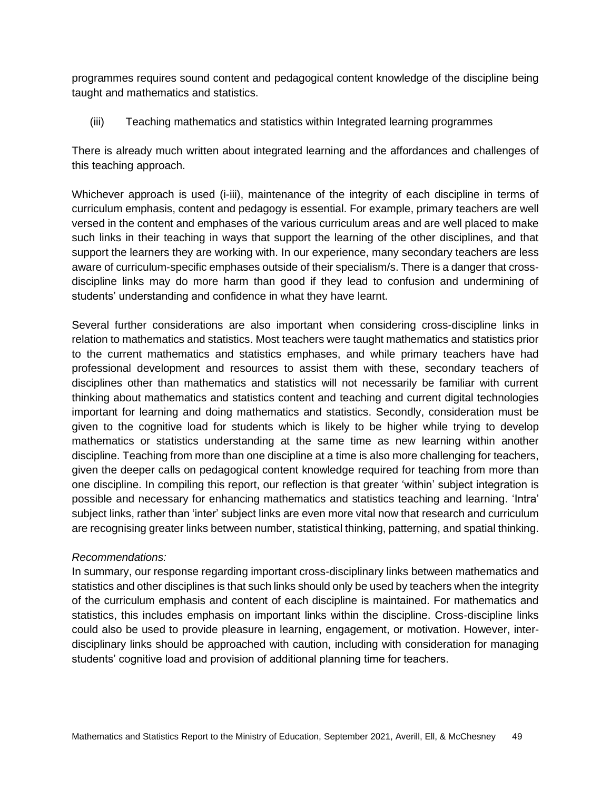programmes requires sound content and pedagogical content knowledge of the discipline being taught and mathematics and statistics.

(iii) Teaching mathematics and statistics within Integrated learning programmes

There is already much written about integrated learning and the affordances and challenges of this teaching approach.

Whichever approach is used (i-iii), maintenance of the integrity of each discipline in terms of curriculum emphasis, content and pedagogy is essential. For example, primary teachers are well versed in the content and emphases of the various curriculum areas and are well placed to make such links in their teaching in ways that support the learning of the other disciplines, and that support the learners they are working with. In our experience, many secondary teachers are less aware of curriculum-specific emphases outside of their specialism/s. There is a danger that crossdiscipline links may do more harm than good if they lead to confusion and undermining of students' understanding and confidence in what they have learnt.

Several further considerations are also important when considering cross-discipline links in relation to mathematics and statistics. Most teachers were taught mathematics and statistics prior to the current mathematics and statistics emphases, and while primary teachers have had professional development and resources to assist them with these, secondary teachers of disciplines other than mathematics and statistics will not necessarily be familiar with current thinking about mathematics and statistics content and teaching and current digital technologies important for learning and doing mathematics and statistics. Secondly, consideration must be given to the cognitive load for students which is likely to be higher while trying to develop mathematics or statistics understanding at the same time as new learning within another discipline. Teaching from more than one discipline at a time is also more challenging for teachers, given the deeper calls on pedagogical content knowledge required for teaching from more than one discipline. In compiling this report, our reflection is that greater 'within' subject integration is possible and necessary for enhancing mathematics and statistics teaching and learning. 'Intra' subject links, rather than 'inter' subject links are even more vital now that research and curriculum are recognising greater links between number, statistical thinking, patterning, and spatial thinking.

### *Recommendations:*

In summary, our response regarding important cross-disciplinary links between mathematics and statistics and other disciplines is that such links should only be used by teachers when the integrity of the curriculum emphasis and content of each discipline is maintained. For mathematics and statistics, this includes emphasis on important links within the discipline. Cross-discipline links could also be used to provide pleasure in learning, engagement, or motivation. However, interdisciplinary links should be approached with caution, including with consideration for managing students' cognitive load and provision of additional planning time for teachers.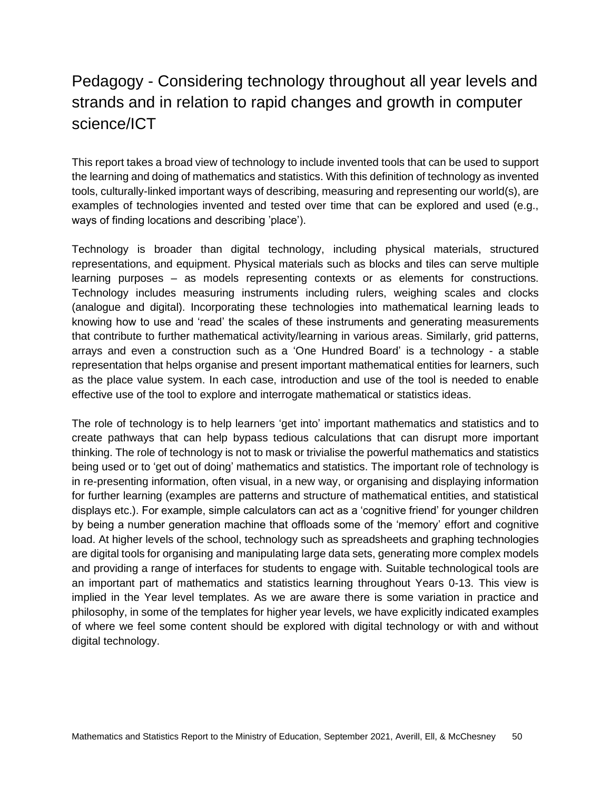## <span id="page-49-0"></span>Pedagogy - Considering technology throughout all year levels and strands and in relation to rapid changes and growth in computer science/ICT

This report takes a broad view of technology to include invented tools that can be used to support the learning and doing of mathematics and statistics. With this definition of technology as invented tools, culturally-linked important ways of describing, measuring and representing our world(s), are examples of technologies invented and tested over time that can be explored and used (e.g., ways of finding locations and describing 'place').

Technology is broader than digital technology, including physical materials, structured representations, and equipment. Physical materials such as blocks and tiles can serve multiple learning purposes – as models representing contexts or as elements for constructions. Technology includes measuring instruments including rulers, weighing scales and clocks (analogue and digital). Incorporating these technologies into mathematical learning leads to knowing how to use and 'read' the scales of these instruments and generating measurements that contribute to further mathematical activity/learning in various areas. Similarly, grid patterns, arrays and even a construction such as a 'One Hundred Board' is a technology - a stable representation that helps organise and present important mathematical entities for learners, such as the place value system. In each case, introduction and use of the tool is needed to enable effective use of the tool to explore and interrogate mathematical or statistics ideas.

The role of technology is to help learners 'get into' important mathematics and statistics and to create pathways that can help bypass tedious calculations that can disrupt more important thinking. The role of technology is not to mask or trivialise the powerful mathematics and statistics being used or to 'get out of doing' mathematics and statistics. The important role of technology is in re-presenting information, often visual, in a new way, or organising and displaying information for further learning (examples are patterns and structure of mathematical entities, and statistical displays etc.). For example, simple calculators can act as a 'cognitive friend' for younger children by being a number generation machine that offloads some of the 'memory' effort and cognitive load. At higher levels of the school, technology such as spreadsheets and graphing technologies are digital tools for organising and manipulating large data sets, generating more complex models and providing a range of interfaces for students to engage with. Suitable technological tools are an important part of mathematics and statistics learning throughout Years 0-13. This view is implied in the Year level templates. As we are aware there is some variation in practice and philosophy, in some of the templates for higher year levels, we have explicitly indicated examples of where we feel some content should be explored with digital technology or with and without digital technology.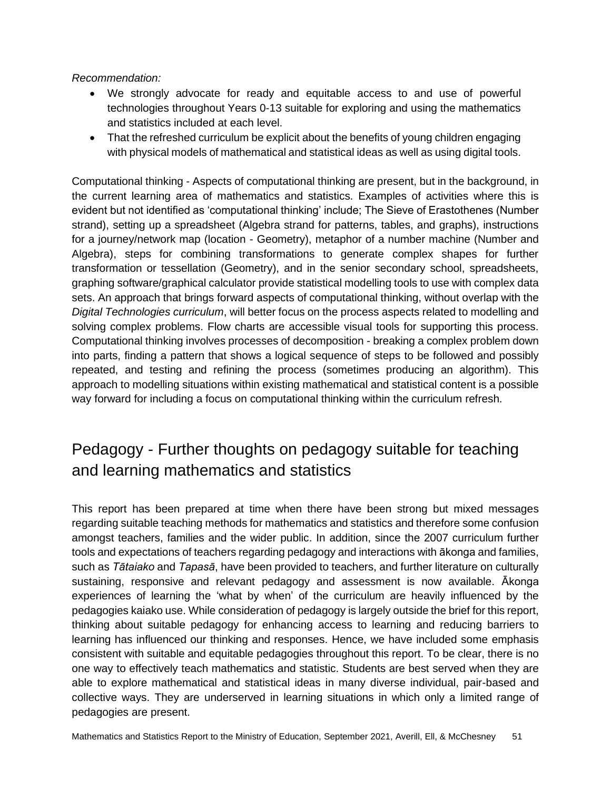### *Recommendation:*

- We strongly advocate for ready and equitable access to and use of powerful technologies throughout Years 0-13 suitable for exploring and using the mathematics and statistics included at each level.
- That the refreshed curriculum be explicit about the benefits of young children engaging with physical models of mathematical and statistical ideas as well as using digital tools.

Computational thinking - Aspects of computational thinking are present, but in the background, in the current learning area of mathematics and statistics. Examples of activities where this is evident but not identified as 'computational thinking' include; The Sieve of Erastothenes (Number strand), setting up a spreadsheet (Algebra strand for patterns, tables, and graphs), instructions for a journey/network map (location - Geometry), metaphor of a number machine (Number and Algebra), steps for combining transformations to generate complex shapes for further transformation or tessellation (Geometry), and in the senior secondary school, spreadsheets, graphing software/graphical calculator provide statistical modelling tools to use with complex data sets. An approach that brings forward aspects of computational thinking, without overlap with the *Digital Technologies curriculum*, will better focus on the process aspects related to modelling and solving complex problems. Flow charts are accessible visual tools for supporting this process. Computational thinking involves processes of decomposition - breaking a complex problem down into parts, finding a pattern that shows a logical sequence of steps to be followed and possibly repeated, and testing and refining the process (sometimes producing an algorithm). This approach to modelling situations within existing mathematical and statistical content is a possible way forward for including a focus on computational thinking within the curriculum refresh.

## <span id="page-50-0"></span>Pedagogy - Further thoughts on pedagogy suitable for teaching and learning mathematics and statistics

This report has been prepared at time when there have been strong but mixed messages regarding suitable teaching methods for mathematics and statistics and therefore some confusion amongst teachers, families and the wider public. In addition, since the 2007 curriculum further tools and expectations of teachers regarding pedagogy and interactions with ākonga and families, such as *Tātaiako* and *Tapasā*, have been provided to teachers, and further literature on culturally sustaining, responsive and relevant pedagogy and assessment is now available. Ākonga experiences of learning the 'what by when' of the curriculum are heavily influenced by the pedagogies kaiako use. While consideration of pedagogy is largely outside the brief for this report, thinking about suitable pedagogy for enhancing access to learning and reducing barriers to learning has influenced our thinking and responses. Hence, we have included some emphasis consistent with suitable and equitable pedagogies throughout this report. To be clear, there is no one way to effectively teach mathematics and statistic. Students are best served when they are able to explore mathematical and statistical ideas in many diverse individual, pair-based and collective ways. They are underserved in learning situations in which only a limited range of pedagogies are present.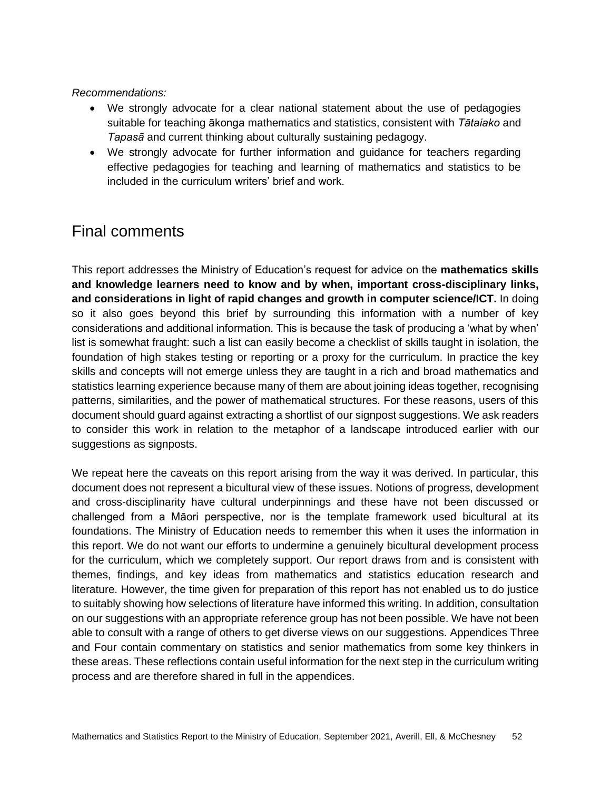### *Recommendations:*

- We strongly advocate for a clear national statement about the use of pedagogies suitable for teaching ākonga mathematics and statistics, consistent with *Tātaiako* and *Tapasā* and current thinking about culturally sustaining pedagogy.
- We strongly advocate for further information and guidance for teachers regarding effective pedagogies for teaching and learning of mathematics and statistics to be included in the curriculum writers' brief and work.

## <span id="page-51-0"></span>Final comments

This report addresses the Ministry of Education's request for advice on the **mathematics skills and knowledge learners need to know and by when, important cross-disciplinary links, and considerations in light of rapid changes and growth in computer science/ICT.** In doing so it also goes beyond this brief by surrounding this information with a number of key considerations and additional information. This is because the task of producing a 'what by when' list is somewhat fraught: such a list can easily become a checklist of skills taught in isolation, the foundation of high stakes testing or reporting or a proxy for the curriculum. In practice the key skills and concepts will not emerge unless they are taught in a rich and broad mathematics and statistics learning experience because many of them are about joining ideas together, recognising patterns, similarities, and the power of mathematical structures. For these reasons, users of this document should guard against extracting a shortlist of our signpost suggestions. We ask readers to consider this work in relation to the metaphor of a landscape introduced earlier with our suggestions as signposts.

We repeat here the caveats on this report arising from the way it was derived. In particular, this document does not represent a bicultural view of these issues. Notions of progress, development and cross-disciplinarity have cultural underpinnings and these have not been discussed or challenged from a Māori perspective, nor is the template framework used bicultural at its foundations. The Ministry of Education needs to remember this when it uses the information in this report. We do not want our efforts to undermine a genuinely bicultural development process for the curriculum, which we completely support. Our report draws from and is consistent with themes, findings, and key ideas from mathematics and statistics education research and literature. However, the time given for preparation of this report has not enabled us to do justice to suitably showing how selections of literature have informed this writing. In addition, consultation on our suggestions with an appropriate reference group has not been possible. We have not been able to consult with a range of others to get diverse views on our suggestions. Appendices Three and Four contain commentary on statistics and senior mathematics from some key thinkers in these areas. These reflections contain useful information for the next step in the curriculum writing process and are therefore shared in full in the appendices.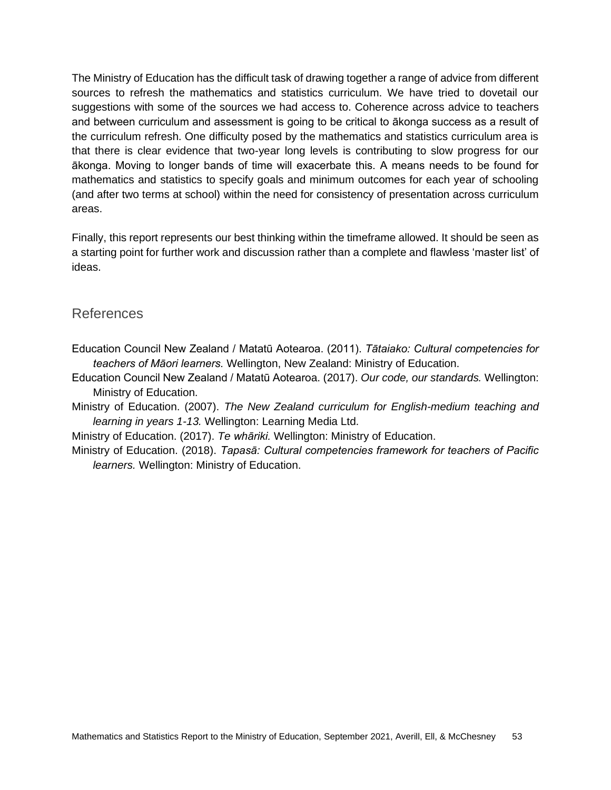The Ministry of Education has the difficult task of drawing together a range of advice from different sources to refresh the mathematics and statistics curriculum. We have tried to dovetail our suggestions with some of the sources we had access to. Coherence across advice to teachers and between curriculum and assessment is going to be critical to ākonga success as a result of the curriculum refresh. One difficulty posed by the mathematics and statistics curriculum area is that there is clear evidence that two-year long levels is contributing to slow progress for our ākonga. Moving to longer bands of time will exacerbate this. A means needs to be found for mathematics and statistics to specify goals and minimum outcomes for each year of schooling (and after two terms at school) within the need for consistency of presentation across curriculum areas.

Finally, this report represents our best thinking within the timeframe allowed. It should be seen as a starting point for further work and discussion rather than a complete and flawless 'master list' of ideas.

### <span id="page-52-0"></span>References

Education Council New Zealand / Matatū Aotearoa. (2011). *Tātaiako: Cultural competencies for teachers of Māori learners.* Wellington, New Zealand: Ministry of Education.

Education Council New Zealand / Matatū Aotearoa. (2017). *Our code, our standards.* Wellington: Ministry of Education.

Ministry of Education. (2007). *The New Zealand curriculum for English-medium teaching and learning in years 1-13.* Wellington: Learning Media Ltd.

Ministry of Education. (2017). *Te whāriki.* Wellington: Ministry of Education.

Ministry of Education. (2018). *Tapasā: Cultural competencies framework for teachers of Pacific learners.* Wellington: Ministry of Education.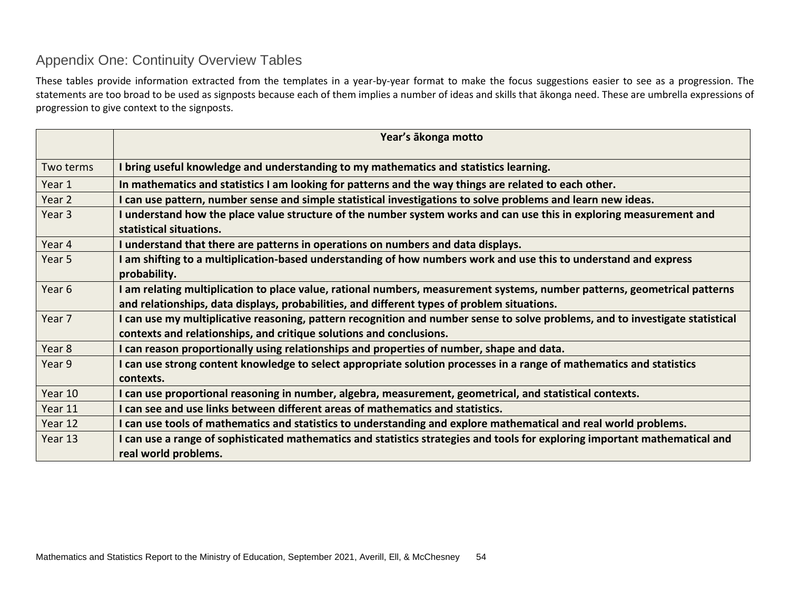## Appendix One: Continuity Overview Tables

These tables provide information extracted from the templates in a year-by-year format to make the focus suggestions easier to see as a progression. The statements are too broad to be used as signposts because each of them implies a number of ideas and skills that ākonga need. These are umbrella expressions of progression to give context to the signposts.

<span id="page-53-0"></span>

|                   | Year's ākonga motto                                                                                                                          |
|-------------------|----------------------------------------------------------------------------------------------------------------------------------------------|
| Two terms         | I bring useful knowledge and understanding to my mathematics and statistics learning.                                                        |
| Year 1            | In mathematics and statistics I am looking for patterns and the way things are related to each other.                                        |
| Year 2            | can use pattern, number sense and simple statistical investigations to solve problems and learn new ideas.                                   |
| Year 3            | understand how the place value structure of the number system works and can use this in exploring measurement and<br>statistical situations. |
| Year 4            | I understand that there are patterns in operations on numbers and data displays.                                                             |
| Year 5            | am shifting to a multiplication-based understanding of how numbers work and use this to understand and express                               |
|                   | probability.                                                                                                                                 |
| Year <sub>6</sub> | I am relating multiplication to place value, rational numbers, measurement systems, number patterns, geometrical patterns                    |
|                   | and relationships, data displays, probabilities, and different types of problem situations.                                                  |
| Year 7            | I can use my multiplicative reasoning, pattern recognition and number sense to solve problems, and to investigate statistical                |
|                   | contexts and relationships, and critique solutions and conclusions.                                                                          |
| Year 8            | I can reason proportionally using relationships and properties of number, shape and data.                                                    |
| Year 9            | I can use strong content knowledge to select appropriate solution processes in a range of mathematics and statistics                         |
|                   | contexts.                                                                                                                                    |
| Year 10           | I can use proportional reasoning in number, algebra, measurement, geometrical, and statistical contexts.                                     |
| Year 11           | I can see and use links between different areas of mathematics and statistics.                                                               |
| Year 12           | I can use tools of mathematics and statistics to understanding and explore mathematical and real world problems.                             |
| Year 13           | can use a range of sophisticated mathematics and statistics strategies and tools for exploring important mathematical and                    |
|                   | real world problems.                                                                                                                         |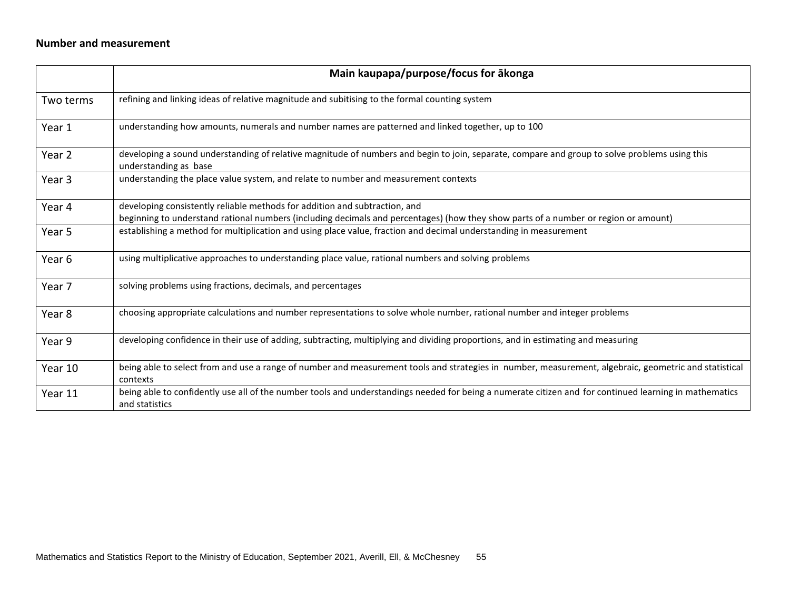### **Number and measurement**

|           | Main kaupapa/purpose/focus for ākonga                                                                                                                                                                                                                    |
|-----------|----------------------------------------------------------------------------------------------------------------------------------------------------------------------------------------------------------------------------------------------------------|
| Two terms | refining and linking ideas of relative magnitude and subitising to the formal counting system                                                                                                                                                            |
| Year 1    | understanding how amounts, numerals and number names are patterned and linked together, up to 100                                                                                                                                                        |
| Year 2    | developing a sound understanding of relative magnitude of numbers and begin to join, separate, compare and group to solve problems using this<br>understanding as base                                                                                   |
| Year 3    | understanding the place value system, and relate to number and measurement contexts                                                                                                                                                                      |
| Year 4    | developing consistently reliable methods for addition and subtraction, and                                                                                                                                                                               |
| Year 5    | beginning to understand rational numbers (including decimals and percentages) (how they show parts of a number or region or amount)<br>establishing a method for multiplication and using place value, fraction and decimal understanding in measurement |
| Year 6    | using multiplicative approaches to understanding place value, rational numbers and solving problems                                                                                                                                                      |
| Year 7    | solving problems using fractions, decimals, and percentages                                                                                                                                                                                              |
| Year 8    | choosing appropriate calculations and number representations to solve whole number, rational number and integer problems                                                                                                                                 |
| Year 9    | developing confidence in their use of adding, subtracting, multiplying and dividing proportions, and in estimating and measuring                                                                                                                         |
| Year 10   | being able to select from and use a range of number and measurement tools and strategies in number, measurement, algebraic, geometric and statistical<br>contexts                                                                                        |
| Year 11   | being able to confidently use all of the number tools and understandings needed for being a numerate citizen and for continued learning in mathematics<br>and statistics                                                                                 |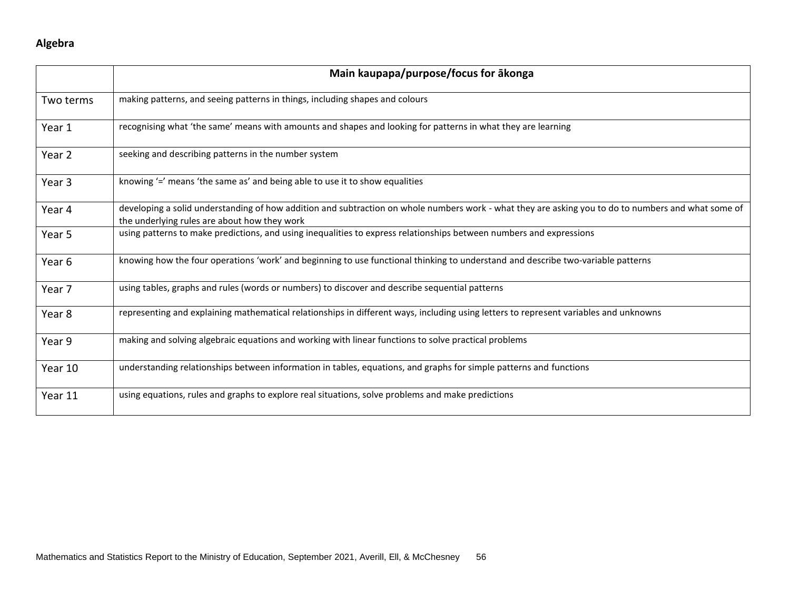### **Algebra**

|           | Main kaupapa/purpose/focus for akonga                                                                                                                                                               |
|-----------|-----------------------------------------------------------------------------------------------------------------------------------------------------------------------------------------------------|
| Two terms | making patterns, and seeing patterns in things, including shapes and colours                                                                                                                        |
| Year 1    | recognising what 'the same' means with amounts and shapes and looking for patterns in what they are learning                                                                                        |
| Year 2    | seeking and describing patterns in the number system                                                                                                                                                |
| Year 3    | knowing $\leq$ means 'the same as' and being able to use it to show equalities                                                                                                                      |
| Year 4    | developing a solid understanding of how addition and subtraction on whole numbers work - what they are asking you to do to numbers and what some of<br>the underlying rules are about how they work |
| Year 5    | using patterns to make predictions, and using inequalities to express relationships between numbers and expressions                                                                                 |
| Year 6    | knowing how the four operations 'work' and beginning to use functional thinking to understand and describe two-variable patterns                                                                    |
| Year 7    | using tables, graphs and rules (words or numbers) to discover and describe sequential patterns                                                                                                      |
| Year 8    | representing and explaining mathematical relationships in different ways, including using letters to represent variables and unknowns                                                               |
| Year 9    | making and solving algebraic equations and working with linear functions to solve practical problems                                                                                                |
| Year 10   | understanding relationships between information in tables, equations, and graphs for simple patterns and functions                                                                                  |
| Year 11   | using equations, rules and graphs to explore real situations, solve problems and make predictions                                                                                                   |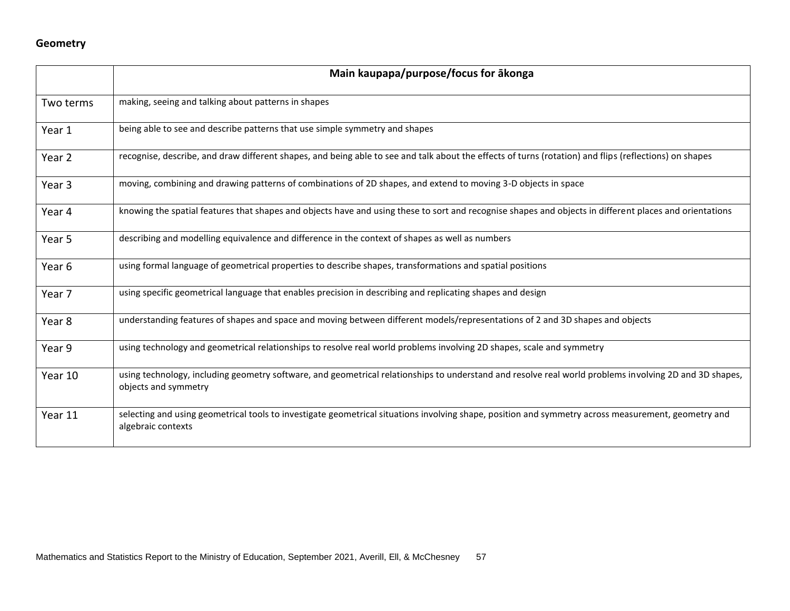### **Geometry**

|           | Main kaupapa/purpose/focus for ākonga                                                                                                                                          |  |  |
|-----------|--------------------------------------------------------------------------------------------------------------------------------------------------------------------------------|--|--|
| Two terms | making, seeing and talking about patterns in shapes                                                                                                                            |  |  |
| Year 1    | being able to see and describe patterns that use simple symmetry and shapes                                                                                                    |  |  |
| Year 2    | recognise, describe, and draw different shapes, and being able to see and talk about the effects of turns (rotation) and flips (reflections) on shapes                         |  |  |
| Year 3    | moving, combining and drawing patterns of combinations of 2D shapes, and extend to moving 3-D objects in space                                                                 |  |  |
| Year 4    | knowing the spatial features that shapes and objects have and using these to sort and recognise shapes and objects in different places and orientations                        |  |  |
| Year 5    | describing and modelling equivalence and difference in the context of shapes as well as numbers                                                                                |  |  |
| Year 6    | using formal language of geometrical properties to describe shapes, transformations and spatial positions                                                                      |  |  |
| Year 7    | using specific geometrical language that enables precision in describing and replicating shapes and design                                                                     |  |  |
| Year 8    | understanding features of shapes and space and moving between different models/representations of 2 and 3D shapes and objects                                                  |  |  |
| Year 9    | using technology and geometrical relationships to resolve real world problems involving 2D shapes, scale and symmetry                                                          |  |  |
| Year 10   | using technology, including geometry software, and geometrical relationships to understand and resolve real world problems involving 2D and 3D shapes,<br>objects and symmetry |  |  |
| Year 11   | selecting and using geometrical tools to investigate geometrical situations involving shape, position and symmetry across measurement, geometry and<br>algebraic contexts      |  |  |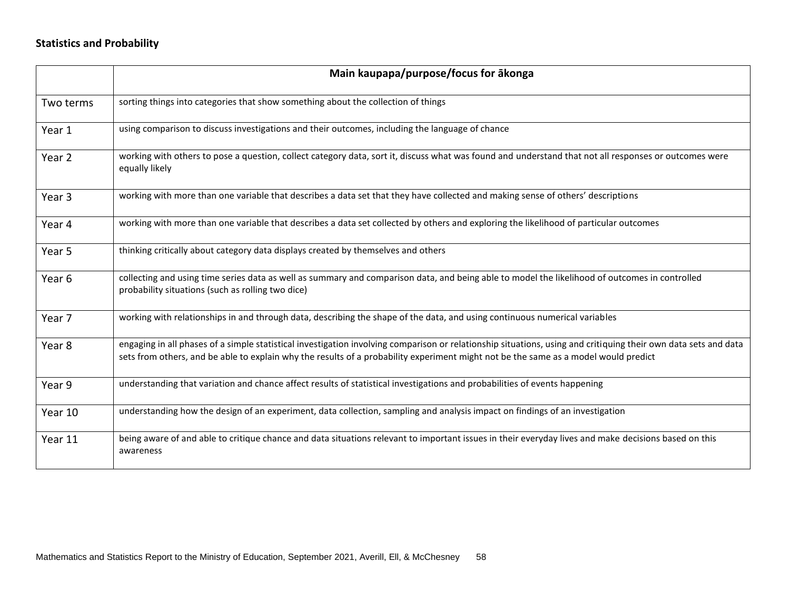### **Statistics and Probability**

|           | Main kaupapa/purpose/focus for ākonga                                                                                                                                                                                                                                                                  |
|-----------|--------------------------------------------------------------------------------------------------------------------------------------------------------------------------------------------------------------------------------------------------------------------------------------------------------|
| Two terms | sorting things into categories that show something about the collection of things                                                                                                                                                                                                                      |
| Year 1    | using comparison to discuss investigations and their outcomes, including the language of chance                                                                                                                                                                                                        |
| Year 2    | working with others to pose a question, collect category data, sort it, discuss what was found and understand that not all responses or outcomes were<br>equally likely                                                                                                                                |
| Year 3    | working with more than one variable that describes a data set that they have collected and making sense of others' descriptions                                                                                                                                                                        |
| Year 4    | working with more than one variable that describes a data set collected by others and exploring the likelihood of particular outcomes                                                                                                                                                                  |
| Year 5    | thinking critically about category data displays created by themselves and others                                                                                                                                                                                                                      |
| Year 6    | collecting and using time series data as well as summary and comparison data, and being able to model the likelihood of outcomes in controlled<br>probability situations (such as rolling two dice)                                                                                                    |
| Year 7    | working with relationships in and through data, describing the shape of the data, and using continuous numerical variables                                                                                                                                                                             |
| Year 8    | engaging in all phases of a simple statistical investigation involving comparison or relationship situations, using and critiquing their own data sets and data<br>sets from others, and be able to explain why the results of a probability experiment might not be the same as a model would predict |
| Year 9    | understanding that variation and chance affect results of statistical investigations and probabilities of events happening                                                                                                                                                                             |
| Year 10   | understanding how the design of an experiment, data collection, sampling and analysis impact on findings of an investigation                                                                                                                                                                           |
| Year 11   | being aware of and able to critique chance and data situations relevant to important issues in their everyday lives and make decisions based on this<br>awareness                                                                                                                                      |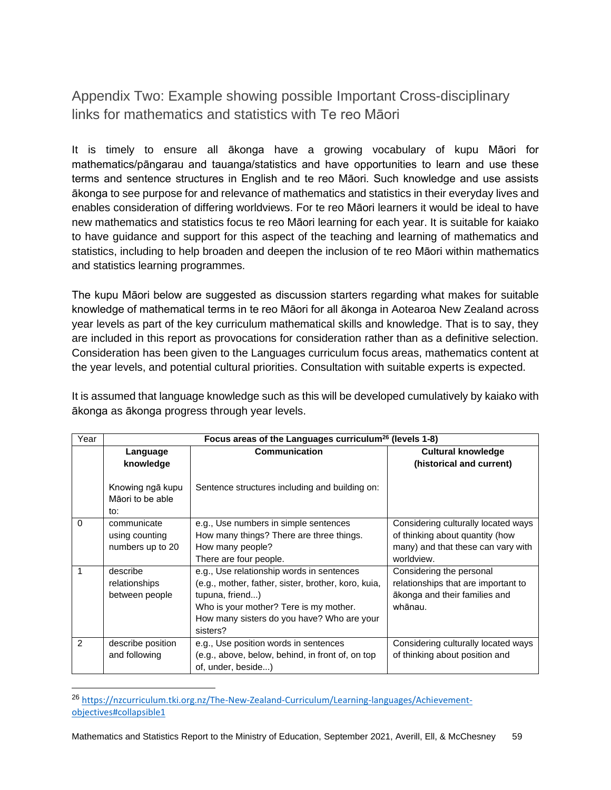<span id="page-58-0"></span>Appendix Two: Example showing possible Important Cross-disciplinary links for mathematics and statistics with Te reo Māori

It is timely to ensure all ākonga have a growing vocabulary of kupu Māori for mathematics/pāngarau and tauanga/statistics and have opportunities to learn and use these terms and sentence structures in English and te reo Māori. Such knowledge and use assists ākonga to see purpose for and relevance of mathematics and statistics in their everyday lives and enables consideration of differing worldviews. For te reo Māori learners it would be ideal to have new mathematics and statistics focus te reo Māori learning for each year. It is suitable for kaiako to have guidance and support for this aspect of the teaching and learning of mathematics and statistics, including to help broaden and deepen the inclusion of te reo Māori within mathematics and statistics learning programmes.

The kupu Māori below are suggested as discussion starters regarding what makes for suitable knowledge of mathematical terms in te reo Māori for all ākonga in Aotearoa New Zealand across year levels as part of the key curriculum mathematical skills and knowledge. That is to say, they are included in this report as provocations for consideration rather than as a definitive selection. Consideration has been given to the Languages curriculum focus areas, mathematics content at the year levels, and potential cultural priorities. Consultation with suitable experts is expected.

| Year     | Focus areas of the Languages curriculum <sup>26</sup> (levels 1-8) |                                                                                                                                                                                                                         |                                                                                                                            |  |
|----------|--------------------------------------------------------------------|-------------------------------------------------------------------------------------------------------------------------------------------------------------------------------------------------------------------------|----------------------------------------------------------------------------------------------------------------------------|--|
|          | Language<br>knowledge                                              | Communication                                                                                                                                                                                                           | <b>Cultural knowledge</b><br>(historical and current)                                                                      |  |
|          | Knowing ngā kupu<br>Māori to be able<br>to:                        | Sentence structures including and building on:                                                                                                                                                                          |                                                                                                                            |  |
| $\Omega$ | communicate<br>using counting<br>numbers up to 20                  | e.g., Use numbers in simple sentences<br>How many things? There are three things.<br>How many people?<br>There are four people.                                                                                         | Considering culturally located ways<br>of thinking about quantity (how<br>many) and that these can vary with<br>worldview. |  |
|          | describe<br>relationships<br>between people                        | e.g., Use relationship words in sentences<br>(e.g., mother, father, sister, brother, koro, kuia,<br>tupuna, friend)<br>Who is your mother? Tere is my mother.<br>How many sisters do you have? Who are your<br>sisters? | Considering the personal<br>relationships that are important to<br>ākonga and their families and<br>whānau.                |  |
| 2        | describe position<br>and following                                 | e.g., Use position words in sentences<br>(e.g., above, below, behind, in front of, on top<br>of, under, beside)                                                                                                         | Considering culturally located ways<br>of thinking about position and                                                      |  |

It is assumed that language knowledge such as this will be developed cumulatively by kaiako with ākonga as ākonga progress through year levels.

<sup>26</sup> [https://nzcurriculum.tki.org.nz/The-New-Zealand-Curriculum/Learning-languages/Achievement](https://nzcurriculum.tki.org.nz/The-New-Zealand-Curriculum/Learning-languages/Achievement-objectives#collapsible1)[objectives#collapsible1](https://nzcurriculum.tki.org.nz/The-New-Zealand-Curriculum/Learning-languages/Achievement-objectives#collapsible1)